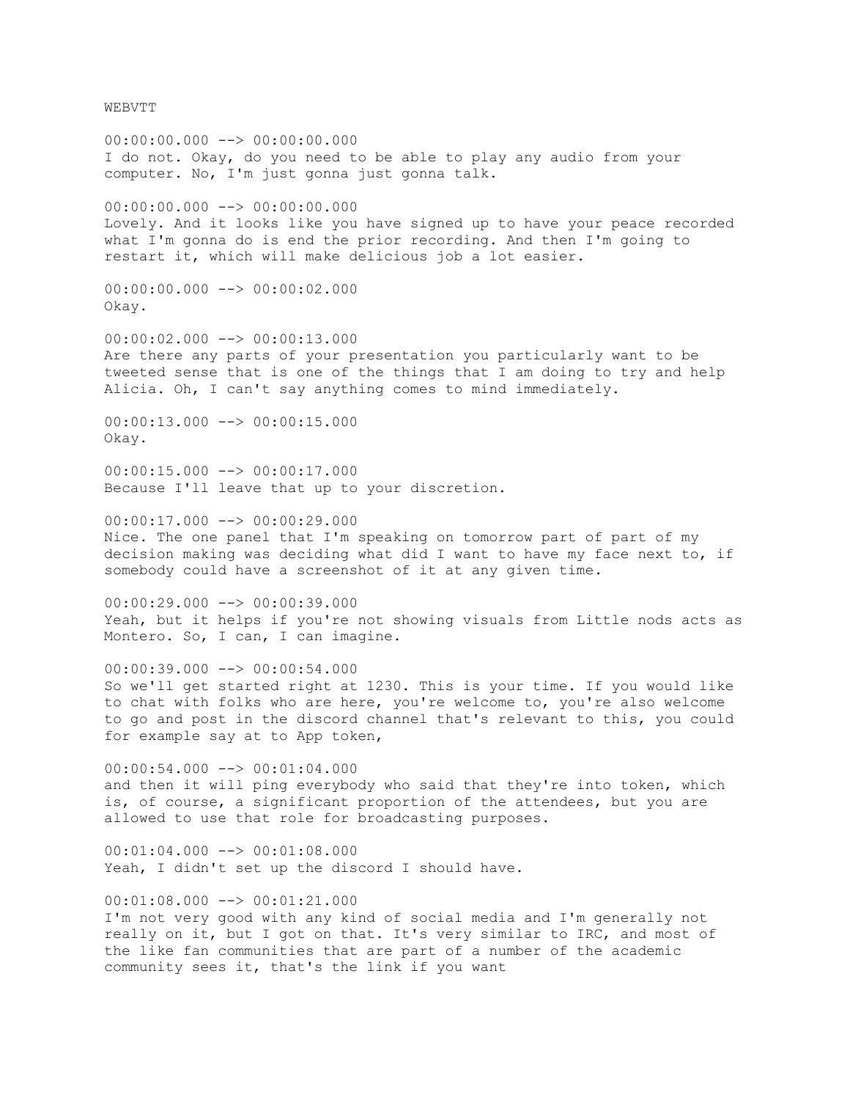WEBVTT

 $00:00:00.000$   $\longrightarrow$  00:00:00.000 I do not. Okay, do you need to be able to play any audio from your computer. No, I'm just gonna just gonna talk. 00:00:00.000 --> 00:00:00.000 Lovely. And it looks like you have signed up to have your peace recorded what I'm gonna do is end the prior recording. And then I'm going to restart it, which will make delicious job a lot easier. 00:00:00.000 --> 00:00:02.000 Okay.  $00:00:02.000$  -->  $00:00:13.000$ Are there any parts of your presentation you particularly want to be tweeted sense that is one of the things that I am doing to try and help Alicia. Oh, I can't say anything comes to mind immediately. 00:00:13.000 --> 00:00:15.000 Okay. 00:00:15.000 --> 00:00:17.000 Because I'll leave that up to your discretion. 00:00:17.000 --> 00:00:29.000 Nice. The one panel that I'm speaking on tomorrow part of part of my decision making was deciding what did I want to have my face next to, if somebody could have a screenshot of it at any given time. 00:00:29.000 --> 00:00:39.000 Yeah, but it helps if you're not showing visuals from Little nods acts as Montero. So, I can, I can imagine. 00:00:39.000 --> 00:00:54.000 So we'll get started right at 1230. This is your time. If you would like to chat with folks who are here, you're welcome to, you're also welcome to go and post in the discord channel that's relevant to this, you could for example say at to App token, 00:00:54.000 --> 00:01:04.000 and then it will ping everybody who said that they're into token, which is, of course, a significant proportion of the attendees, but you are allowed to use that role for broadcasting purposes.  $00:01:04.000$   $\longrightarrow$  00:01:08.000 Yeah, I didn't set up the discord I should have. 00:01:08.000 --> 00:01:21.000 I'm not very good with any kind of social media and I'm generally not really on it, but I got on that. It's very similar to IRC, and most of the like fan communities that are part of a number of the academic community sees it, that's the link if you want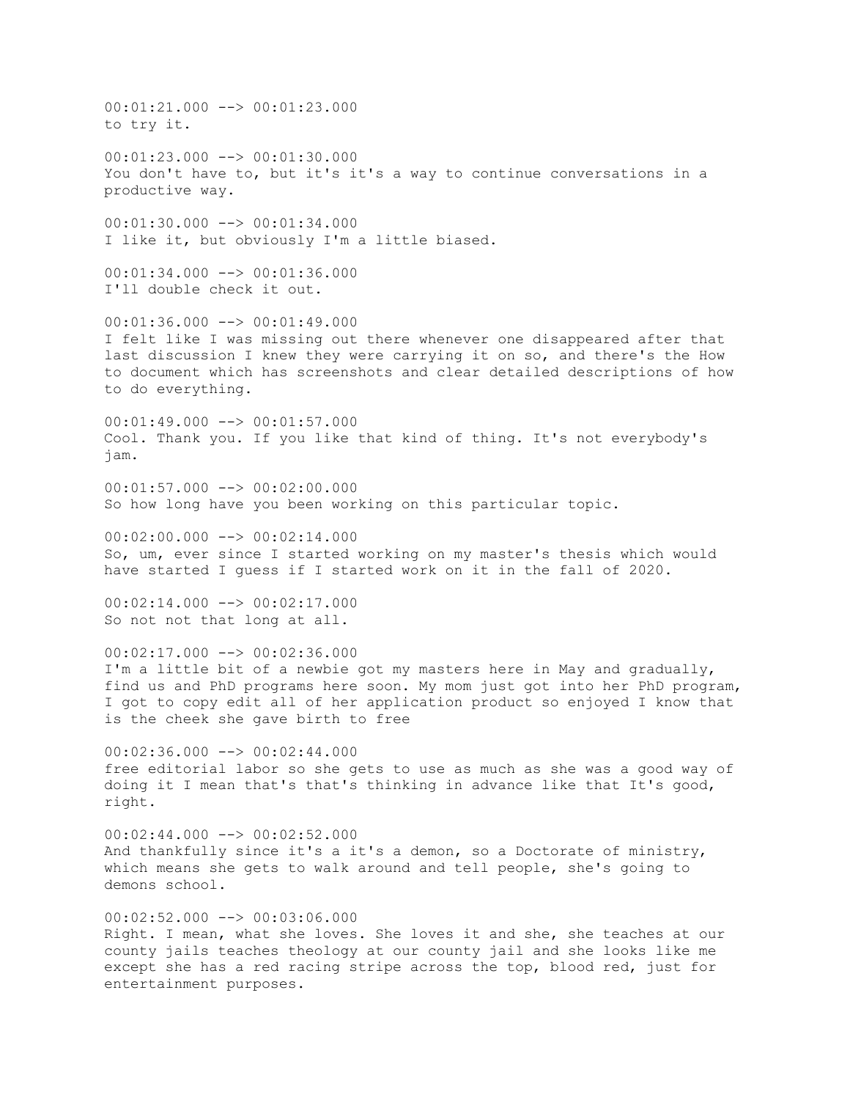00:01:21.000 --> 00:01:23.000 to try it.  $00:01:23.000$  -->  $00:01:30.000$ You don't have to, but it's it's a way to continue conversations in a productive way. 00:01:30.000 --> 00:01:34.000 I like it, but obviously I'm a little biased.  $00:01:34.000$  -->  $00:01:36.000$ I'll double check it out. 00:01:36.000 --> 00:01:49.000 I felt like I was missing out there whenever one disappeared after that last discussion I knew they were carrying it on so, and there's the How to document which has screenshots and clear detailed descriptions of how to do everything. 00:01:49.000 --> 00:01:57.000 Cool. Thank you. If you like that kind of thing. It's not everybody's jam.  $00:01:57.000$  -->  $00:02:00.000$ So how long have you been working on this particular topic.  $00:02:00.000$  -->  $00:02:14.000$ So, um, ever since I started working on my master's thesis which would have started I guess if I started work on it in the fall of 2020. 00:02:14.000 --> 00:02:17.000 So not not that long at all.  $00:02:17.000$  -->  $00:02:36.000$ I'm a little bit of a newbie got my masters here in May and gradually, find us and PhD programs here soon. My mom just got into her PhD program, I got to copy edit all of her application product so enjoyed I know that is the cheek she gave birth to free  $00:02:36.000$   $\rightarrow$   $\rightarrow$  00:02:44.000 free editorial labor so she gets to use as much as she was a good way of doing it I mean that's that's thinking in advance like that It's good, right.  $00:02:44.000$  -->  $00:02:52.000$ And thankfully since it's a it's a demon, so a Doctorate of ministry, which means she gets to walk around and tell people, she's going to demons school.  $00:02:52.000$  -->  $00:03:06.000$ Right. I mean, what she loves. She loves it and she, she teaches at our county jails teaches theology at our county jail and she looks like me except she has a red racing stripe across the top, blood red, just for entertainment purposes.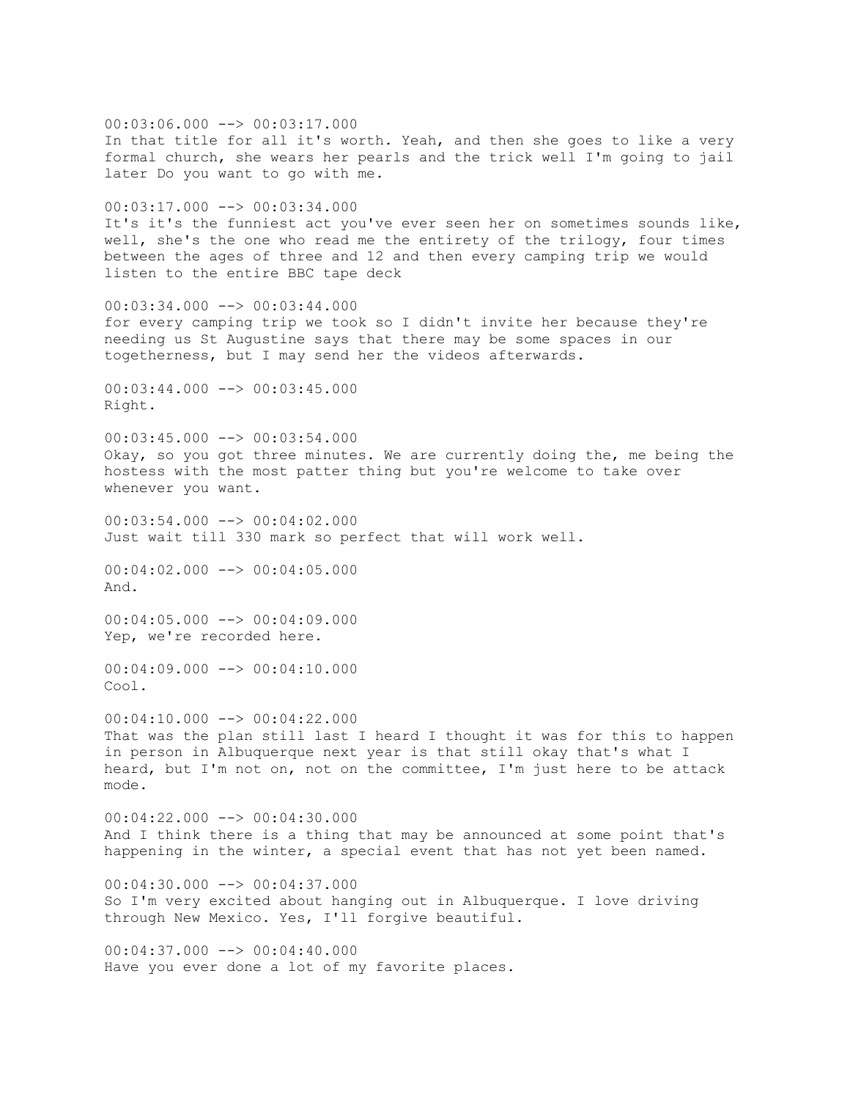$00:03:06.000$  -->  $00:03:17.000$ In that title for all it's worth. Yeah, and then she goes to like a very formal church, she wears her pearls and the trick well I'm going to jail later Do you want to go with me.  $00:03:17.000$  -->  $00:03:34.000$ It's it's the funniest act you've ever seen her on sometimes sounds like, well, she's the one who read me the entirety of the trilogy, four times between the ages of three and 12 and then every camping trip we would listen to the entire BBC tape deck  $00:03:34.000$  -->  $00:03:44.000$ for every camping trip we took so I didn't invite her because they're needing us St Augustine says that there may be some spaces in our togetherness, but I may send her the videos afterwards.  $00:03:44.000$  -->  $00:03:45.000$ Right.  $00:03:45.000$  -->  $00:03:54.000$ Okay, so you got three minutes. We are currently doing the, me being the hostess with the most patter thing but you're welcome to take over whenever you want. 00:03:54.000 --> 00:04:02.000 Just wait till 330 mark so perfect that will work well. 00:04:02.000 --> 00:04:05.000 And.  $00:04:05.000$   $\rightarrow$  00:04:09.000 Yep, we're recorded here.  $00:04:09.000$  -->  $00:04:10.000$ Cool.  $00:04:10.000$  -->  $00:04:22.000$ That was the plan still last I heard I thought it was for this to happen in person in Albuquerque next year is that still okay that's what I heard, but I'm not on, not on the committee, I'm just here to be attack mode. 00:04:22.000 --> 00:04:30.000 And I think there is a thing that may be announced at some point that's happening in the winter, a special event that has not yet been named.  $00:04:30.000$   $\longrightarrow$  00:04:37.000 So I'm very excited about hanging out in Albuquerque. I love driving through New Mexico. Yes, I'll forgive beautiful. 00:04:37.000 --> 00:04:40.000 Have you ever done a lot of my favorite places.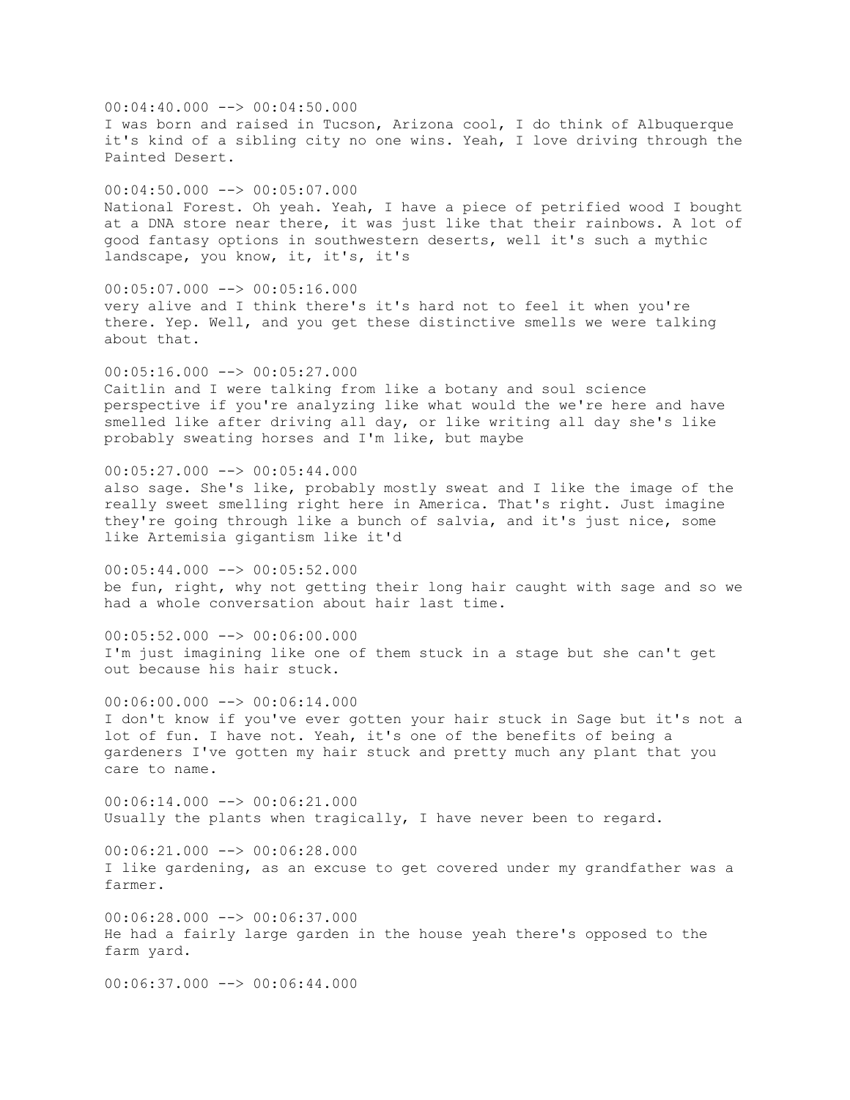$00:04:40.000$  -->  $00:04:50.000$ I was born and raised in Tucson, Arizona cool, I do think of Albuquerque it's kind of a sibling city no one wins. Yeah, I love driving through the Painted Desert.  $00:04:50.000$  -->  $00:05:07.000$ National Forest. Oh yeah. Yeah, I have a piece of petrified wood I bought at a DNA store near there, it was just like that their rainbows. A lot of good fantasy options in southwestern deserts, well it's such a mythic landscape, you know, it, it's, it's  $00:05:07.000$  -->  $00:05:16.000$ very alive and I think there's it's hard not to feel it when you're there. Yep. Well, and you get these distinctive smells we were talking about that. 00:05:16.000 --> 00:05:27.000 Caitlin and I were talking from like a botany and soul science perspective if you're analyzing like what would the we're here and have smelled like after driving all day, or like writing all day she's like probably sweating horses and I'm like, but maybe 00:05:27.000 --> 00:05:44.000 also sage. She's like, probably mostly sweat and I like the image of the really sweet smelling right here in America. That's right. Just imagine they're going through like a bunch of salvia, and it's just nice, some like Artemisia gigantism like it'd 00:05:44.000 --> 00:05:52.000 be fun, right, why not getting their long hair caught with sage and so we had a whole conversation about hair last time.  $00:05:52.000$  -->  $00:06:00.000$ I'm just imagining like one of them stuck in a stage but she can't get out because his hair stuck. 00:06:00.000 --> 00:06:14.000 I don't know if you've ever gotten your hair stuck in Sage but it's not a lot of fun. I have not. Yeah, it's one of the benefits of being a gardeners I've gotten my hair stuck and pretty much any plant that you care to name.  $00:06:14.000$  -->  $00:06:21.000$ Usually the plants when tragically, I have never been to regard.  $00:06:21.000$   $\rightarrow$  00:06:28.000 I like gardening, as an excuse to get covered under my grandfather was a farmer. 00:06:28.000 --> 00:06:37.000 He had a fairly large garden in the house yeah there's opposed to the farm yard.  $00:06:37.000$  -->  $00:06:44.000$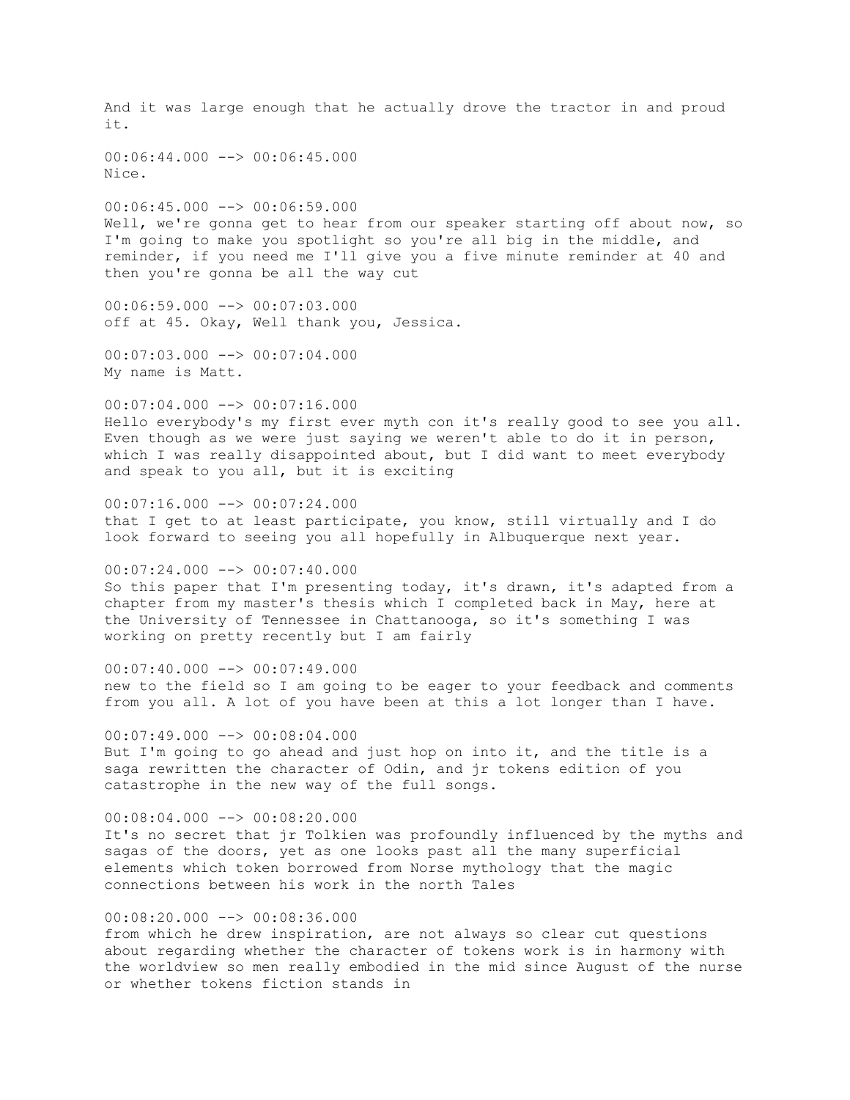And it was large enough that he actually drove the tractor in and proud it. 00:06:44.000 --> 00:06:45.000 Nice.  $00:06:45.000$  -->  $00:06:59.000$ Well, we're gonna get to hear from our speaker starting off about now, so I'm going to make you spotlight so you're all big in the middle, and reminder, if you need me I'll give you a five minute reminder at 40 and then you're gonna be all the way cut 00:06:59.000 --> 00:07:03.000 off at 45. Okay, Well thank you, Jessica.  $00:07:03.000$   $\rightarrow$   $\rightarrow$  00:07:04.000 My name is Matt. 00:07:04.000 --> 00:07:16.000 Hello everybody's my first ever myth con it's really good to see you all. Even though as we were just saying we weren't able to do it in person, which I was really disappointed about, but I did want to meet everybody and speak to you all, but it is exciting  $00:07:16.000$  -->  $00:07:24.000$ that I get to at least participate, you know, still virtually and I do look forward to seeing you all hopefully in Albuquerque next year. 00:07:24.000 --> 00:07:40.000 So this paper that I'm presenting today, it's drawn, it's adapted from a chapter from my master's thesis which I completed back in May, here at the University of Tennessee in Chattanooga, so it's something I was working on pretty recently but I am fairly  $00:07:40.000$  -->  $00:07:49.000$ new to the field so I am going to be eager to your feedback and comments from you all. A lot of you have been at this a lot longer than I have.  $00:07:49.000$  -->  $00:08:04.000$ But I'm going to go ahead and just hop on into it, and the title is a saga rewritten the character of Odin, and jr tokens edition of you catastrophe in the new way of the full songs. 00:08:04.000 --> 00:08:20.000 It's no secret that jr Tolkien was profoundly influenced by the myths and sagas of the doors, yet as one looks past all the many superficial elements which token borrowed from Norse mythology that the magic connections between his work in the north Tales 00:08:20.000 --> 00:08:36.000 from which he drew inspiration, are not always so clear cut questions about regarding whether the character of tokens work is in harmony with the worldview so men really embodied in the mid since August of the nurse or whether tokens fiction stands in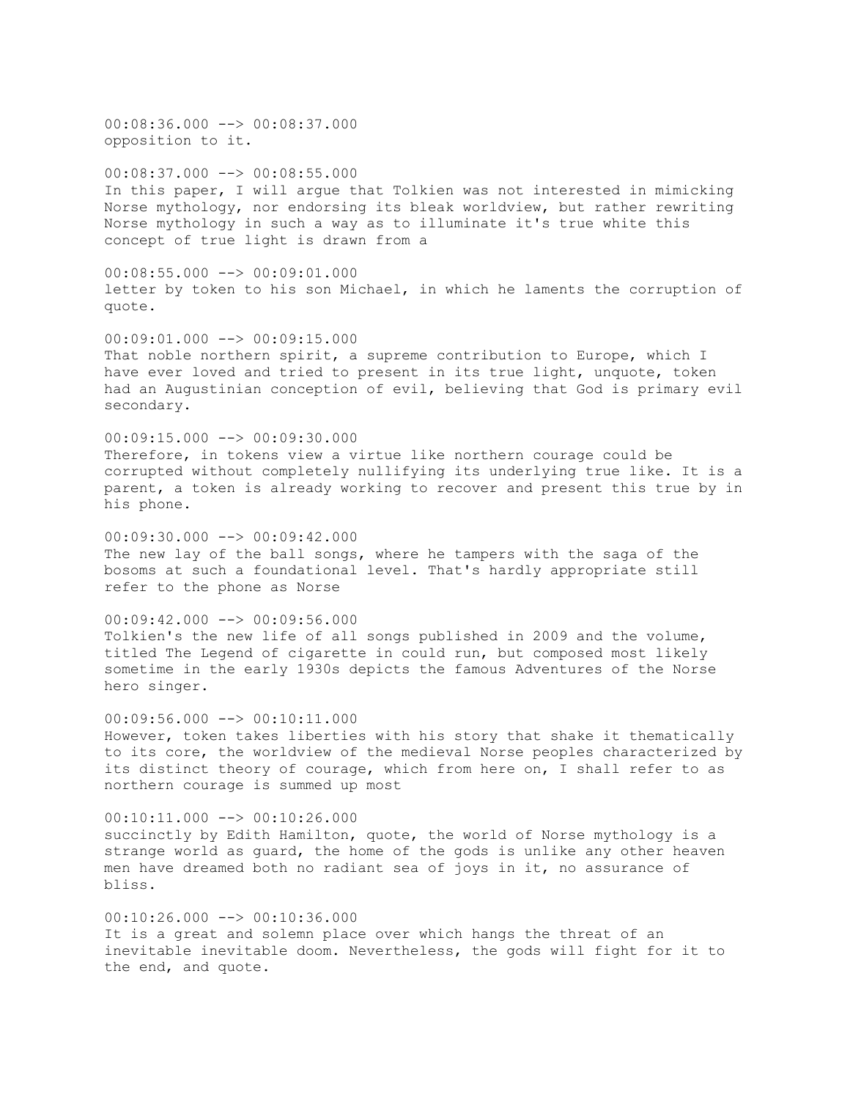00:08:36.000 --> 00:08:37.000 opposition to it.

00:08:37.000 --> 00:08:55.000 In this paper, I will argue that Tolkien was not interested in mimicking Norse mythology, nor endorsing its bleak worldview, but rather rewriting Norse mythology in such a way as to illuminate it's true white this concept of true light is drawn from a

 $00:08:55.000$   $\rightarrow$   $\rightarrow$  00:09:01.000 letter by token to his son Michael, in which he laments the corruption of quote.

 $00:09:01.000$  -->  $00:09:15.000$ That noble northern spirit, a supreme contribution to Europe, which I have ever loved and tried to present in its true light, unquote, token had an Augustinian conception of evil, believing that God is primary evil secondary.

00:09:15.000 --> 00:09:30.000 Therefore, in tokens view a virtue like northern courage could be corrupted without completely nullifying its underlying true like. It is a parent, a token is already working to recover and present this true by in his phone.

 $00:09:30.000$  -->  $00:09:42.000$ The new lay of the ball songs, where he tampers with the saga of the bosoms at such a foundational level. That's hardly appropriate still refer to the phone as Norse

 $00:09:42.000$  -->  $00:09:56.000$ Tolkien's the new life of all songs published in 2009 and the volume, titled The Legend of cigarette in could run, but composed most likely sometime in the early 1930s depicts the famous Adventures of the Norse hero singer.

 $00:09:56.000$  -->  $00:10:11.000$ However, token takes liberties with his story that shake it thematically to its core, the worldview of the medieval Norse peoples characterized by its distinct theory of courage, which from here on, I shall refer to as northern courage is summed up most

00:10:11.000 --> 00:10:26.000 succinctly by Edith Hamilton, quote, the world of Norse mythology is a strange world as guard, the home of the gods is unlike any other heaven men have dreamed both no radiant sea of joys in it, no assurance of bliss.

 $00:10:26.000$  -->  $00:10:36.000$ It is a great and solemn place over which hangs the threat of an inevitable inevitable doom. Nevertheless, the gods will fight for it to the end, and quote.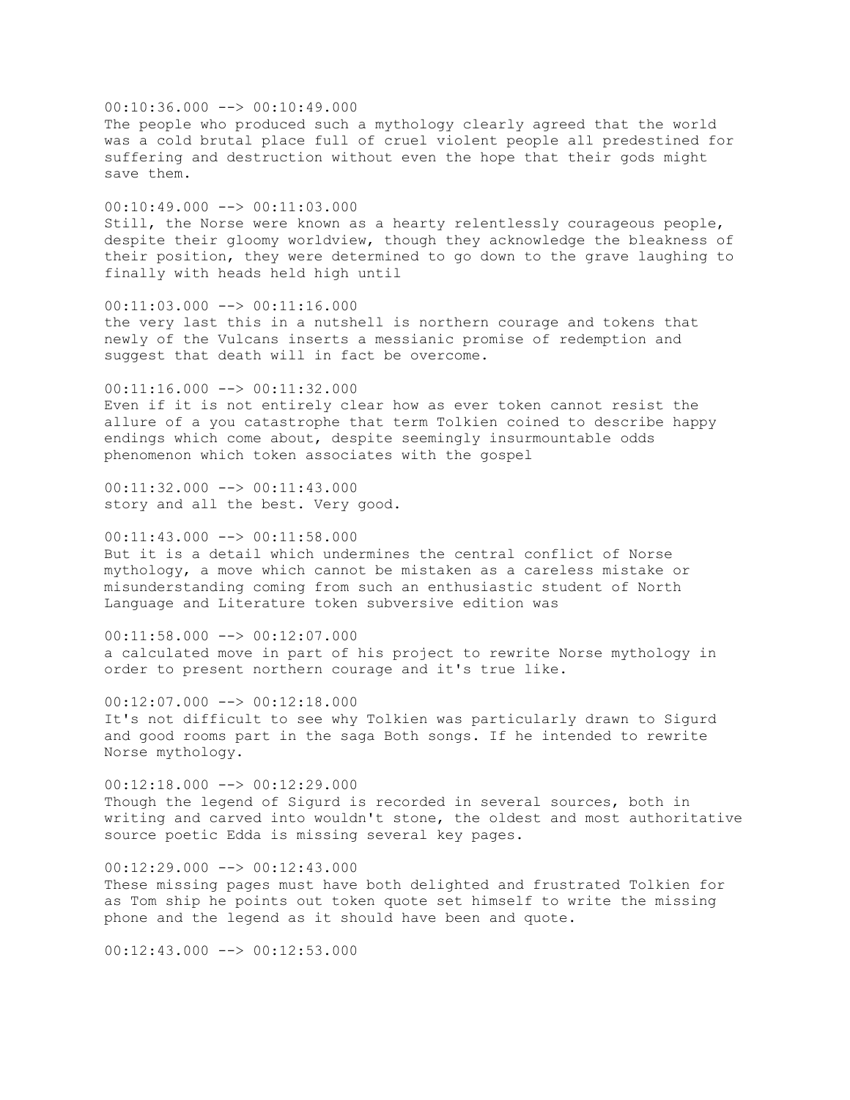$00:10:36.000$  -->  $00:10:49.000$ The people who produced such a mythology clearly agreed that the world was a cold brutal place full of cruel violent people all predestined for suffering and destruction without even the hope that their gods might save them.  $00:10:49.000$  -->  $00:11:03.000$ Still, the Norse were known as a hearty relentlessly courageous people, despite their gloomy worldview, though they acknowledge the bleakness of their position, they were determined to go down to the grave laughing to finally with heads held high until 00:11:03.000 --> 00:11:16.000 the very last this in a nutshell is northern courage and tokens that newly of the Vulcans inserts a messianic promise of redemption and suggest that death will in fact be overcome. 00:11:16.000 --> 00:11:32.000 Even if it is not entirely clear how as ever token cannot resist the allure of a you catastrophe that term Tolkien coined to describe happy endings which come about, despite seemingly insurmountable odds phenomenon which token associates with the gospel 00:11:32.000 --> 00:11:43.000 story and all the best. Very good.  $00:11:43.000$  -->  $00:11:58.000$ But it is a detail which undermines the central conflict of Norse mythology, a move which cannot be mistaken as a careless mistake or misunderstanding coming from such an enthusiastic student of North Language and Literature token subversive edition was  $00:11:58.000$  -->  $00:12:07.000$ a calculated move in part of his project to rewrite Norse mythology in order to present northern courage and it's true like. 00:12:07.000 --> 00:12:18.000 It's not difficult to see why Tolkien was particularly drawn to Sigurd and good rooms part in the saga Both songs. If he intended to rewrite Norse mythology. 00:12:18.000 --> 00:12:29.000 Though the legend of Sigurd is recorded in several sources, both in writing and carved into wouldn't stone, the oldest and most authoritative source poetic Edda is missing several key pages.  $00:12:29.000$  -->  $00:12:43.000$ These missing pages must have both delighted and frustrated Tolkien for as Tom ship he points out token quote set himself to write the missing phone and the legend as it should have been and quote.

 $00:12:43.000$  -->  $00:12:53.000$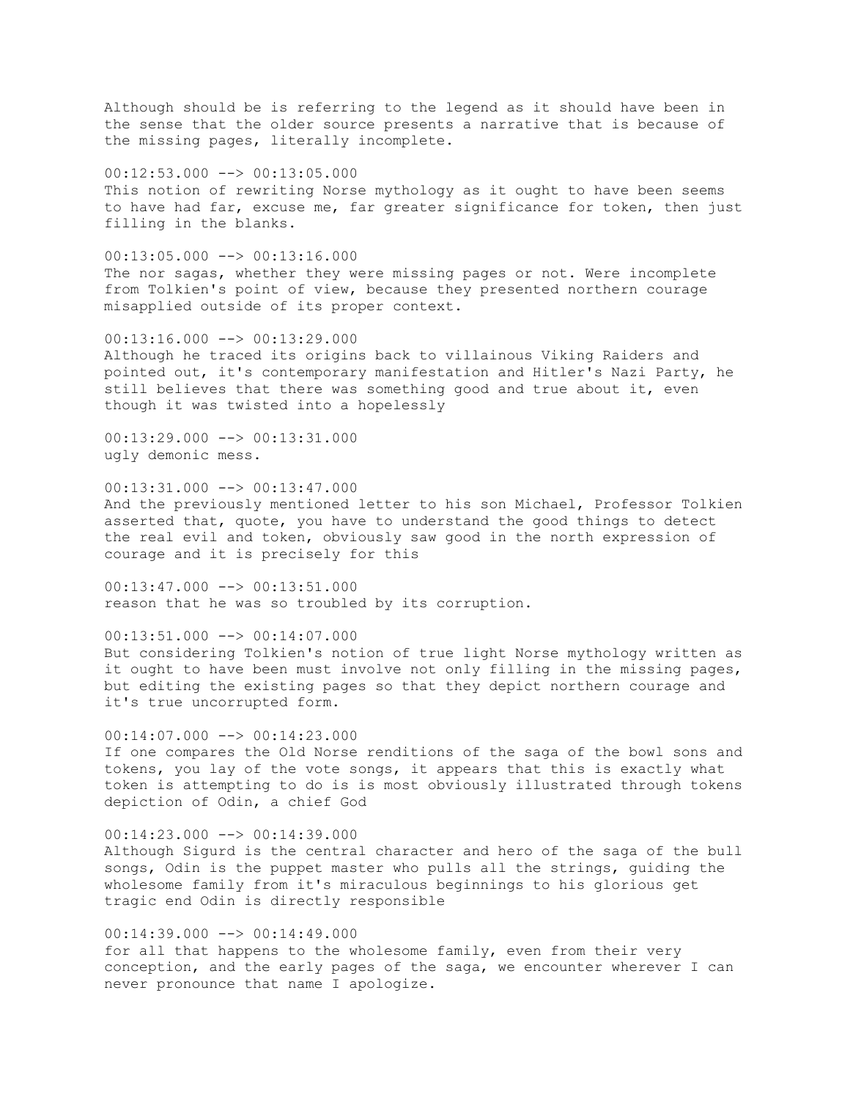Although should be is referring to the legend as it should have been in the sense that the older source presents a narrative that is because of the missing pages, literally incomplete.

00:12:53.000 --> 00:13:05.000 This notion of rewriting Norse mythology as it ought to have been seems to have had far, excuse me, far greater significance for token, then just filling in the blanks.

 $00:13:05.000$  -->  $00:13:16.000$ The nor sagas, whether they were missing pages or not. Were incomplete from Tolkien's point of view, because they presented northern courage misapplied outside of its proper context.

 $00:13:16.000$  -->  $00:13:29.000$ Although he traced its origins back to villainous Viking Raiders and pointed out, it's contemporary manifestation and Hitler's Nazi Party, he still believes that there was something good and true about it, even though it was twisted into a hopelessly

 $00:13:29.000$  -->  $00:13:31.000$ ugly demonic mess.

00:13:31.000 --> 00:13:47.000 And the previously mentioned letter to his son Michael, Professor Tolkien asserted that, quote, you have to understand the good things to detect the real evil and token, obviously saw good in the north expression of courage and it is precisely for this

00:13:47.000 --> 00:13:51.000 reason that he was so troubled by its corruption.

 $00:13:51.000$  -->  $00:14:07.000$ But considering Tolkien's notion of true light Norse mythology written as it ought to have been must involve not only filling in the missing pages, but editing the existing pages so that they depict northern courage and it's true uncorrupted form.

 $00:14:07.000$  -->  $00:14:23.000$ If one compares the Old Norse renditions of the saga of the bowl sons and tokens, you lay of the vote songs, it appears that this is exactly what token is attempting to do is is most obviously illustrated through tokens depiction of Odin, a chief God

 $00:14:23.000$  -->  $00:14:39.000$ Although Sigurd is the central character and hero of the saga of the bull songs, Odin is the puppet master who pulls all the strings, guiding the wholesome family from it's miraculous beginnings to his glorious get tragic end Odin is directly responsible

 $00:14:39.000$  -->  $00:14:49.000$ for all that happens to the wholesome family, even from their very conception, and the early pages of the saga, we encounter wherever I can never pronounce that name I apologize.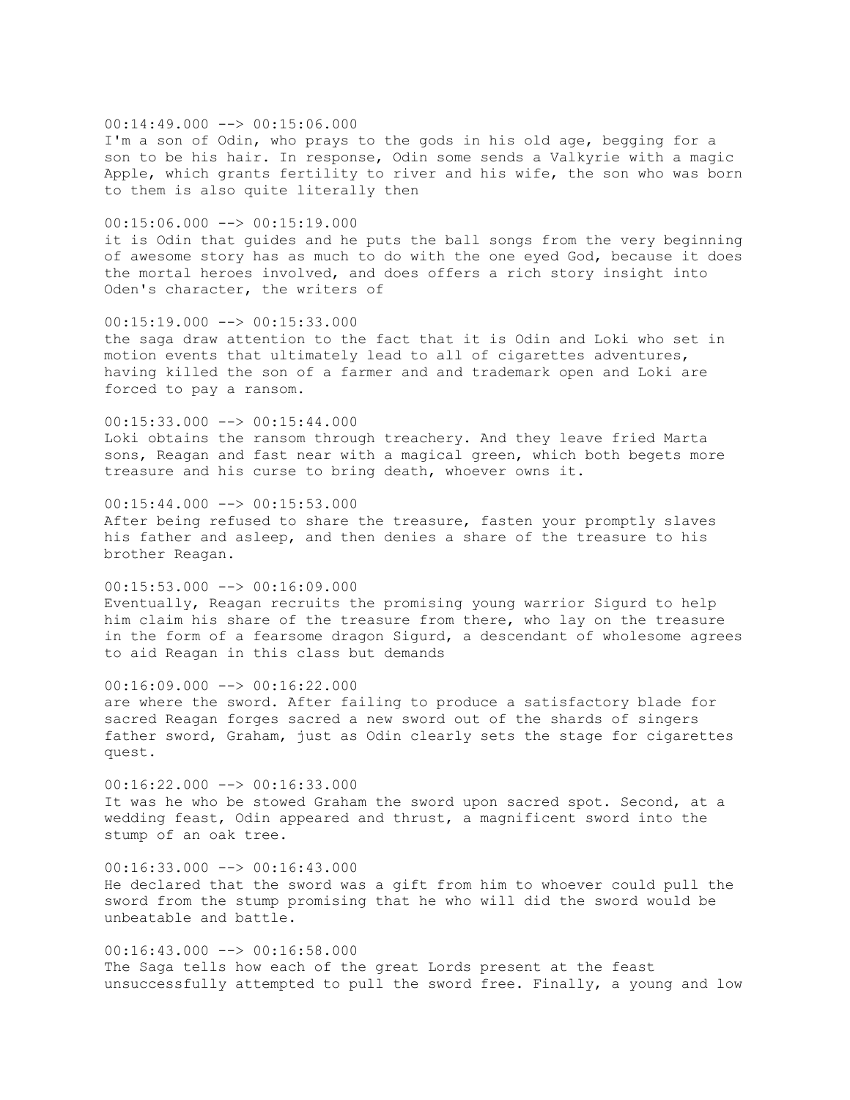$00:14:49.000$  -->  $00:15:06.000$ I'm a son of Odin, who prays to the gods in his old age, begging for a son to be his hair. In response, Odin some sends a Valkyrie with a magic Apple, which grants fertility to river and his wife, the son who was born to them is also quite literally then

#### 00:15:06.000 --> 00:15:19.000

it is Odin that guides and he puts the ball songs from the very beginning of awesome story has as much to do with the one eyed God, because it does the mortal heroes involved, and does offers a rich story insight into Oden's character, the writers of

#### $00:15:19.000$  -->  $00:15:33.000$

the saga draw attention to the fact that it is Odin and Loki who set in motion events that ultimately lead to all of cigarettes adventures, having killed the son of a farmer and and trademark open and Loki are forced to pay a ransom.

#### $00:15:33.000$  -->  $00:15:44.000$

Loki obtains the ransom through treachery. And they leave fried Marta sons, Reagan and fast near with a magical green, which both begets more treasure and his curse to bring death, whoever owns it.

#### $00:15:44.000$  -->  $00:15:53.000$

After being refused to share the treasure, fasten your promptly slaves his father and asleep, and then denies a share of the treasure to his brother Reagan.

# 00:15:53.000 --> 00:16:09.000

Eventually, Reagan recruits the promising young warrior Sigurd to help him claim his share of the treasure from there, who lay on the treasure in the form of a fearsome dragon Sigurd, a descendant of wholesome agrees to aid Reagan in this class but demands

#### $00:16:09.000$  -->  $00:16:22.000$

unbeatable and battle.

are where the sword. After failing to produce a satisfactory blade for sacred Reagan forges sacred a new sword out of the shards of singers father sword, Graham, just as Odin clearly sets the stage for cigarettes quest.

### 00:16:22.000 --> 00:16:33.000 It was he who be stowed Graham the sword upon sacred spot. Second, at a wedding feast, Odin appeared and thrust, a magnificent sword into the stump of an oak tree.

 $00:16:33.000$  -->  $00:16:43.000$ He declared that the sword was a gift from him to whoever could pull the sword from the stump promising that he who will did the sword would be

### $00:16:43.000$   $\longrightarrow$   $00:16:58.000$ The Saga tells how each of the great Lords present at the feast unsuccessfully attempted to pull the sword free. Finally, a young and low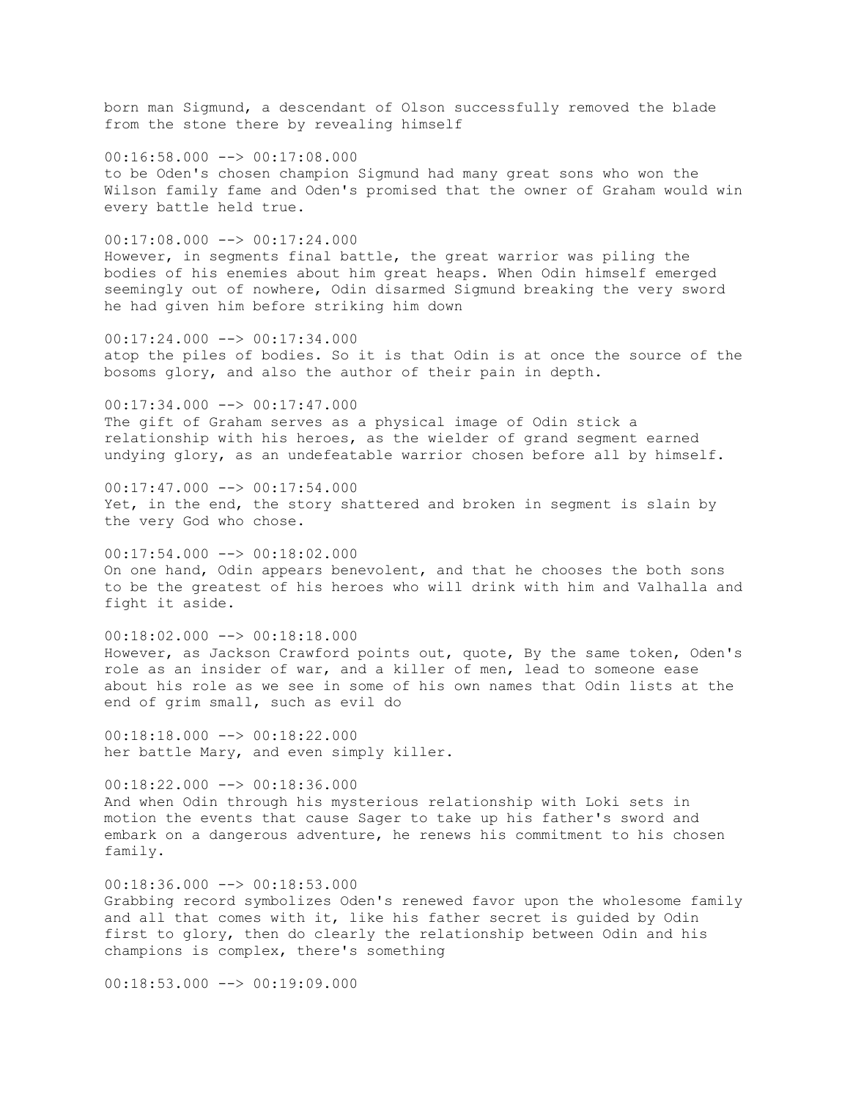born man Sigmund, a descendant of Olson successfully removed the blade from the stone there by revealing himself

 $00:16:58.000$  -->  $00:17:08.000$ to be Oden's chosen champion Sigmund had many great sons who won the Wilson family fame and Oden's promised that the owner of Graham would win every battle held true.

00:17:08.000 --> 00:17:24.000 However, in segments final battle, the great warrior was piling the bodies of his enemies about him great heaps. When Odin himself emerged seemingly out of nowhere, Odin disarmed Sigmund breaking the very sword he had given him before striking him down

00:17:24.000 --> 00:17:34.000 atop the piles of bodies. So it is that Odin is at once the source of the bosoms glory, and also the author of their pain in depth.

00:17:34.000 --> 00:17:47.000 The gift of Graham serves as a physical image of Odin stick a relationship with his heroes, as the wielder of grand segment earned undying glory, as an undefeatable warrior chosen before all by himself.

 $00:17:47.000$  -->  $00:17:54.000$ Yet, in the end, the story shattered and broken in segment is slain by the very God who chose.

 $00:17:54.000$  -->  $00:18:02.000$ On one hand, Odin appears benevolent, and that he chooses the both sons to be the greatest of his heroes who will drink with him and Valhalla and fight it aside.

00:18:02.000 --> 00:18:18.000 However, as Jackson Crawford points out, quote, By the same token, Oden's role as an insider of war, and a killer of men, lead to someone ease about his role as we see in some of his own names that Odin lists at the end of grim small, such as evil do

 $00:18:18.000$  -->  $00:18:22.000$ her battle Mary, and even simply killer.

00:18:22.000 --> 00:18:36.000 And when Odin through his mysterious relationship with Loki sets in motion the events that cause Sager to take up his father's sword and embark on a dangerous adventure, he renews his commitment to his chosen family.

 $00:18:36.000$  -->  $00:18:53.000$ Grabbing record symbolizes Oden's renewed favor upon the wholesome family and all that comes with it, like his father secret is guided by Odin first to glory, then do clearly the relationship between Odin and his champions is complex, there's something

 $00:18:53.000$  -->  $00:19:09.000$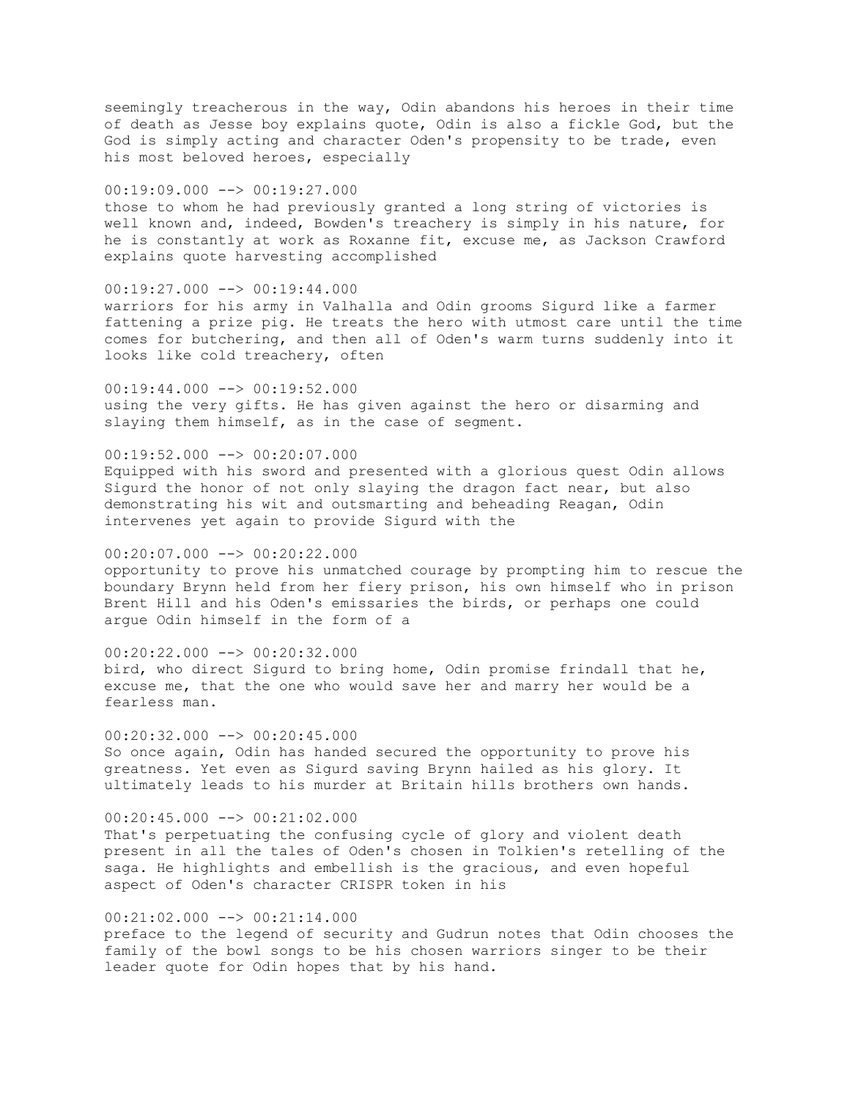seemingly treacherous in the way, Odin abandons his heroes in their time of death as Jesse boy explains quote, Odin is also a fickle God, but the God is simply acting and character Oden's propensity to be trade, even his most beloved heroes, especially

 $00:19:09.000$  -->  $00:19:27.000$ 

those to whom he had previously granted a long string of victories is well known and, indeed, Bowden's treachery is simply in his nature, for he is constantly at work as Roxanne fit, excuse me, as Jackson Crawford explains quote harvesting accomplished

00:19:27.000 --> 00:19:44.000 warriors for his army in Valhalla and Odin grooms Sigurd like a farmer

fattening a prize pig. He treats the hero with utmost care until the time comes for butchering, and then all of Oden's warm turns suddenly into it looks like cold treachery, often

 $00:19:44.000$  -->  $00:19:52.000$ using the very gifts. He has given against the hero or disarming and slaying them himself, as in the case of segment.

00:19:52.000 --> 00:20:07.000

Equipped with his sword and presented with a glorious quest Odin allows Sigurd the honor of not only slaying the dragon fact near, but also demonstrating his wit and outsmarting and beheading Reagan, Odin intervenes yet again to provide Sigurd with the

00:20:07.000 --> 00:20:22.000

opportunity to prove his unmatched courage by prompting him to rescue the boundary Brynn held from her fiery prison, his own himself who in prison Brent Hill and his Oden's emissaries the birds, or perhaps one could argue Odin himself in the form of a

00:20:22.000 --> 00:20:32.000 bird, who direct Sigurd to bring home, Odin promise frindall that he, excuse me, that the one who would save her and marry her would be a fearless man.

 $00:20:32.000$  -->  $00:20:45.000$ So once again, Odin has handed secured the opportunity to prove his greatness. Yet even as Sigurd saving Brynn hailed as his glory. It ultimately leads to his murder at Britain hills brothers own hands.

00:20:45.000 --> 00:21:02.000

That's perpetuating the confusing cycle of glory and violent death present in all the tales of Oden's chosen in Tolkien's retelling of the saga. He highlights and embellish is the gracious, and even hopeful aspect of Oden's character CRISPR token in his

00:21:02.000 --> 00:21:14.000

preface to the legend of security and Gudrun notes that Odin chooses the family of the bowl songs to be his chosen warriors singer to be their leader quote for Odin hopes that by his hand.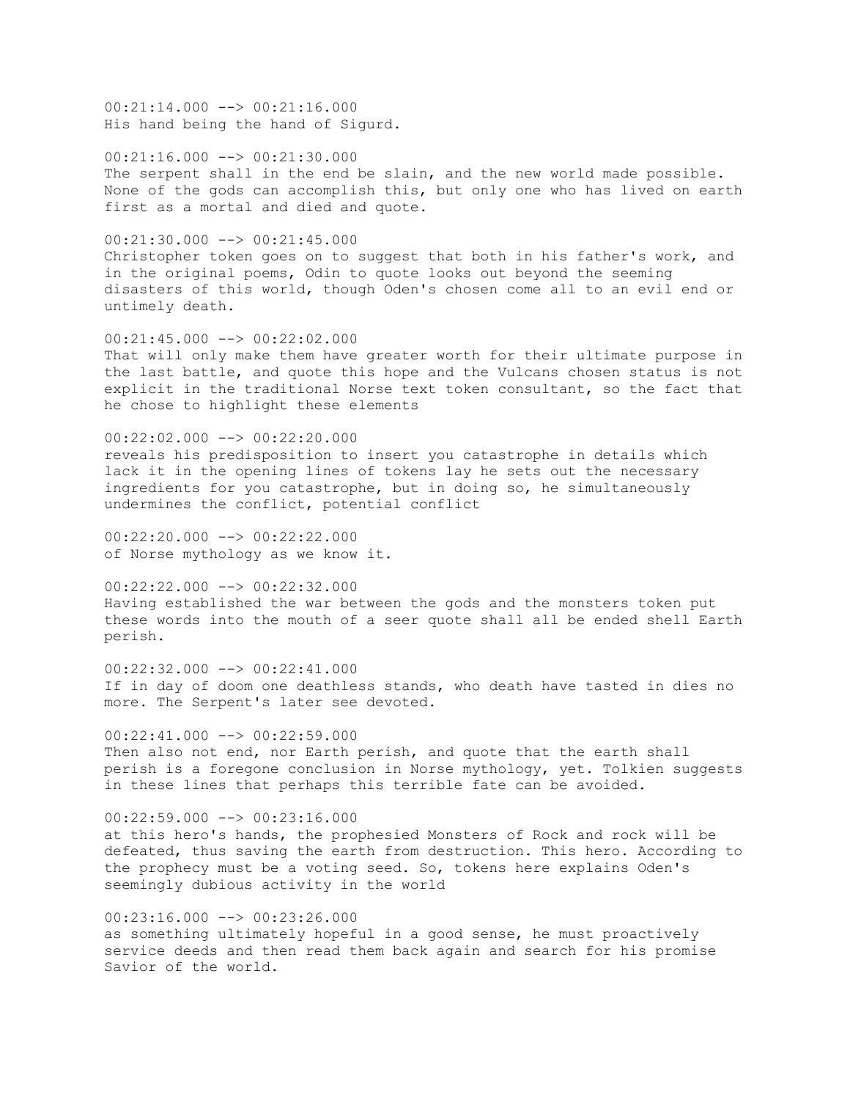00:21:14.000 --> 00:21:16.000 His hand being the hand of Sigurd.

00:21:16.000 --> 00:21:30.000 The serpent shall in the end be slain, and the new world made possible. None of the gods can accomplish this, but only one who has lived on earth first as a mortal and died and quote.

00:21:30.000 --> 00:21:45.000 Christopher token goes on to suggest that both in his father's work, and in the original poems, Odin to quote looks out beyond the seeming disasters of this world, though Oden's chosen come all to an evil end or untimely death.

00:21:45.000 --> 00:22:02.000 That will only make them have greater worth for their ultimate purpose in the last battle, and quote this hope and the Vulcans chosen status is not explicit in the traditional Norse text token consultant, so the fact that he chose to highlight these elements

00:22:02.000 --> 00:22:20.000 reveals his predisposition to insert you catastrophe in details which lack it in the opening lines of tokens lay he sets out the necessary ingredients for you catastrophe, but in doing so, he simultaneously undermines the conflict, potential conflict

 $00:22:20.000$  -->  $00:22:22.000$ of Norse mythology as we know it.

00:22:22.000 --> 00:22:32.000 Having established the war between the gods and the monsters token put these words into the mouth of a seer quote shall all be ended shell Earth perish.

00:22:32.000 --> 00:22:41.000 If in day of doom one deathless stands, who death have tasted in dies no more. The Serpent's later see devoted.

 $00:22:41.000$  -->  $00:22:59.000$ Then also not end, nor Earth perish, and quote that the earth shall perish is a foregone conclusion in Norse mythology, yet. Tolkien suggests in these lines that perhaps this terrible fate can be avoided.

00:22:59.000 --> 00:23:16.000 at this hero's hands, the prophesied Monsters of Rock and rock will be defeated, thus saving the earth from destruction. This hero. According to the prophecy must be a voting seed. So, tokens here explains Oden's seemingly dubious activity in the world

00:23:16.000 --> 00:23:26.000 as something ultimately hopeful in a good sense, he must proactively service deeds and then read them back again and search for his promise Savior of the world.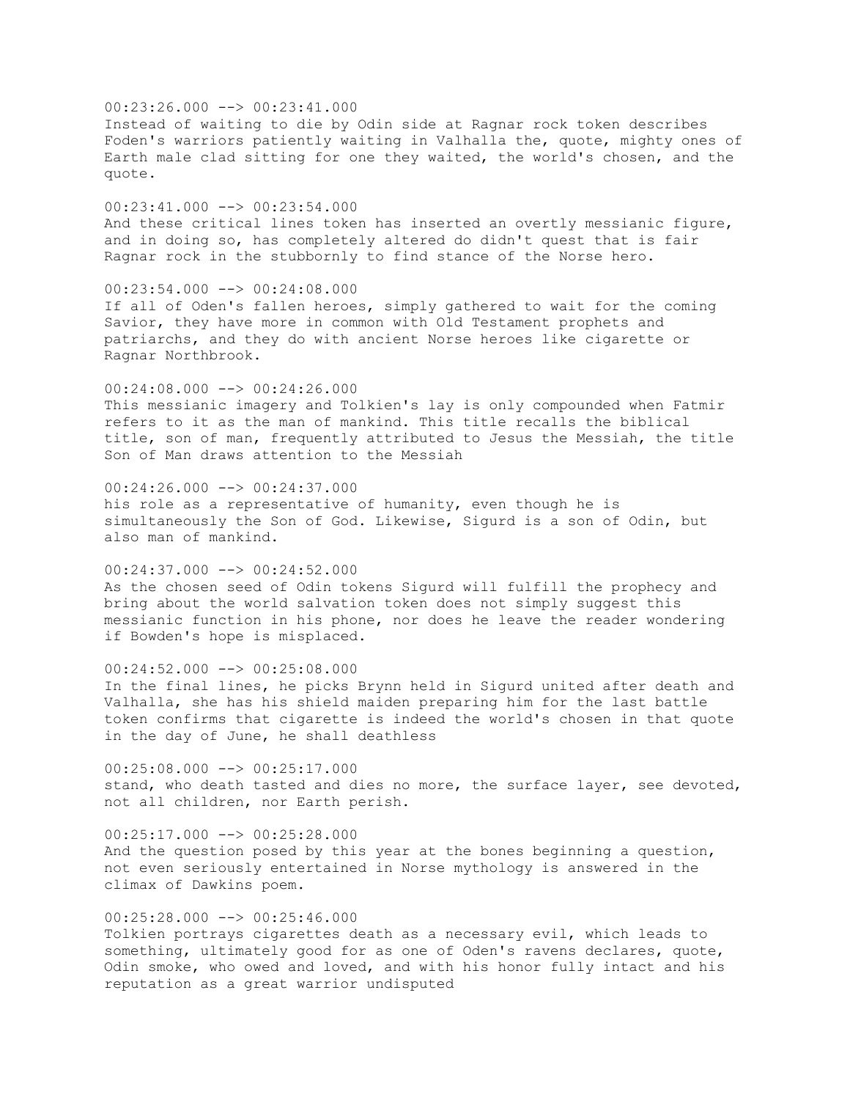$00:23:26.000$  -->  $00:23:41.000$ Instead of waiting to die by Odin side at Ragnar rock token describes Foden's warriors patiently waiting in Valhalla the, quote, mighty ones of Earth male clad sitting for one they waited, the world's chosen, and the quote.  $00:23:41.000$  -->  $00:23:54.000$ And these critical lines token has inserted an overtly messianic figure, and in doing so, has completely altered do didn't quest that is fair Ragnar rock in the stubbornly to find stance of the Norse hero.  $00:23:54.000$  -->  $00:24:08.000$ If all of Oden's fallen heroes, simply gathered to wait for the coming Savior, they have more in common with Old Testament prophets and patriarchs, and they do with ancient Norse heroes like cigarette or Ragnar Northbrook.  $00:24:08.000$  -->  $00:24:26.000$ This messianic imagery and Tolkien's lay is only compounded when Fatmir refers to it as the man of mankind. This title recalls the biblical title, son of man, frequently attributed to Jesus the Messiah, the title Son of Man draws attention to the Messiah  $00:24:26.000$  -->  $00:24:37.000$ his role as a representative of humanity, even though he is simultaneously the Son of God. Likewise, Sigurd is a son of Odin, but also man of mankind. 00:24:37.000 --> 00:24:52.000 As the chosen seed of Odin tokens Sigurd will fulfill the prophecy and bring about the world salvation token does not simply suggest this messianic function in his phone, nor does he leave the reader wondering if Bowden's hope is misplaced.  $00:24:52.000$  -->  $00:25:08.000$ In the final lines, he picks Brynn held in Sigurd united after death and Valhalla, she has his shield maiden preparing him for the last battle token confirms that cigarette is indeed the world's chosen in that quote in the day of June, he shall deathless 00:25:08.000 --> 00:25:17.000 stand, who death tasted and dies no more, the surface layer, see devoted, not all children, nor Earth perish.  $00:25:17.000$  -->  $00:25:28.000$ And the question posed by this year at the bones beginning a question, not even seriously entertained in Norse mythology is answered in the climax of Dawkins poem.

 $00:25:28.000$  -->  $00:25:46.000$ Tolkien portrays cigarettes death as a necessary evil, which leads to something, ultimately good for as one of Oden's ravens declares, quote, Odin smoke, who owed and loved, and with his honor fully intact and his reputation as a great warrior undisputed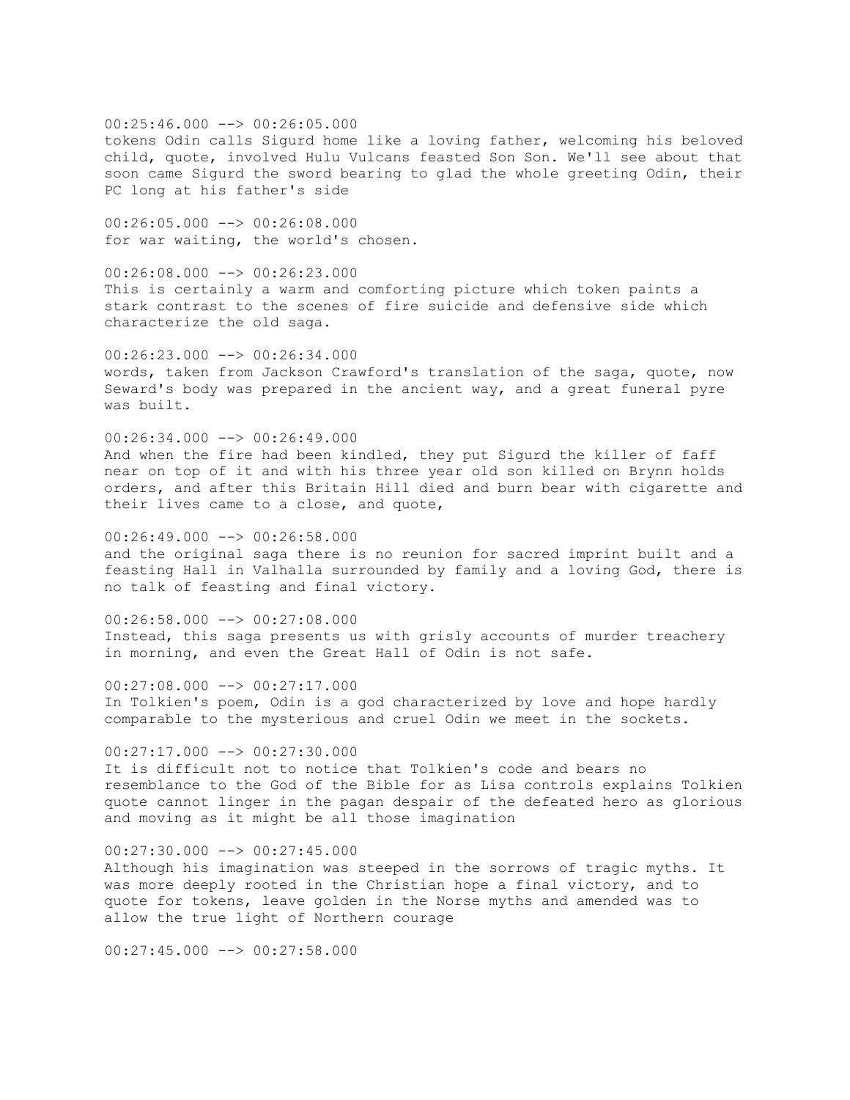00:25:46.000 --> 00:26:05.000 tokens Odin calls Sigurd home like a loving father, welcoming his beloved child, quote, involved Hulu Vulcans feasted Son Son. We'll see about that soon came Sigurd the sword bearing to glad the whole greeting Odin, their PC long at his father's side

00:26:05.000 --> 00:26:08.000 for war waiting, the world's chosen.

 $00:26:08.000$   $\longrightarrow$  00:26:23.000 This is certainly a warm and comforting picture which token paints a stark contrast to the scenes of fire suicide and defensive side which characterize the old saga.

00:26:23.000 --> 00:26:34.000 words, taken from Jackson Crawford's translation of the saga, quote, now Seward's body was prepared in the ancient way, and a great funeral pyre was built.

 $00:26:34.000$  -->  $00:26:49.000$ And when the fire had been kindled, they put Sigurd the killer of faff near on top of it and with his three year old son killed on Brynn holds orders, and after this Britain Hill died and burn bear with cigarette and their lives came to a close, and quote,

 $00:26:49.000$  -->  $00:26:58.000$ and the original saga there is no reunion for sacred imprint built and a feasting Hall in Valhalla surrounded by family and a loving God, there is no talk of feasting and final victory.

 $00:26:58.000$  -->  $00:27:08.000$ Instead, this saga presents us with grisly accounts of murder treachery in morning, and even the Great Hall of Odin is not safe.

 $00:27:08.000$  -->  $00:27:17.000$ In Tolkien's poem, Odin is a god characterized by love and hope hardly comparable to the mysterious and cruel Odin we meet in the sockets.

 $00:27:17.000$   $\longrightarrow$   $00:27:30.000$ It is difficult not to notice that Tolkien's code and bears no resemblance to the God of the Bible for as Lisa controls explains Tolkien quote cannot linger in the pagan despair of the defeated hero as glorious and moving as it might be all those imagination

 $00:27:30.000$  -->  $00:27:45.000$ Although his imagination was steeped in the sorrows of tragic myths. It was more deeply rooted in the Christian hope a final victory, and to quote for tokens, leave golden in the Norse myths and amended was to allow the true light of Northern courage

 $00:27:45.000$  -->  $00:27:58.000$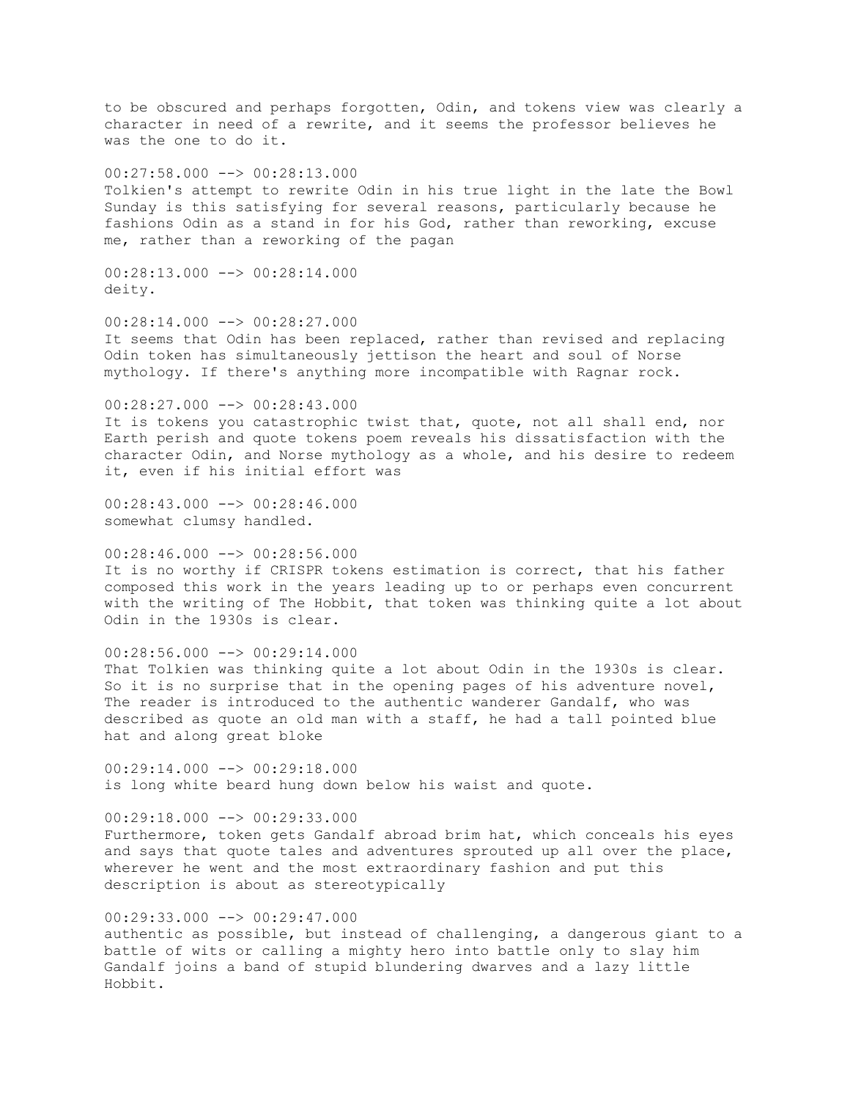to be obscured and perhaps forgotten, Odin, and tokens view was clearly a character in need of a rewrite, and it seems the professor believes he was the one to do it.  $00:27:58.000$   $\longrightarrow$   $00:28:13.000$ Tolkien's attempt to rewrite Odin in his true light in the late the Bowl Sunday is this satisfying for several reasons, particularly because he fashions Odin as a stand in for his God, rather than reworking, excuse me, rather than a reworking of the pagan  $00:28:13.000$  -->  $00:28:14.000$ deity. 00:28:14.000 --> 00:28:27.000 It seems that Odin has been replaced, rather than revised and replacing Odin token has simultaneously jettison the heart and soul of Norse mythology. If there's anything more incompatible with Ragnar rock. 00:28:27.000 --> 00:28:43.000 It is tokens you catastrophic twist that, quote, not all shall end, nor Earth perish and quote tokens poem reveals his dissatisfaction with the character Odin, and Norse mythology as a whole, and his desire to redeem it, even if his initial effort was  $00:28:43.000$  -->  $00:28:46.000$ somewhat clumsy handled. 00:28:46.000 --> 00:28:56.000 It is no worthy if CRISPR tokens estimation is correct, that his father composed this work in the years leading up to or perhaps even concurrent with the writing of The Hobbit, that token was thinking quite a lot about Odin in the 1930s is clear.  $00:28:56.000$  -->  $00:29:14.000$ That Tolkien was thinking quite a lot about Odin in the 1930s is clear. So it is no surprise that in the opening pages of his adventure novel, The reader is introduced to the authentic wanderer Gandalf, who was described as quote an old man with a staff, he had a tall pointed blue hat and along great bloke  $00:29:14.000$  -->  $00:29:18.000$ is long white beard hung down below his waist and quote. 00:29:18.000 --> 00:29:33.000 Furthermore, token gets Gandalf abroad brim hat, which conceals his eyes and says that quote tales and adventures sprouted up all over the place, wherever he went and the most extraordinary fashion and put this description is about as stereotypically 00:29:33.000 --> 00:29:47.000 authentic as possible, but instead of challenging, a dangerous giant to a battle of wits or calling a mighty hero into battle only to slay him Gandalf joins a band of stupid blundering dwarves and a lazy little

Hobbit.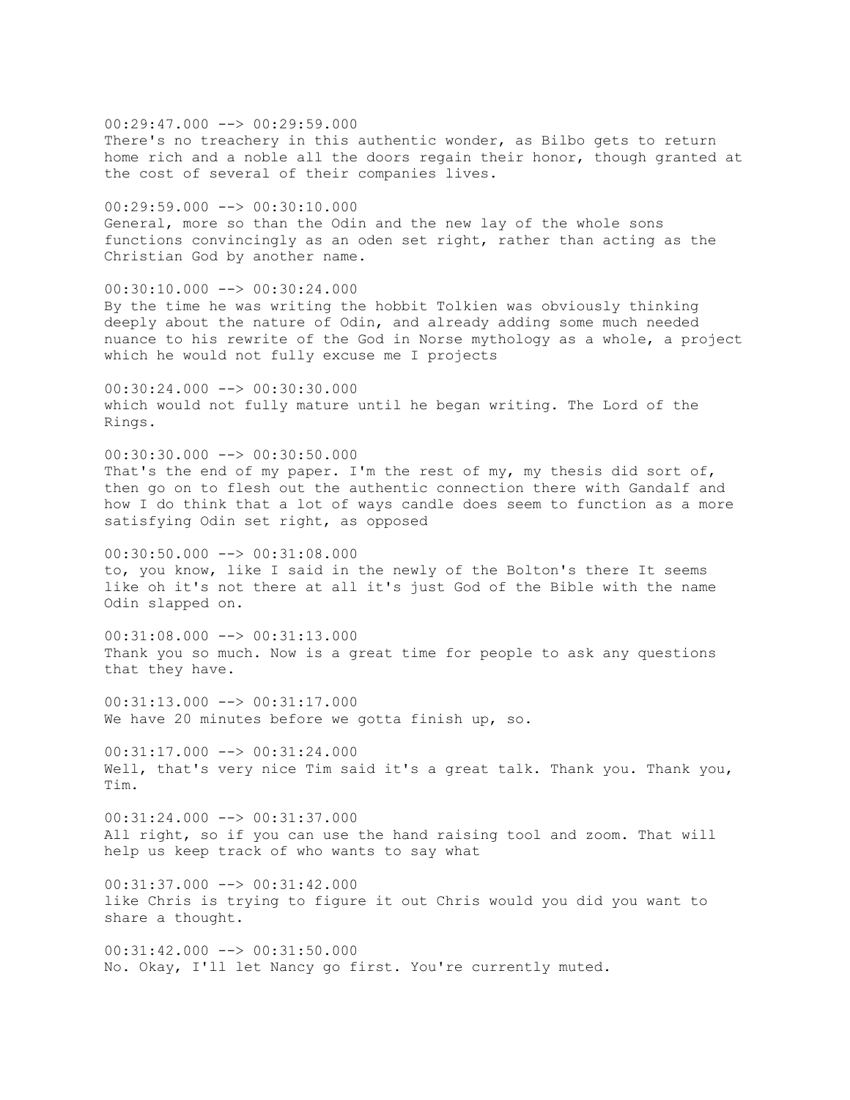$00:29:47.000$  -->  $00:29:59.000$ There's no treachery in this authentic wonder, as Bilbo gets to return home rich and a noble all the doors regain their honor, though granted at the cost of several of their companies lives. 00:29:59.000 --> 00:30:10.000 General, more so than the Odin and the new lay of the whole sons functions convincingly as an oden set right, rather than acting as the Christian God by another name. 00:30:10.000 --> 00:30:24.000 By the time he was writing the hobbit Tolkien was obviously thinking deeply about the nature of Odin, and already adding some much needed nuance to his rewrite of the God in Norse mythology as a whole, a project which he would not fully excuse me I projects  $00:30:24.000$  -->  $00:30:30.000$ which would not fully mature until he began writing. The Lord of the Rings.  $00:30:30.000$  -->  $00:30:50.000$ That's the end of my paper. I'm the rest of my, my thesis did sort of, then go on to flesh out the authentic connection there with Gandalf and how I do think that a lot of ways candle does seem to function as a more satisfying Odin set right, as opposed 00:30:50.000 --> 00:31:08.000 to, you know, like I said in the newly of the Bolton's there It seems like oh it's not there at all it's just God of the Bible with the name Odin slapped on. 00:31:08.000 --> 00:31:13.000 Thank you so much. Now is a great time for people to ask any questions that they have. 00:31:13.000 --> 00:31:17.000 We have 20 minutes before we gotta finish up, so.  $00:31:17.000$   $\rightarrow$   $00:31:24.000$ Well, that's very nice Tim said it's a great talk. Thank you. Thank you, Tim. 00:31:24.000 --> 00:31:37.000 All right, so if you can use the hand raising tool and zoom. That will help us keep track of who wants to say what  $00:31:37.000$   $\rightarrow$   $00:31:42.000$ like Chris is trying to figure it out Chris would you did you want to share a thought.  $00:31:42.000$   $\rightarrow$   $00:31:50.000$ No. Okay, I'll let Nancy go first. You're currently muted.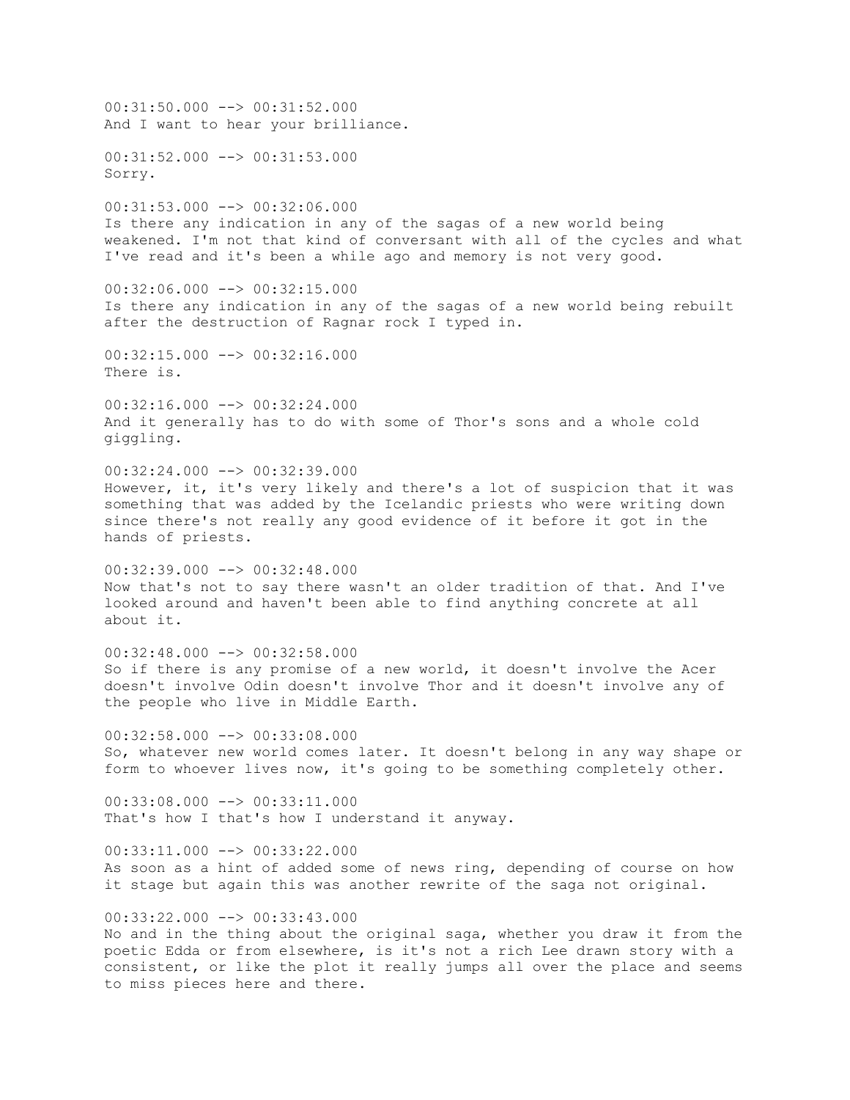00:31:50.000 --> 00:31:52.000 And I want to hear your brilliance. 00:31:52.000 --> 00:31:53.000 Sorry. 00:31:53.000 --> 00:32:06.000 Is there any indication in any of the sagas of a new world being weakened. I'm not that kind of conversant with all of the cycles and what I've read and it's been a while ago and memory is not very good. 00:32:06.000 --> 00:32:15.000 Is there any indication in any of the sagas of a new world being rebuilt after the destruction of Ragnar rock I typed in. 00:32:15.000 --> 00:32:16.000 There is. 00:32:16.000 --> 00:32:24.000 And it generally has to do with some of Thor's sons and a whole cold giggling. 00:32:24.000 --> 00:32:39.000 However, it, it's very likely and there's a lot of suspicion that it was something that was added by the Icelandic priests who were writing down since there's not really any good evidence of it before it got in the hands of priests. 00:32:39.000 --> 00:32:48.000 Now that's not to say there wasn't an older tradition of that. And I've looked around and haven't been able to find anything concrete at all about it.  $00:32:48.000$  -->  $00:32:58.000$ So if there is any promise of a new world, it doesn't involve the Acer doesn't involve Odin doesn't involve Thor and it doesn't involve any of the people who live in Middle Earth.  $00:32:58.000$  -->  $00:33:08.000$ So, whatever new world comes later. It doesn't belong in any way shape or form to whoever lives now, it's going to be something completely other. 00:33:08.000 --> 00:33:11.000 That's how I that's how I understand it anyway.  $00:33:11.000$   $\rightarrow$   $00:33:22.000$ As soon as a hint of added some of news ring, depending of course on how it stage but again this was another rewrite of the saga not original. 00:33:22.000 --> 00:33:43.000 No and in the thing about the original saga, whether you draw it from the poetic Edda or from elsewhere, is it's not a rich Lee drawn story with a consistent, or like the plot it really jumps all over the place and seems to miss pieces here and there.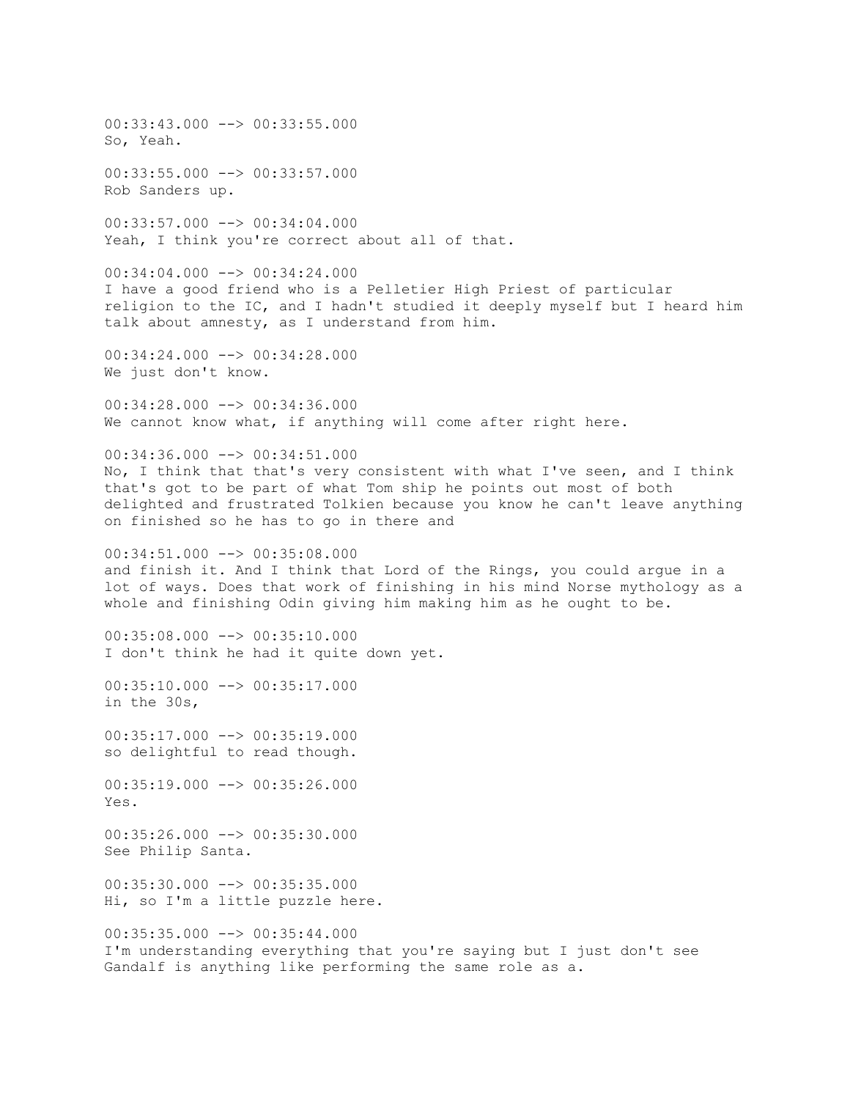00:33:43.000 --> 00:33:55.000 So, Yeah. 00:33:55.000 --> 00:33:57.000 Rob Sanders up. 00:33:57.000 --> 00:34:04.000 Yeah, I think you're correct about all of that.  $00:34:04.000$  -->  $00:34:24.000$ I have a good friend who is a Pelletier High Priest of particular religion to the IC, and I hadn't studied it deeply myself but I heard him talk about amnesty, as I understand from him. 00:34:24.000 --> 00:34:28.000 We just don't know. 00:34:28.000 --> 00:34:36.000 We cannot know what, if anything will come after right here.  $00:34:36.000$  -->  $00:34:51.000$ No, I think that that's very consistent with what I've seen, and I think that's got to be part of what Tom ship he points out most of both delighted and frustrated Tolkien because you know he can't leave anything on finished so he has to go in there and  $00:34:51.000$   $\rightarrow$   $00:35:08.000$ and finish it. And I think that Lord of the Rings, you could argue in a lot of ways. Does that work of finishing in his mind Norse mythology as a whole and finishing Odin giving him making him as he ought to be.  $00:35:08.000$  -->  $00:35:10.000$ I don't think he had it quite down yet.  $00:35:10.000$  -->  $00:35:17.000$ in the 30s,  $00:35:17.000$  -->  $00:35:19.000$ so delightful to read though.  $00:35:19.000$  -->  $00:35:26.000$ Yes. 00:35:26.000 --> 00:35:30.000 See Philip Santa.  $00:35:30.000$   $\rightarrow$   $\rightarrow$  00:35:35.000 Hi, so I'm a little puzzle here. 00:35:35.000 --> 00:35:44.000 I'm understanding everything that you're saying but I just don't see Gandalf is anything like performing the same role as a.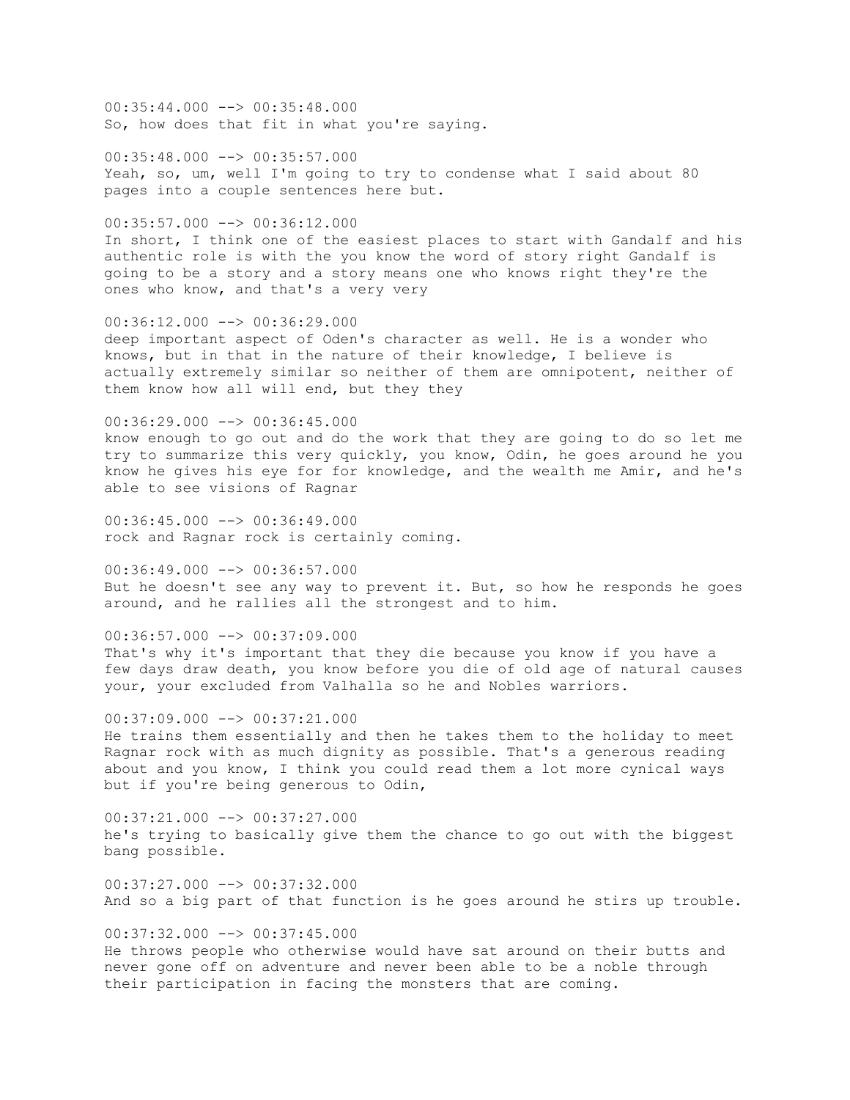$00:35:44.000$  -->  $00:35:48.000$ So, how does that fit in what you're saying.

 $00:35:48.000$  -->  $00:35:57.000$ Yeah, so, um, well I'm going to try to condense what I said about 80 pages into a couple sentences here but.

00:35:57.000 --> 00:36:12.000 In short, I think one of the easiest places to start with Gandalf and his authentic role is with the you know the word of story right Gandalf is going to be a story and a story means one who knows right they're the ones who know, and that's a very very

00:36:12.000 --> 00:36:29.000 deep important aspect of Oden's character as well. He is a wonder who knows, but in that in the nature of their knowledge, I believe is actually extremely similar so neither of them are omnipotent, neither of them know how all will end, but they they

 $00:36:29.000$  -->  $00:36:45.000$ know enough to go out and do the work that they are going to do so let me try to summarize this very quickly, you know, Odin, he goes around he you know he gives his eye for for knowledge, and the wealth me Amir, and he's able to see visions of Ragnar

 $00:36:45.000$  -->  $00:36:49.000$ rock and Ragnar rock is certainly coming.

00:36:49.000 --> 00:36:57.000 But he doesn't see any way to prevent it. But, so how he responds he goes around, and he rallies all the strongest and to him.

 $00:36:57.000$  -->  $00:37:09.000$ That's why it's important that they die because you know if you have a few days draw death, you know before you die of old age of natural causes your, your excluded from Valhalla so he and Nobles warriors.

 $00:37:09.000$  -->  $00:37:21.000$ He trains them essentially and then he takes them to the holiday to meet Ragnar rock with as much dignity as possible. That's a generous reading about and you know, I think you could read them a lot more cynical ways but if you're being generous to Odin,

00:37:21.000 --> 00:37:27.000 he's trying to basically give them the chance to go out with the biggest bang possible.

 $00:37:27.000$   $\rightarrow$   $00:37:32.000$ And so a big part of that function is he goes around he stirs up trouble.

 $00:37:32.000$  -->  $00:37:45.000$ He throws people who otherwise would have sat around on their butts and never gone off on adventure and never been able to be a noble through their participation in facing the monsters that are coming.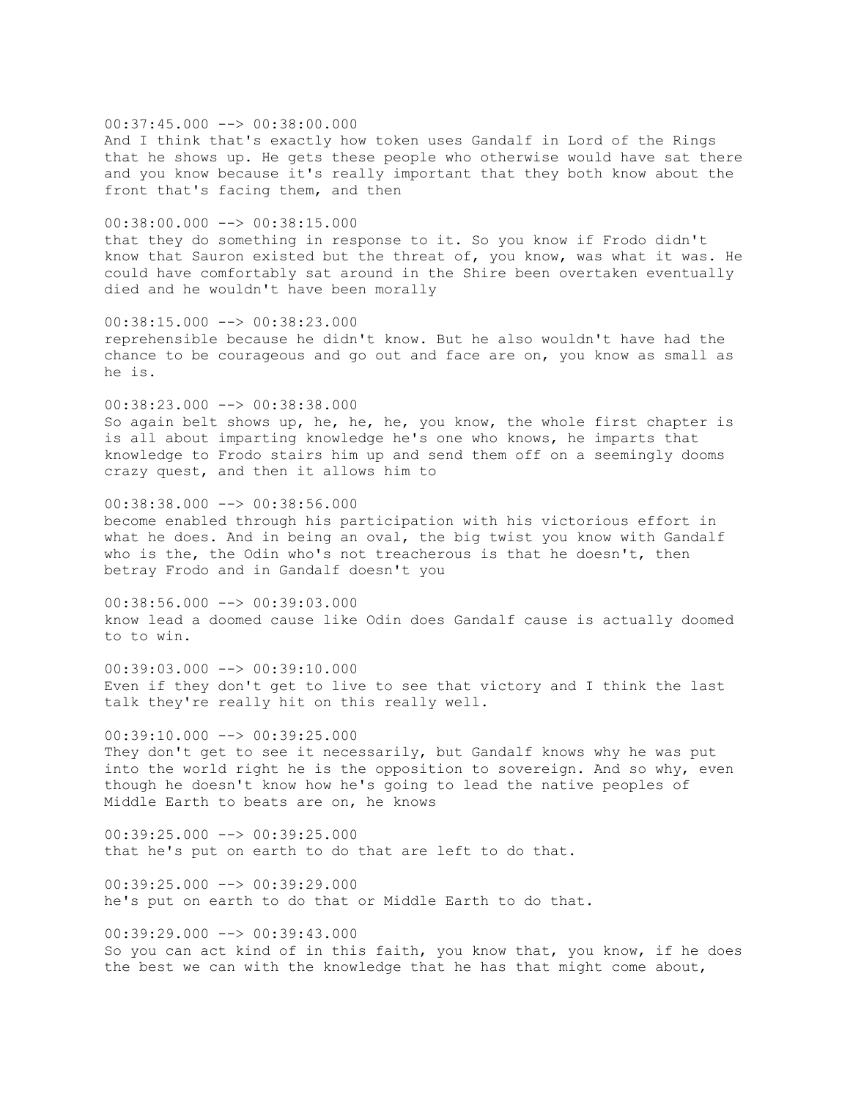00:37:45.000 --> 00:38:00.000 And I think that's exactly how token uses Gandalf in Lord of the Rings that he shows up. He gets these people who otherwise would have sat there and you know because it's really important that they both know about the front that's facing them, and then

00:38:00.000 --> 00:38:15.000 that they do something in response to it. So you know if Frodo didn't know that Sauron existed but the threat of, you know, was what it was. He could have comfortably sat around in the Shire been overtaken eventually

died and he wouldn't have been morally

he is.

00:38:15.000 --> 00:38:23.000 reprehensible because he didn't know. But he also wouldn't have had the chance to be courageous and go out and face are on, you know as small as

00:38:23.000 --> 00:38:38.000 So again belt shows up, he, he, he, you know, the whole first chapter is is all about imparting knowledge he's one who knows, he imparts that knowledge to Frodo stairs him up and send them off on a seemingly dooms crazy quest, and then it allows him to

00:38:38.000 --> 00:38:56.000 become enabled through his participation with his victorious effort in what he does. And in being an oval, the big twist you know with Gandalf who is the, the Odin who's not treacherous is that he doesn't, then betray Frodo and in Gandalf doesn't you

00:38:56.000 --> 00:39:03.000 know lead a doomed cause like Odin does Gandalf cause is actually doomed to to win.

00:39:03.000 --> 00:39:10.000 Even if they don't get to live to see that victory and I think the last talk they're really hit on this really well.

 $00:39:10.000$  -->  $00:39:25.000$ They don't get to see it necessarily, but Gandalf knows why he was put into the world right he is the opposition to sovereign. And so why, even though he doesn't know how he's going to lead the native peoples of Middle Earth to beats are on, he knows

 $00:39:25.000$  -->  $00:39:25.000$ that he's put on earth to do that are left to do that.

 $00:39:25.000$   $\rightarrow$   $00:39:29.000$ he's put on earth to do that or Middle Earth to do that.

00:39:29.000 --> 00:39:43.000 So you can act kind of in this faith, you know that, you know, if he does the best we can with the knowledge that he has that might come about,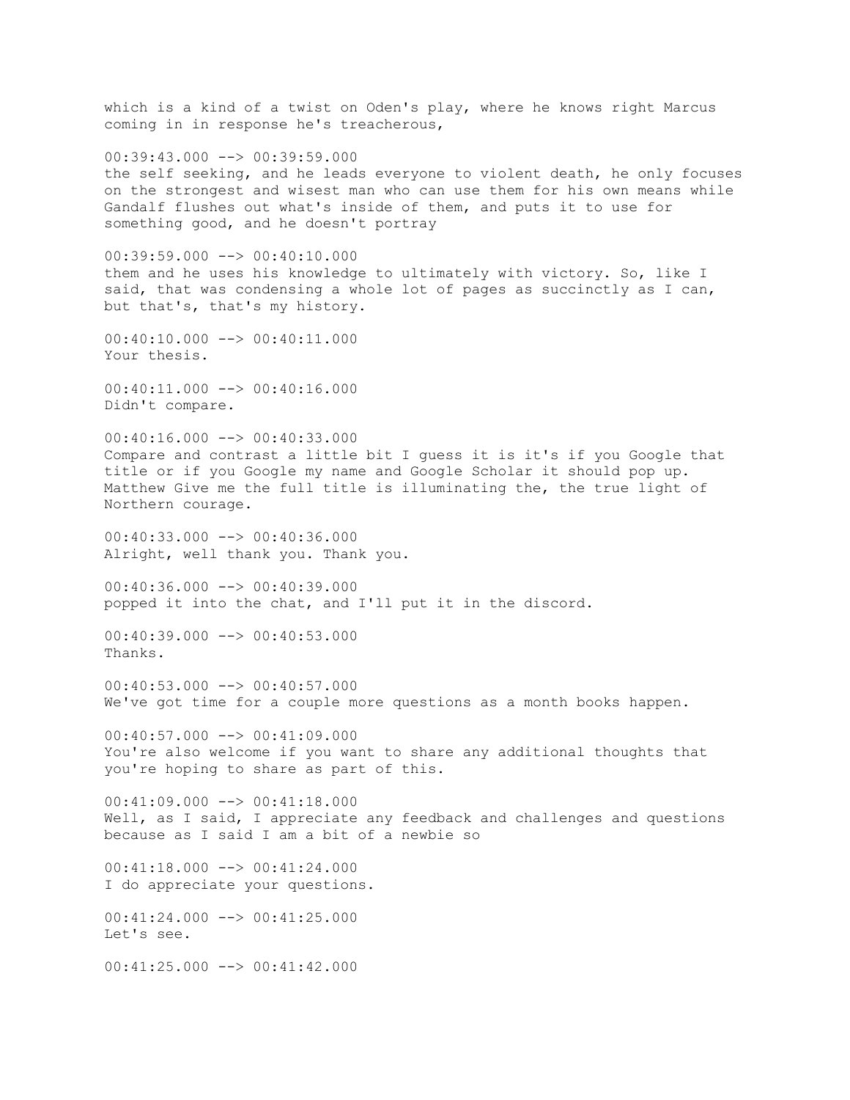which is a kind of a twist on Oden's play, where he knows right Marcus coming in in response he's treacherous,  $00:39:43.000$   $\rightarrow$   $\rightarrow$  00:39:59.000 the self seeking, and he leads everyone to violent death, he only focuses on the strongest and wisest man who can use them for his own means while Gandalf flushes out what's inside of them, and puts it to use for something good, and he doesn't portray  $00:39:59.000$  -->  $00:40:10.000$ them and he uses his knowledge to ultimately with victory. So, like I said, that was condensing a whole lot of pages as succinctly as I can, but that's, that's my history. 00:40:10.000 --> 00:40:11.000 Your thesis.  $00:40:11.000$  -->  $00:40:16.000$ Didn't compare.  $00:40:16.000$  -->  $00:40:33.000$ Compare and contrast a little bit I guess it is it's if you Google that title or if you Google my name and Google Scholar it should pop up. Matthew Give me the full title is illuminating the, the true light of Northern courage. 00:40:33.000 --> 00:40:36.000 Alright, well thank you. Thank you. 00:40:36.000 --> 00:40:39.000 popped it into the chat, and I'll put it in the discord.  $00:40:39.000$  -->  $00:40:53.000$ Thanks.  $00:40:53.000$  -->  $00:40:57.000$ We've got time for a couple more questions as a month books happen.  $00:40:57.000$  -->  $00:41:09.000$ You're also welcome if you want to share any additional thoughts that you're hoping to share as part of this.  $00:41:09.000$  -->  $00:41:18.000$ Well, as I said, I appreciate any feedback and challenges and questions because as I said I am a bit of a newbie so  $00:41:18.000$  -->  $00:41:24.000$ I do appreciate your questions. 00:41:24.000 --> 00:41:25.000 Let's see.  $00:41:25.000$  -->  $00:41:42.000$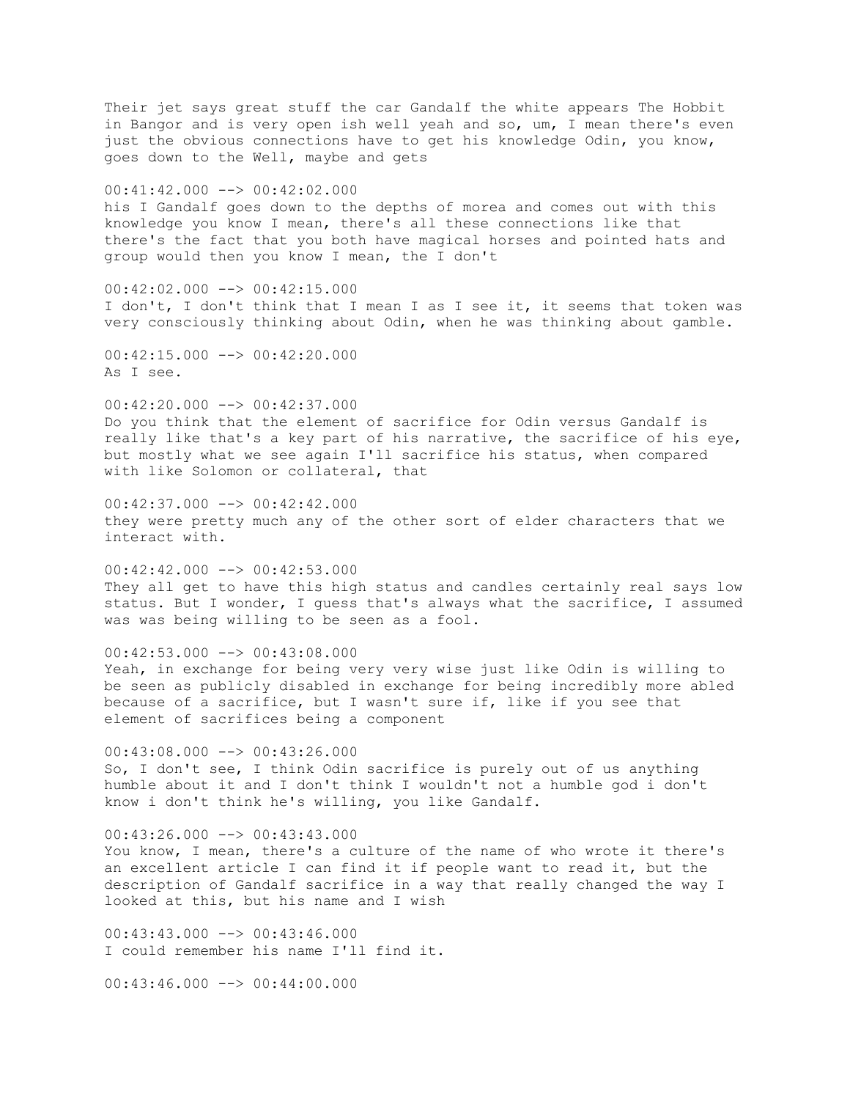Their jet says great stuff the car Gandalf the white appears The Hobbit in Bangor and is very open ish well yeah and so, um, I mean there's even just the obvious connections have to get his knowledge Odin, you know, goes down to the Well, maybe and gets 00:41:42.000 --> 00:42:02.000 his I Gandalf goes down to the depths of morea and comes out with this knowledge you know I mean, there's all these connections like that there's the fact that you both have magical horses and pointed hats and group would then you know I mean, the I don't 00:42:02.000 --> 00:42:15.000 I don't, I don't think that I mean I as I see it, it seems that token was very consciously thinking about Odin, when he was thinking about gamble.  $00:42:15.000$   $\longrightarrow$  00:42:20.000 As I see. 00:42:20.000 --> 00:42:37.000 Do you think that the element of sacrifice for Odin versus Gandalf is really like that's a key part of his narrative, the sacrifice of his eye, but mostly what we see again I'll sacrifice his status, when compared with like Solomon or collateral, that  $00:42:37.000$  -->  $00:42:42.000$ they were pretty much any of the other sort of elder characters that we interact with. 00:42:42.000 --> 00:42:53.000 They all get to have this high status and candles certainly real says low status. But I wonder, I guess that's always what the sacrifice, I assumed was was being willing to be seen as a fool.  $00:42:53.000$  -->  $00:43:08.000$ Yeah, in exchange for being very very wise just like Odin is willing to be seen as publicly disabled in exchange for being incredibly more abled because of a sacrifice, but I wasn't sure if, like if you see that element of sacrifices being a component  $00:43:08.000$  -->  $00:43:26.000$ So, I don't see, I think Odin sacrifice is purely out of us anything humble about it and I don't think I wouldn't not a humble god i don't know i don't think he's willing, you like Gandalf.  $00:43:26.000$  -->  $00:43:43.000$ You know, I mean, there's a culture of the name of who wrote it there's an excellent article I can find it if people want to read it, but the description of Gandalf sacrifice in a way that really changed the way I looked at this, but his name and I wish  $00:43:43.000$  -->  $00:43:46.000$ I could remember his name I'll find it.

 $00:43:46.000$   $\longrightarrow$  00:44:00.000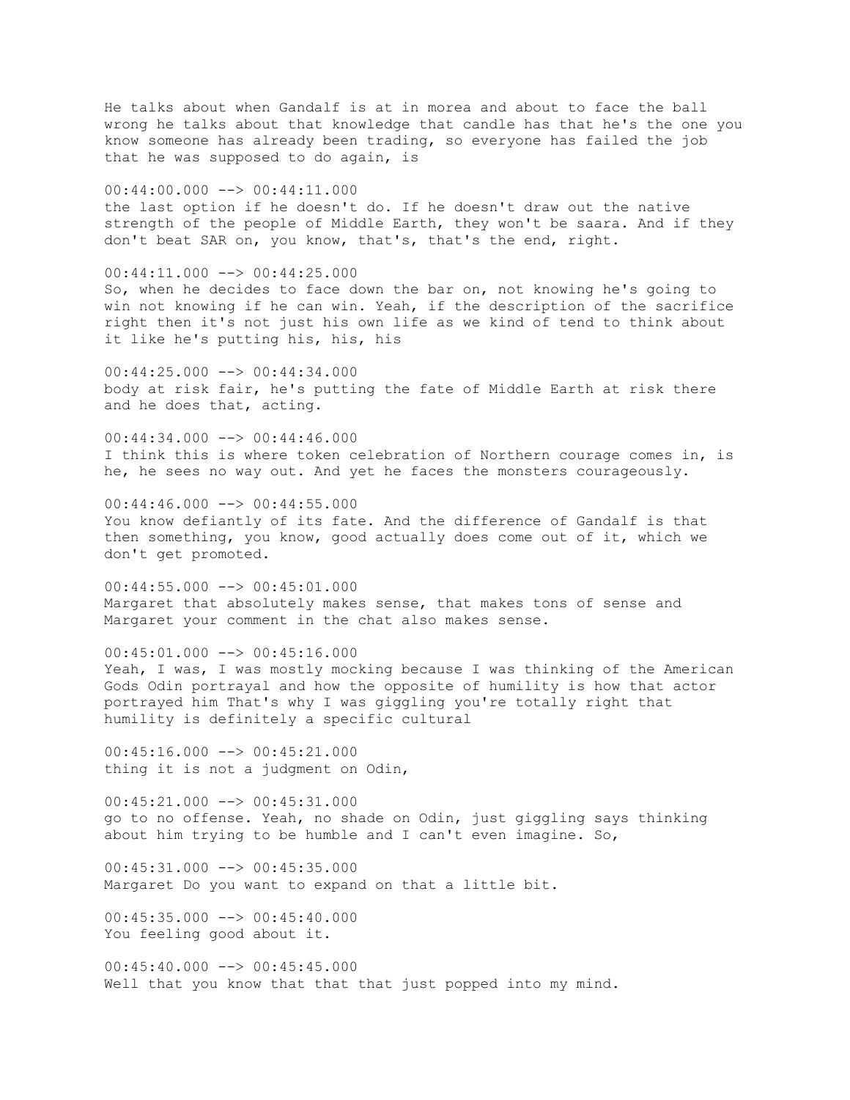He talks about when Gandalf is at in morea and about to face the ball wrong he talks about that knowledge that candle has that he's the one you know someone has already been trading, so everyone has failed the job that he was supposed to do again, is 00:44:00.000 --> 00:44:11.000 the last option if he doesn't do. If he doesn't draw out the native strength of the people of Middle Earth, they won't be saara. And if they don't beat SAR on, you know, that's, that's the end, right.  $00:44:11.000$  -->  $00:44:25.000$ So, when he decides to face down the bar on, not knowing he's going to win not knowing if he can win. Yeah, if the description of the sacrifice right then it's not just his own life as we kind of tend to think about it like he's putting his, his, his 00:44:25.000 --> 00:44:34.000 body at risk fair, he's putting the fate of Middle Earth at risk there and he does that, acting.  $00:44:34.000$  -->  $00:44:46.000$ I think this is where token celebration of Northern courage comes in, is he, he sees no way out. And yet he faces the monsters courageously.  $00:44:46.000$  -->  $00:44:55.000$ You know defiantly of its fate. And the difference of Gandalf is that then something, you know, good actually does come out of it, which we don't get promoted. 00:44:55.000 --> 00:45:01.000 Margaret that absolutely makes sense, that makes tons of sense and Margaret your comment in the chat also makes sense.  $00:45:01.000$  -->  $00:45:16.000$ Yeah, I was, I was mostly mocking because I was thinking of the American Gods Odin portrayal and how the opposite of humility is how that actor portrayed him That's why I was giggling you're totally right that humility is definitely a specific cultural  $00:45:16.000$   $\longrightarrow$   $00:45:21.000$ thing it is not a judgment on Odin, 00:45:21.000 --> 00:45:31.000 go to no offense. Yeah, no shade on Odin, just giggling says thinking about him trying to be humble and I can't even imagine. So,  $00:45:31.000$  -->  $00:45:35.000$ Margaret Do you want to expand on that a little bit.

 $00:45:35.000$  -->  $00:45:40.000$ You feeling good about it.

 $00:45:40.000$  -->  $00:45:45.000$ Well that you know that that that just popped into my mind.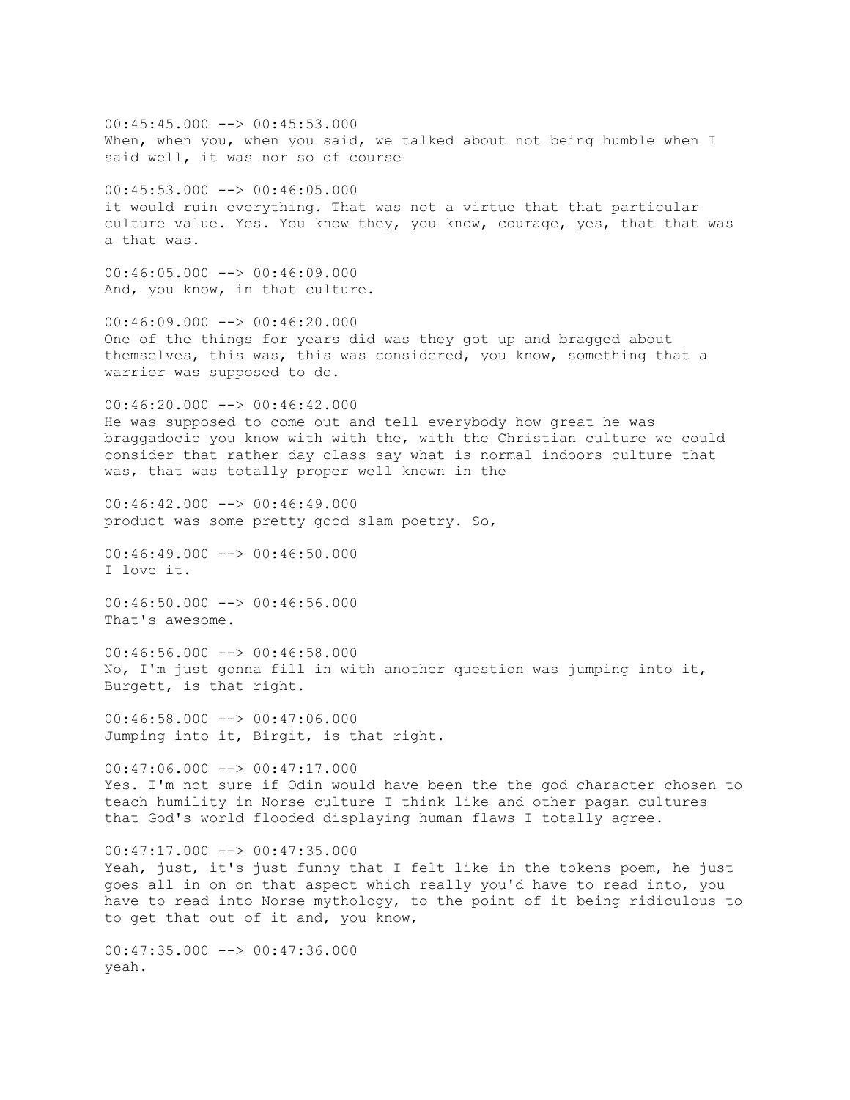00:45:45.000 --> 00:45:53.000 When, when you, when you said, we talked about not being humble when I said well, it was nor so of course  $00:45:53.000$  -->  $00:46:05.000$ it would ruin everything. That was not a virtue that that particular culture value. Yes. You know they, you know, courage, yes, that that was a that was.  $00:46:05.000$  -->  $00:46:09.000$ And, you know, in that culture.  $00:46:09.000$  -->  $00:46:20.000$ One of the things for years did was they got up and bragged about themselves, this was, this was considered, you know, something that a warrior was supposed to do. 00:46:20.000 --> 00:46:42.000 He was supposed to come out and tell everybody how great he was braggadocio you know with with the, with the Christian culture we could consider that rather day class say what is normal indoors culture that was, that was totally proper well known in the  $00:46:42.000$  -->  $00:46:49.000$ product was some pretty good slam poetry. So,  $00:46:49.000$   $\longrightarrow$  00:46:50.000 I love it. 00:46:50.000 --> 00:46:56.000 That's awesome.  $00:46:56.000$  -->  $00:46:58.000$ No, I'm just gonna fill in with another question was jumping into it, Burgett, is that right.  $00:46:58.000$  -->  $00:47:06.000$ Jumping into it, Birgit, is that right.  $00:47:06.000$  -->  $00:47:17.000$ Yes. I'm not sure if Odin would have been the the god character chosen to teach humility in Norse culture I think like and other pagan cultures that God's world flooded displaying human flaws I totally agree.  $00:47:17.000$   $\longrightarrow$   $00:47:35.000$ Yeah, just, it's just funny that I felt like in the tokens poem, he just goes all in on on that aspect which really you'd have to read into, you have to read into Norse mythology, to the point of it being ridiculous to to get that out of it and, you know,  $00:47:35.000$  -->  $00:47:36.000$ yeah.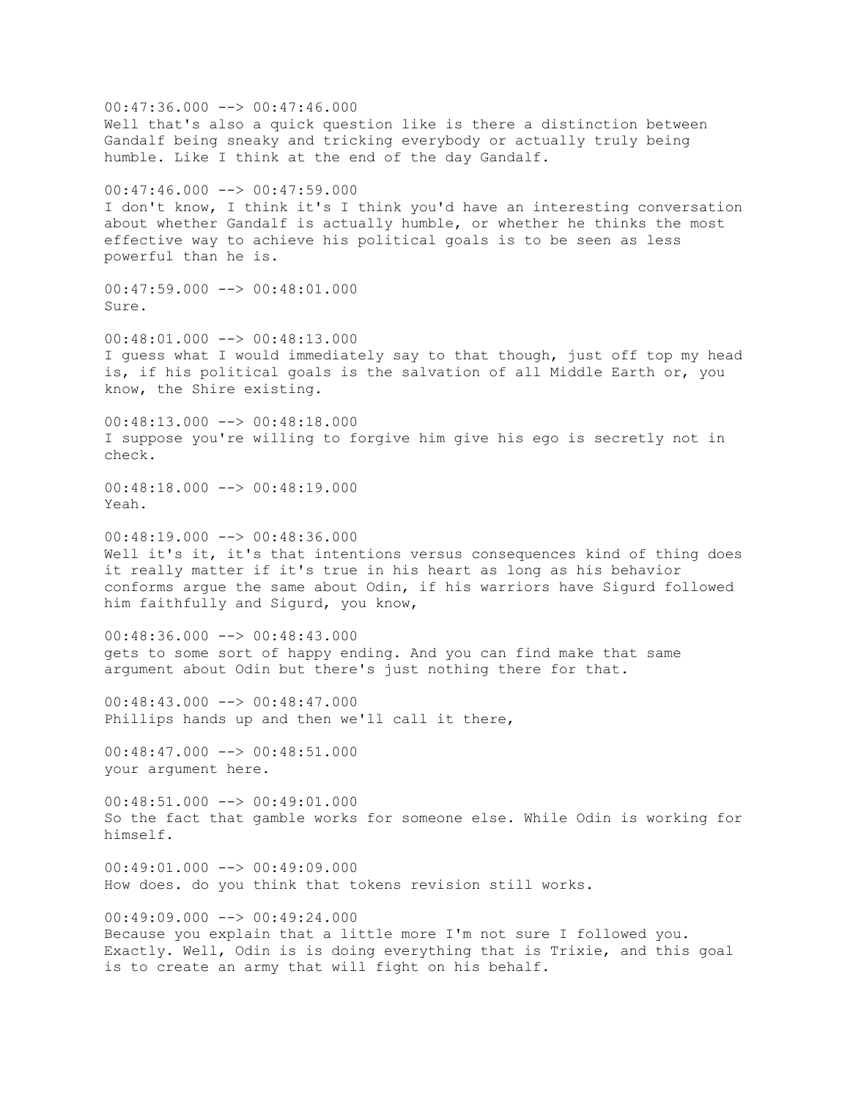$00:47:36.000$  -->  $00:47:46.000$ Well that's also a quick question like is there a distinction between Gandalf being sneaky and tricking everybody or actually truly being humble. Like I think at the end of the day Gandalf. 00:47:46.000 --> 00:47:59.000 I don't know, I think it's I think you'd have an interesting conversation about whether Gandalf is actually humble, or whether he thinks the most effective way to achieve his political goals is to be seen as less powerful than he is.  $00:47:59.000$  -->  $00:48:01.000$ Sure.  $00:48:01.000$  -->  $00:48:13.000$ I guess what I would immediately say to that though, just off top my head is, if his political goals is the salvation of all Middle Earth or, you know, the Shire existing.  $00:48:13.000$  -->  $00:48:18.000$ I suppose you're willing to forgive him give his ego is secretly not in check. 00:48:18.000 --> 00:48:19.000 Yeah.  $00:48:19.000$  -->  $00:48:36.000$ Well it's it, it's that intentions versus consequences kind of thing does it really matter if it's true in his heart as long as his behavior conforms argue the same about Odin, if his warriors have Sigurd followed him faithfully and Sigurd, you know,  $00:48:36.000$  -->  $00:48:43.000$ gets to some sort of happy ending. And you can find make that same argument about Odin but there's just nothing there for that. 00:48:43.000 --> 00:48:47.000 Phillips hands up and then we'll call it there,  $00:48:47.000$  -->  $00:48:51.000$ your argument here. 00:48:51.000 --> 00:49:01.000 So the fact that gamble works for someone else. While Odin is working for himself.  $00:49:01.000$   $\longrightarrow$  00:49:09.000 How does. do you think that tokens revision still works.  $00:49:09.000$  -->  $00:49:24.000$ Because you explain that a little more I'm not sure I followed you. Exactly. Well, Odin is is doing everything that is Trixie, and this goal is to create an army that will fight on his behalf.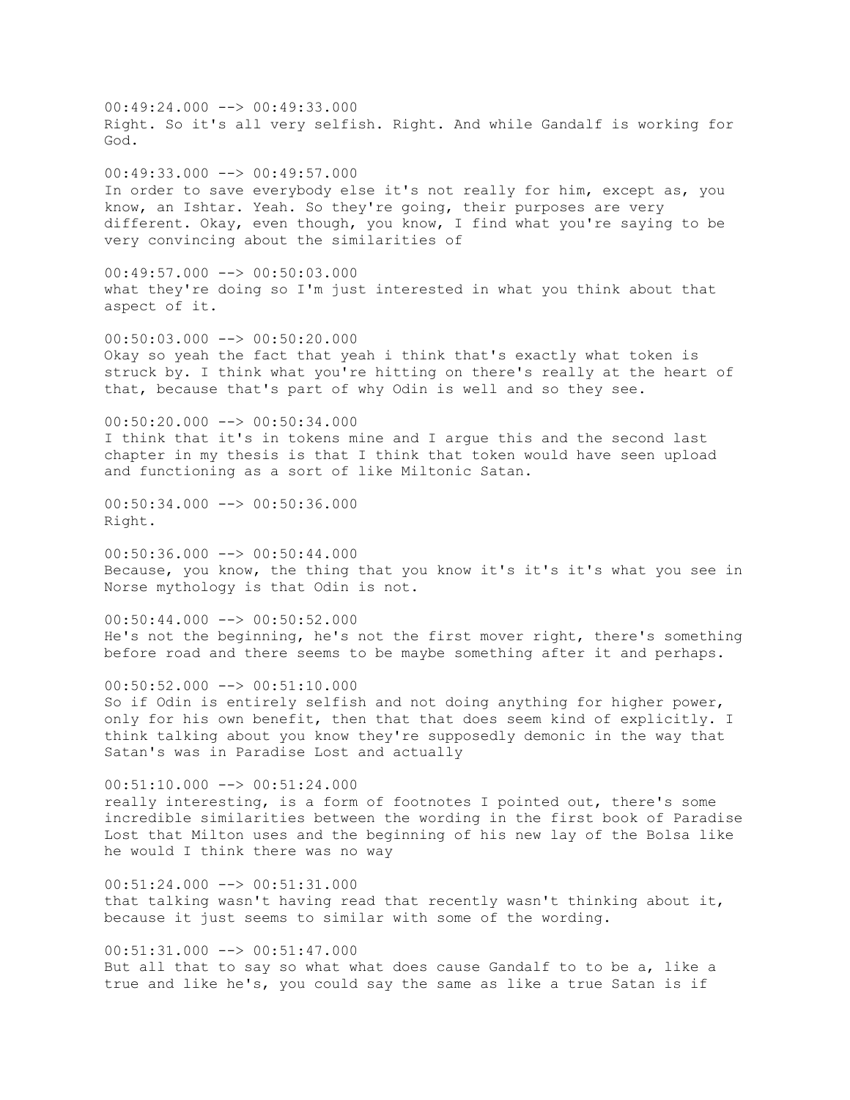00:49:24.000 --> 00:49:33.000 Right. So it's all very selfish. Right. And while Gandalf is working for God. 00:49:33.000 --> 00:49:57.000 In order to save everybody else it's not really for him, except as, you know, an Ishtar. Yeah. So they're going, their purposes are very different. Okay, even though, you know, I find what you're saying to be very convincing about the similarities of  $00:49:57.000$   $\longrightarrow$  00:50:03.000 what they're doing so I'm just interested in what you think about that aspect of it.  $00:50:03.000$  -->  $00:50:20.000$ Okay so yeah the fact that yeah i think that's exactly what token is struck by. I think what you're hitting on there's really at the heart of that, because that's part of why Odin is well and so they see.  $00:50:20.000$  -->  $00:50:34.000$ I think that it's in tokens mine and I argue this and the second last chapter in my thesis is that I think that token would have seen upload and functioning as a sort of like Miltonic Satan.  $00:50:34.000$  -->  $00:50:36.000$ Right.  $00:50:36.000$   $\rightarrow$   $\rightarrow$  00:50:44.000 Because, you know, the thing that you know it's it's it's what you see in Norse mythology is that Odin is not.  $00:50:44.000$  -->  $00:50:52.000$ He's not the beginning, he's not the first mover right, there's something before road and there seems to be maybe something after it and perhaps.  $00:50:52.000$   $\longrightarrow$   $00:51:10.000$ So if Odin is entirely selfish and not doing anything for higher power, only for his own benefit, then that that does seem kind of explicitly. I think talking about you know they're supposedly demonic in the way that Satan's was in Paradise Lost and actually 00:51:10.000 --> 00:51:24.000 really interesting, is a form of footnotes I pointed out, there's some incredible similarities between the wording in the first book of Paradise Lost that Milton uses and the beginning of his new lay of the Bolsa like he would I think there was no way  $00:51:24.000$   $\rightarrow$   $00:51:31.000$ that talking wasn't having read that recently wasn't thinking about it, because it just seems to similar with some of the wording.

 $00:51:31.000$  -->  $00:51:47.000$ But all that to say so what what does cause Gandalf to to be a, like a true and like he's, you could say the same as like a true Satan is if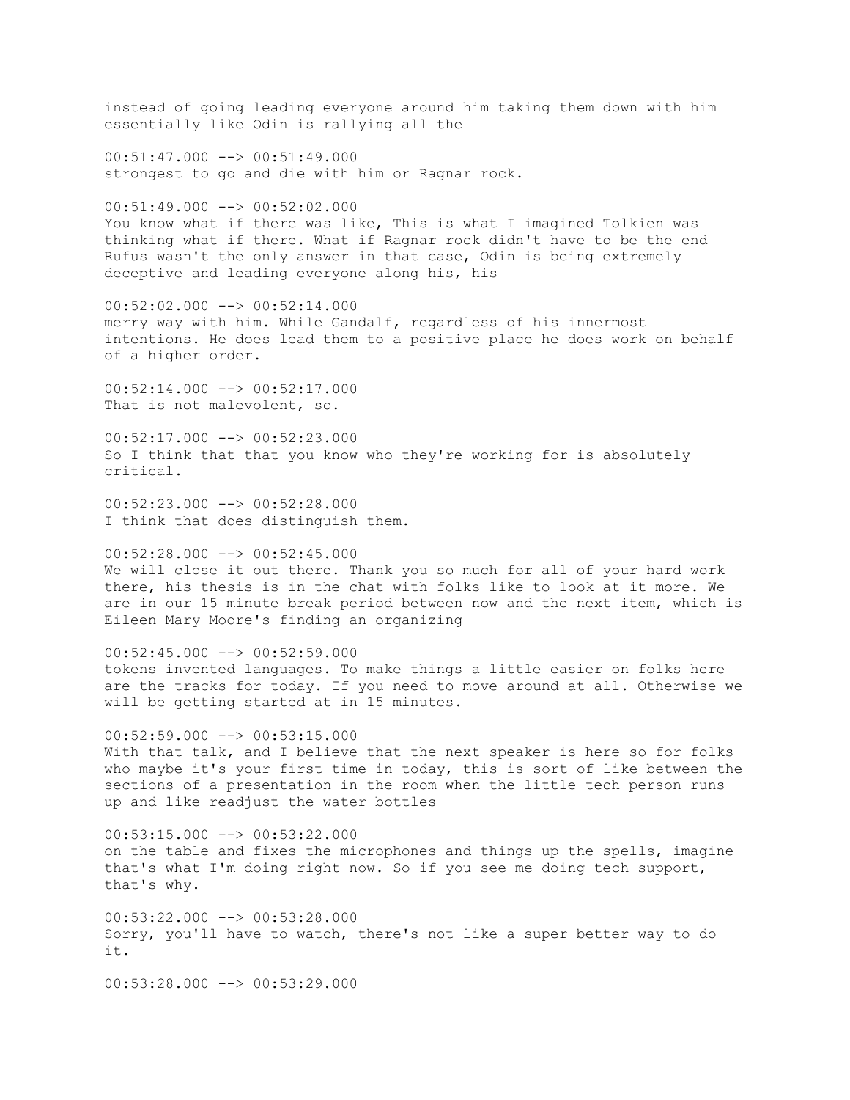instead of going leading everyone around him taking them down with him essentially like Odin is rallying all the  $00:51:47.000$   $\longrightarrow$   $00:51:49.000$ strongest to go and die with him or Ragnar rock.  $00:51:49.000$  -->  $00:52:02.000$ You know what if there was like, This is what I imagined Tolkien was thinking what if there. What if Ragnar rock didn't have to be the end Rufus wasn't the only answer in that case, Odin is being extremely deceptive and leading everyone along his, his 00:52:02.000 --> 00:52:14.000 merry way with him. While Gandalf, regardless of his innermost intentions. He does lead them to a positive place he does work on behalf of a higher order.  $00:52:14.000$  -->  $00:52:17.000$ That is not malevolent, so. 00:52:17.000 --> 00:52:23.000 So I think that that you know who they're working for is absolutely critical.  $00:52:23.000$  -->  $00:52:28.000$ I think that does distinguish them.  $00:52:28.000$  -->  $00:52:45.000$ We will close it out there. Thank you so much for all of your hard work there, his thesis is in the chat with folks like to look at it more. We are in our 15 minute break period between now and the next item, which is Eileen Mary Moore's finding an organizing  $00:52:45.000$   $\rightarrow$   $\rightarrow$  00:52:59.000 tokens invented languages. To make things a little easier on folks here are the tracks for today. If you need to move around at all. Otherwise we will be getting started at in 15 minutes.  $00:52:59.000$  -->  $00:53:15.000$ With that talk, and I believe that the next speaker is here so for folks who maybe it's your first time in today, this is sort of like between the sections of a presentation in the room when the little tech person runs up and like readjust the water bottles 00:53:15.000 --> 00:53:22.000 on the table and fixes the microphones and things up the spells, imagine that's what I'm doing right now. So if you see me doing tech support, that's why.  $00:53:22.000$  -->  $00:53:28.000$ Sorry, you'll have to watch, there's not like a super better way to do it.  $00:53:28.000$   $\rightarrow$   $\rightarrow$  00:53:29.000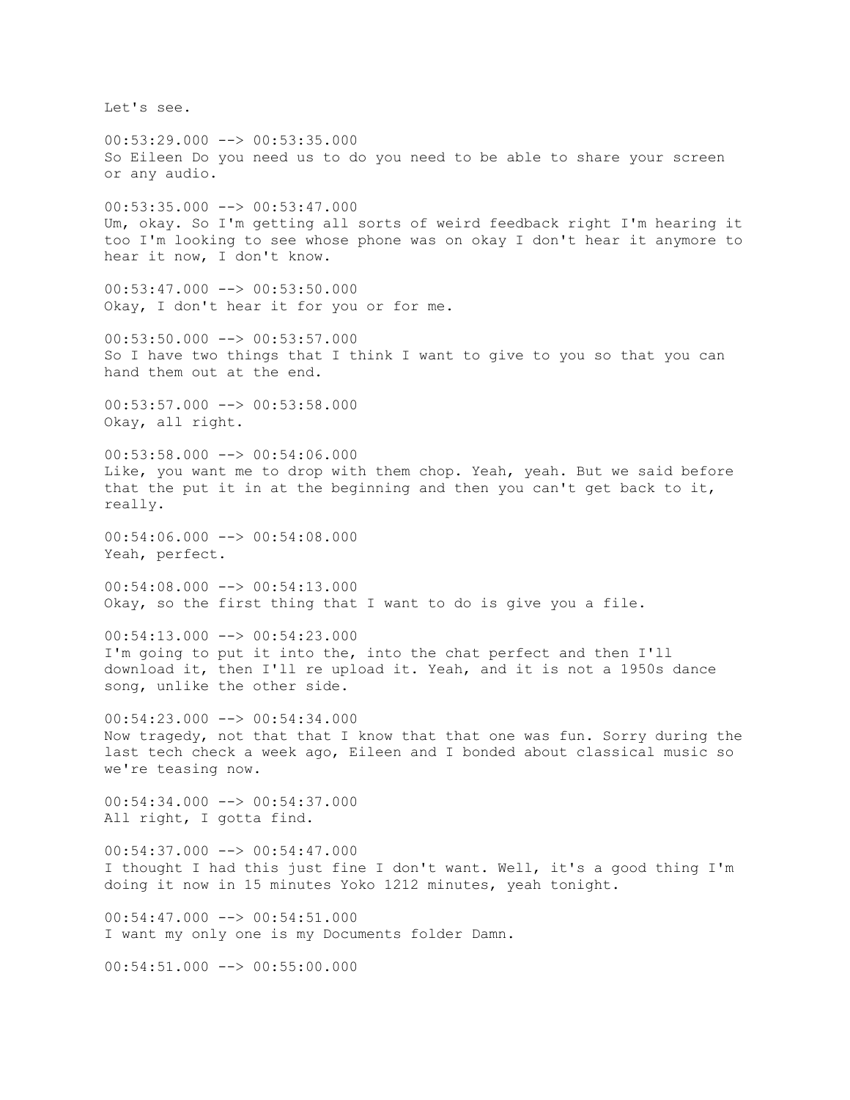Let's see.

 $00:53:29.000$  -->  $00:53:35.000$ So Eileen Do you need us to do you need to be able to share your screen or any audio. 00:53:35.000 --> 00:53:47.000 Um, okay. So I'm getting all sorts of weird feedback right I'm hearing it too I'm looking to see whose phone was on okay I don't hear it anymore to hear it now, I don't know.  $00:53:47.000$  -->  $00:53:50.000$ Okay, I don't hear it for you or for me.  $00:53:50.000$  -->  $00:53:57.000$ So I have two things that I think I want to give to you so that you can hand them out at the end.  $00:53:57.000$  -->  $00:53:58.000$ Okay, all right.  $00:53:58.000$  -->  $00:54:06.000$ Like, you want me to drop with them chop. Yeah, yeah. But we said before that the put it in at the beginning and then you can't get back to it, really. 00:54:06.000 --> 00:54:08.000 Yeah, perfect. 00:54:08.000 --> 00:54:13.000 Okay, so the first thing that I want to do is give you a file.  $00:54:13.000$  -->  $00:54:23.000$ I'm going to put it into the, into the chat perfect and then I'll download it, then I'll re upload it. Yeah, and it is not a 1950s dance song, unlike the other side.  $00:54:23.000$  -->  $00:54:34.000$ Now tragedy, not that that I know that that one was fun. Sorry during the last tech check a week ago, Eileen and I bonded about classical music so we're teasing now. 00:54:34.000 --> 00:54:37.000 All right, I gotta find.  $00:54:37.000$   $\rightarrow$   $00:54:47.000$ I thought I had this just fine I don't want. Well, it's a good thing I'm doing it now in 15 minutes Yoko 1212 minutes, yeah tonight.  $00:54:47.000$  -->  $00:54:51.000$ I want my only one is my Documents folder Damn.  $00:54:51.000$   $\rightarrow$  00:55:00.000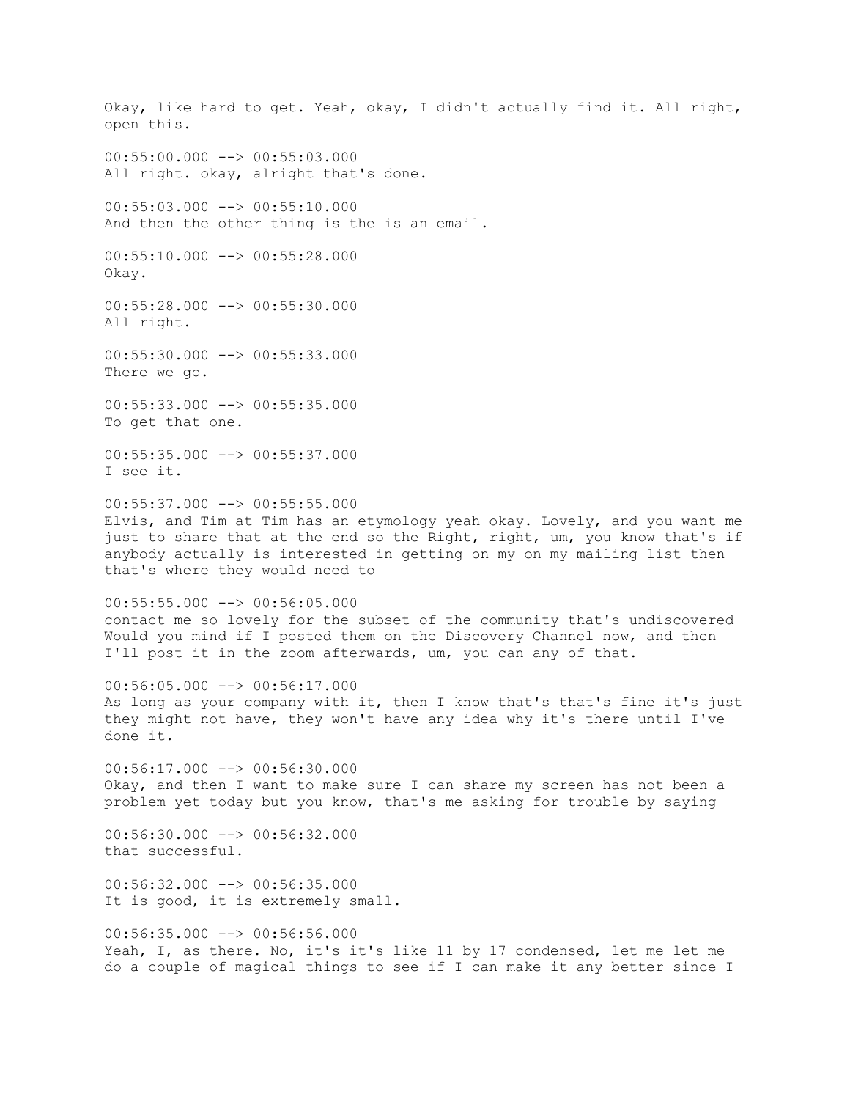Okay, like hard to get. Yeah, okay, I didn't actually find it. All right, open this.  $00:55:00.000$  -->  $00:55:03.000$ All right. okay, alright that's done.  $00:55:03.000$  -->  $00:55:10.000$ And then the other thing is the is an email.  $00:55:10.000$  -->  $00:55:28.000$ Okay.  $00:55:28.000$  -->  $00:55:30.000$ All right. 00:55:30.000 --> 00:55:33.000 There we go. 00:55:33.000 --> 00:55:35.000 To get that one. 00:55:35.000 --> 00:55:37.000 I see it.  $00:55:37.000$  -->  $00:55:55.000$ Elvis, and Tim at Tim has an etymology yeah okay. Lovely, and you want me just to share that at the end so the Right, right, um, you know that's if anybody actually is interested in getting on my on my mailing list then that's where they would need to  $00:55:55.000$  -->  $00:56:05.000$ contact me so lovely for the subset of the community that's undiscovered Would you mind if I posted them on the Discovery Channel now, and then I'll post it in the zoom afterwards, um, you can any of that.  $00:56:05.000$  -->  $00:56:17.000$ As long as your company with it, then I know that's that's fine it's just they might not have, they won't have any idea why it's there until I've done it.  $00:56:17.000$  -->  $00:56:30.000$ Okay, and then I want to make sure I can share my screen has not been a problem yet today but you know, that's me asking for trouble by saying 00:56:30.000 --> 00:56:32.000 that successful.  $00:56:32.000$   $\rightarrow$   $\rightarrow$  00:56:35.000 It is good, it is extremely small.  $00:56:35.000$  -->  $00:56:56.000$ Yeah, I, as there. No, it's it's like 11 by 17 condensed, let me let me do a couple of magical things to see if I can make it any better since I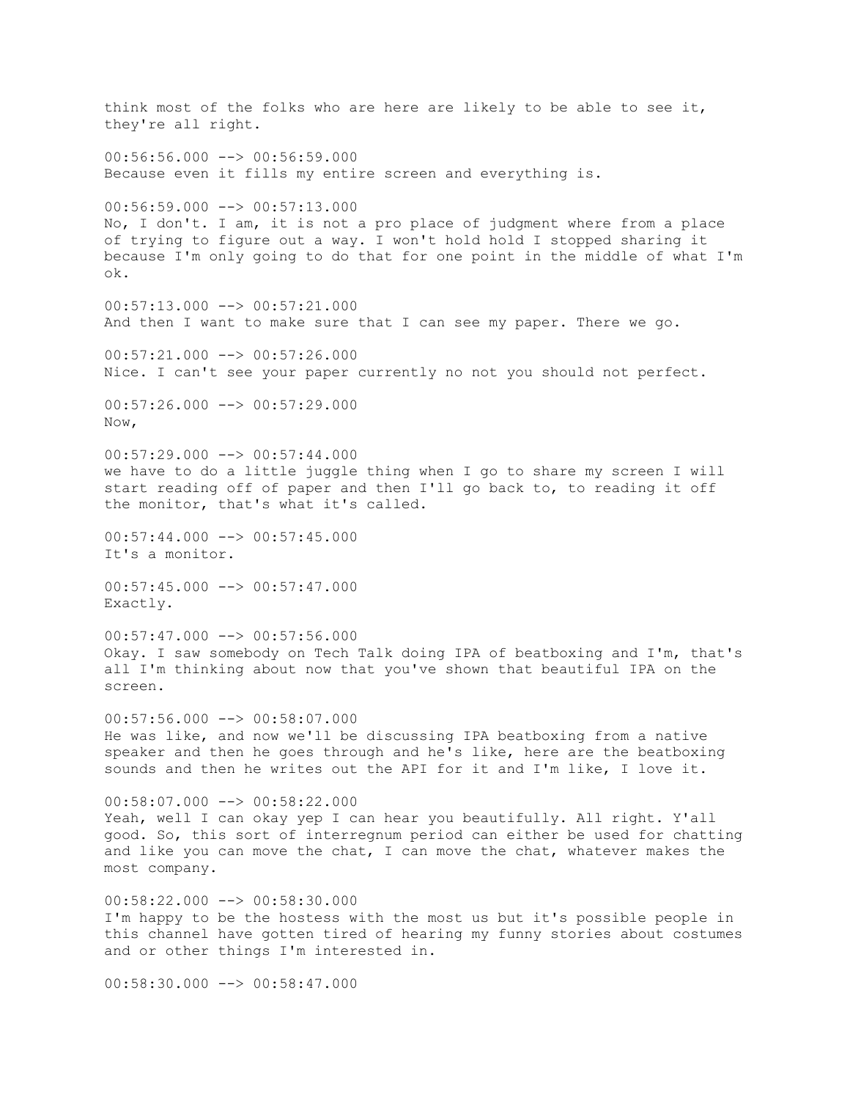think most of the folks who are here are likely to be able to see it, they're all right.  $00:56:56.000$   $\rightarrow$   $\rightarrow$  00:56:59.000 Because even it fills my entire screen and everything is. 00:56:59.000 --> 00:57:13.000 No, I don't. I am, it is not a pro place of judgment where from a place of trying to figure out a way. I won't hold hold I stopped sharing it because I'm only going to do that for one point in the middle of what I'm ok.  $00:57:13.000$  -->  $00:57:21.000$ And then I want to make sure that I can see my paper. There we go.  $00:57:21.000$  -->  $00:57:26.000$ Nice. I can't see your paper currently no not you should not perfect.  $00:57:26.000$  -->  $00:57:29.000$ Now,  $00:57:29.000$   $\rightarrow$   $\rightarrow$  00:57:44.000 we have to do a little juggle thing when I go to share my screen I will start reading off of paper and then I'll go back to, to reading it off the monitor, that's what it's called.  $00:57:44.000$  -->  $00:57:45.000$ It's a monitor. 00:57:45.000 --> 00:57:47.000 Exactly.  $00:57:47.000$  -->  $00:57:56.000$ Okay. I saw somebody on Tech Talk doing IPA of beatboxing and I'm, that's all I'm thinking about now that you've shown that beautiful IPA on the screen.  $00:57:56.000$   $\longrightarrow$   $00:58:07.000$ He was like, and now we'll be discussing IPA beatboxing from a native speaker and then he goes through and he's like, here are the beatboxing sounds and then he writes out the API for it and I'm like, I love it.  $00:58:07.000$  -->  $00:58:22.000$ Yeah, well I can okay yep I can hear you beautifully. All right. Y'all good. So, this sort of interregnum period can either be used for chatting and like you can move the chat, I can move the chat, whatever makes the most company. 00:58:22.000 --> 00:58:30.000 I'm happy to be the hostess with the most us but it's possible people in this channel have gotten tired of hearing my funny stories about costumes and or other things I'm interested in.  $00:58:30.000$   $\rightarrow$   $\rightarrow$  00:58:47.000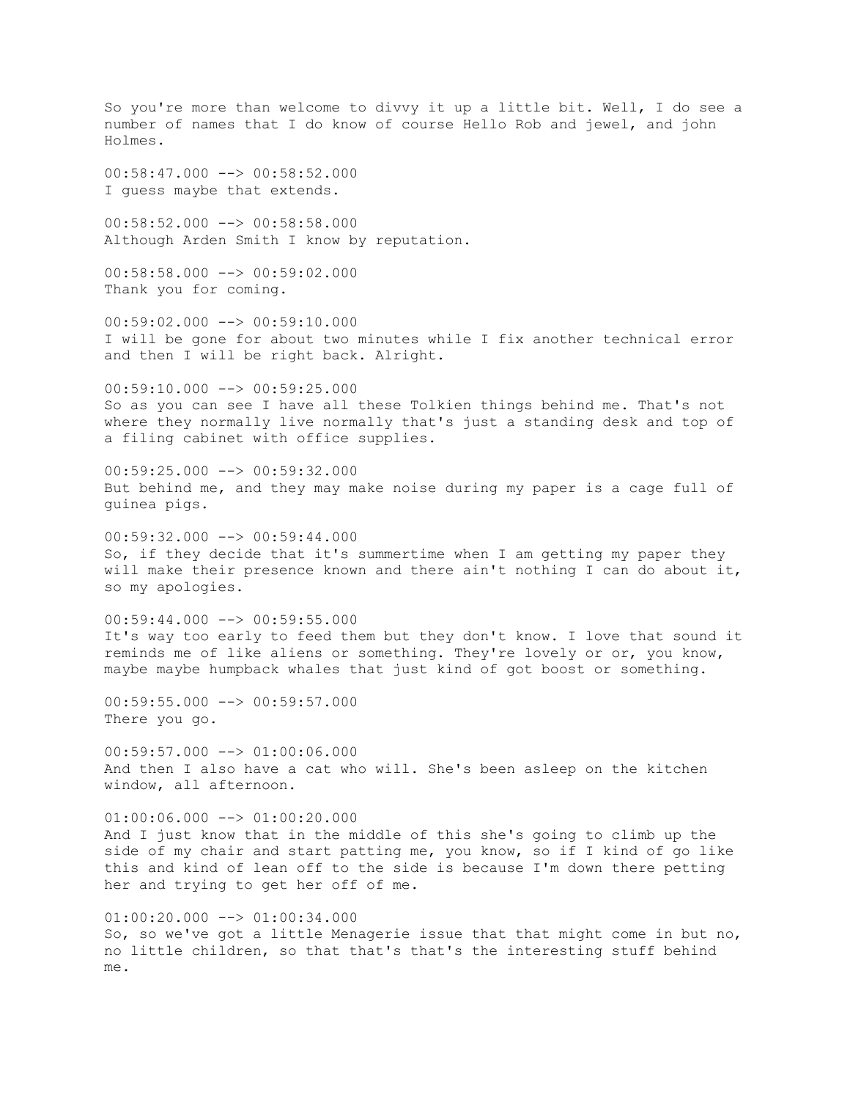So you're more than welcome to divvy it up a little bit. Well, I do see a number of names that I do know of course Hello Rob and jewel, and john Holmes. 00:58:47.000 --> 00:58:52.000 I guess maybe that extends. 00:58:52.000 --> 00:58:58.000 Although Arden Smith I know by reputation.  $00:58:58.000$  -->  $00:59:02.000$ Thank you for coming.  $00:59:02.000$  -->  $00:59:10.000$ I will be gone for about two minutes while I fix another technical error and then I will be right back. Alright.  $00:59:10.000$  -->  $00:59:25.000$ So as you can see I have all these Tolkien things behind me. That's not where they normally live normally that's just a standing desk and top of a filing cabinet with office supplies. 00:59:25.000 --> 00:59:32.000 But behind me, and they may make noise during my paper is a cage full of guinea pigs.  $00:59:32.000$  -->  $00:59:44.000$ So, if they decide that it's summertime when I am getting my paper they will make their presence known and there ain't nothing I can do about it, so my apologies.  $00:59:44.000$  -->  $00:59:55.000$ It's way too early to feed them but they don't know. I love that sound it reminds me of like aliens or something. They're lovely or or, you know, maybe maybe humpback whales that just kind of got boost or something. 00:59:55.000 --> 00:59:57.000 There you go.  $00:59:57.000$   $\rightarrow$   $01:00:06.000$ And then I also have a cat who will. She's been asleep on the kitchen window, all afternoon.  $01:00:06.000$  -->  $01:00:20.000$ And I just know that in the middle of this she's going to climb up the side of my chair and start patting me, you know, so if I kind of go like this and kind of lean off to the side is because I'm down there petting her and trying to get her off of me.  $01:00:20.000$  -->  $01:00:34.000$ So, so we've got a little Menagerie issue that that might come in but no, no little children, so that that's that's the interesting stuff behind

me.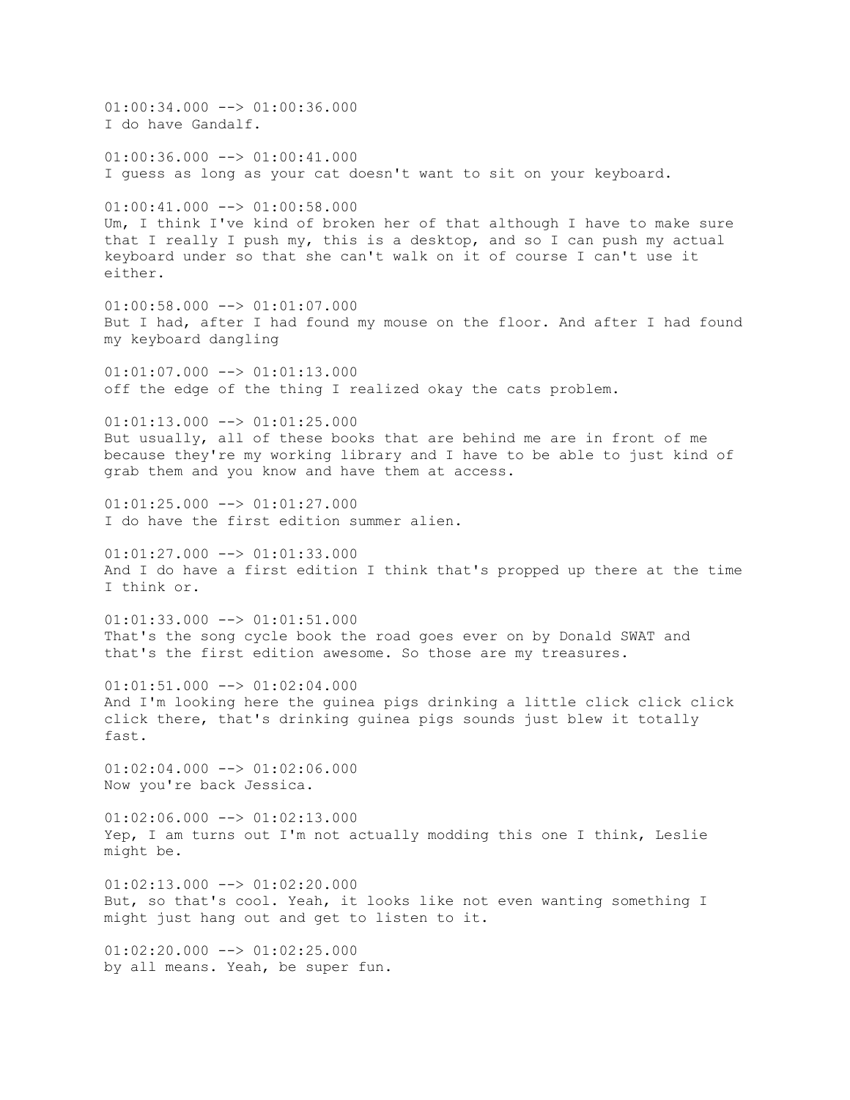01:00:34.000 --> 01:00:36.000 I do have Gandalf.  $01:00:36.000$  -->  $01:00:41.000$ I guess as long as your cat doesn't want to sit on your keyboard.  $01:00:41.000$  -->  $01:00:58.000$ Um, I think I've kind of broken her of that although I have to make sure that I really I push my, this is a desktop, and so I can push my actual keyboard under so that she can't walk on it of course I can't use it either.  $01:00:58.000$  -->  $01:01:07.000$ But I had, after I had found my mouse on the floor. And after I had found my keyboard dangling 01:01:07.000 --> 01:01:13.000 off the edge of the thing I realized okay the cats problem.  $01:01:13.000$  -->  $01:01:25.000$ But usually, all of these books that are behind me are in front of me because they're my working library and I have to be able to just kind of grab them and you know and have them at access.  $01:01:25.000$  -->  $01:01:27.000$ I do have the first edition summer alien.  $01:01:27.000$   $\longrightarrow$   $01:01:33.000$ And I do have a first edition I think that's propped up there at the time I think or.  $01:01:33.000$  -->  $01:01:51.000$ That's the song cycle book the road goes ever on by Donald SWAT and that's the first edition awesome. So those are my treasures.  $01:01:51.000$  -->  $01:02:04.000$ And I'm looking here the guinea pigs drinking a little click click click click there, that's drinking guinea pigs sounds just blew it totally fast.  $01:02:04.000$  -->  $01:02:06.000$ Now you're back Jessica.  $01:02:06.000$  -->  $01:02:13.000$ Yep, I am turns out I'm not actually modding this one I think, Leslie might be.  $01:02:13.000$   $\rightarrow$   $01:02:20.000$ But, so that's cool. Yeah, it looks like not even wanting something I might just hang out and get to listen to it.  $01:02:20.000$  -->  $01:02:25.000$ by all means. Yeah, be super fun.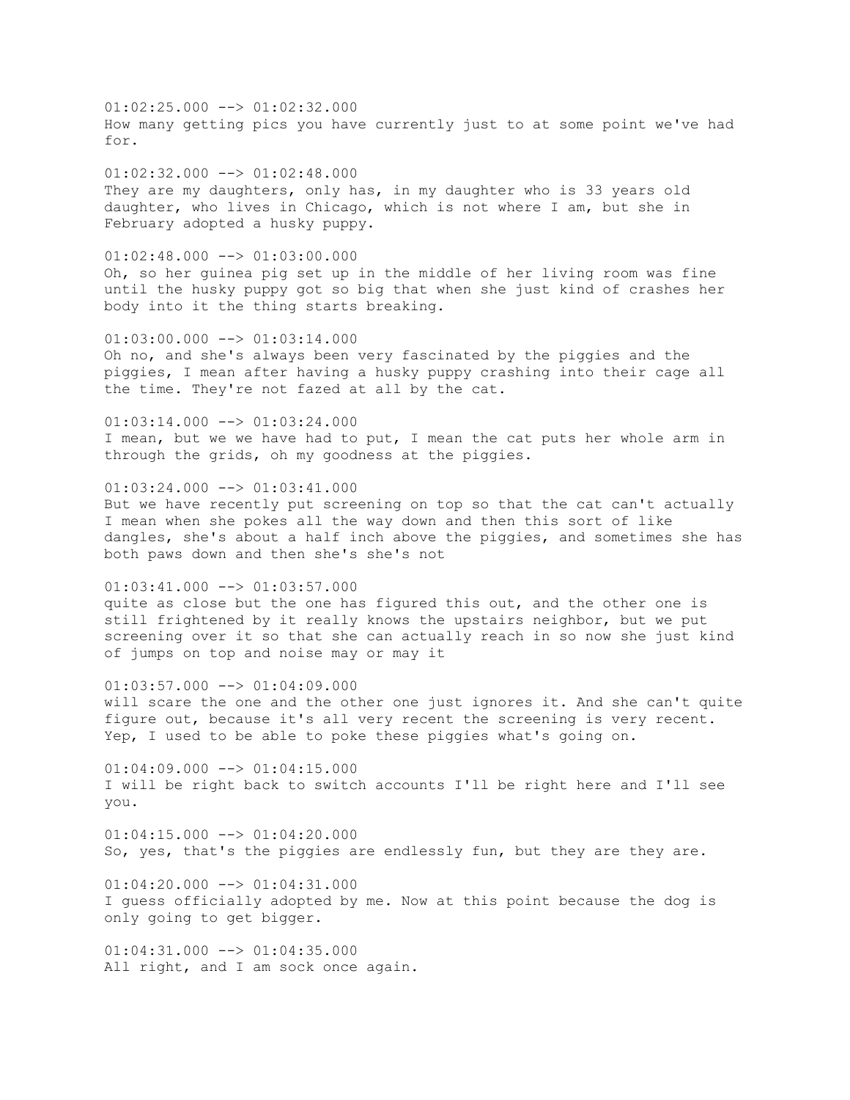01:02:25.000 --> 01:02:32.000 How many getting pics you have currently just to at some point we've had for.

 $01:02:32.000$  -->  $01:02:48.000$ They are my daughters, only has, in my daughter who is 33 years old daughter, who lives in Chicago, which is not where I am, but she in February adopted a husky puppy.

 $01:02:48.000$  -->  $01:03:00.000$ Oh, so her guinea pig set up in the middle of her living room was fine until the husky puppy got so big that when she just kind of crashes her body into it the thing starts breaking.

 $01:03:00.000$  -->  $01:03:14.000$ Oh no, and she's always been very fascinated by the piggies and the piggies, I mean after having a husky puppy crashing into their cage all the time. They're not fazed at all by the cat.

 $01:03:14.000$  -->  $01:03:24.000$ I mean, but we we have had to put, I mean the cat puts her whole arm in through the grids, oh my goodness at the piggies.

 $01:03:24.000$  -->  $01:03:41.000$ But we have recently put screening on top so that the cat can't actually I mean when she pokes all the way down and then this sort of like dangles, she's about a half inch above the piggies, and sometimes she has both paws down and then she's she's not

 $01:03:41.000$  -->  $01:03:57.000$ quite as close but the one has figured this out, and the other one is still frightened by it really knows the upstairs neighbor, but we put screening over it so that she can actually reach in so now she just kind of jumps on top and noise may or may it

 $01:03:57.000$  -->  $01:04:09.000$ will scare the one and the other one just ignores it. And she can't quite figure out, because it's all very recent the screening is very recent. Yep, I used to be able to poke these piggies what's going on.

 $01:04:09.000$  -->  $01:04:15.000$ I will be right back to switch accounts I'll be right here and I'll see you.

 $01:04:15.000$  -->  $01:04:20.000$ So, yes, that's the piggies are endlessly fun, but they are they are.

 $01:04:20.000$   $\longrightarrow$   $01:04:31.000$ I guess officially adopted by me. Now at this point because the dog is only going to get bigger.

 $01:04:31.000$  -->  $01:04:35.000$ All right, and I am sock once again.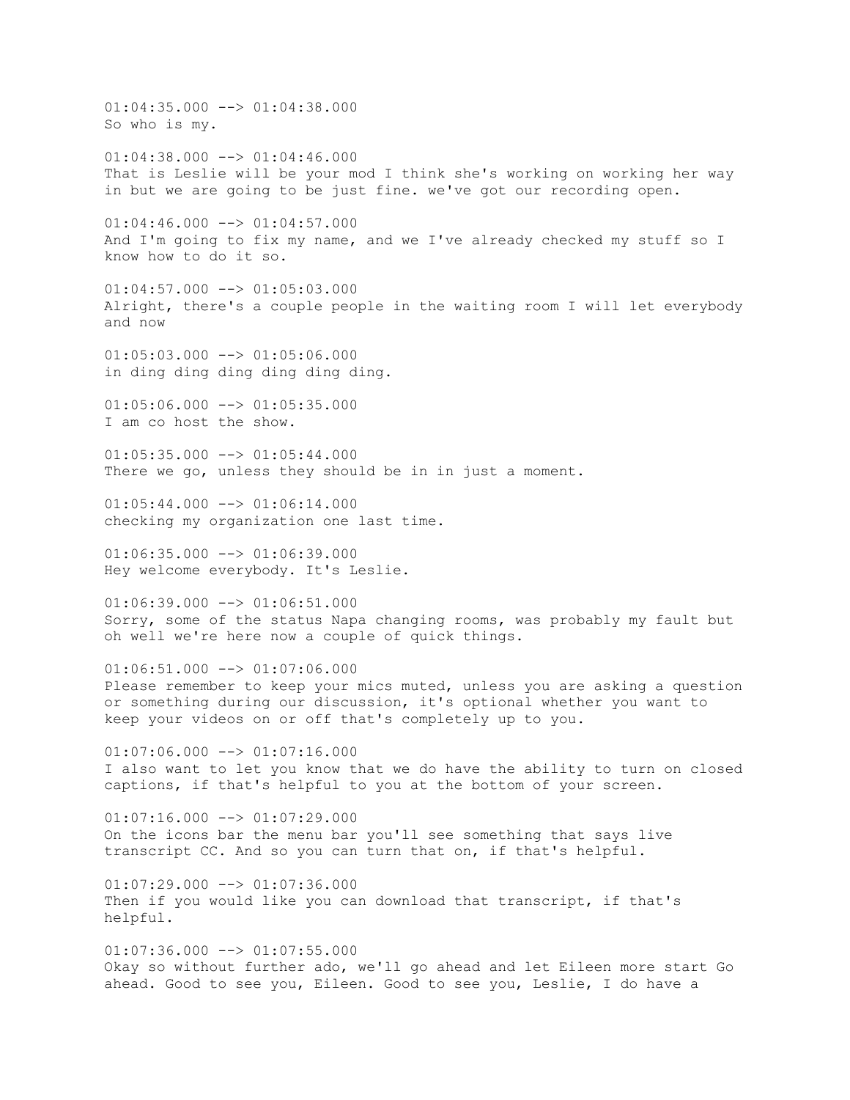01:04:35.000 --> 01:04:38.000 So who is my.  $01:04:38.000$  -->  $01:04:46.000$ That is Leslie will be your mod I think she's working on working her way in but we are going to be just fine. we've got our recording open.  $01:04:46.000$  -->  $01:04:57.000$ And I'm going to fix my name, and we I've already checked my stuff so I know how to do it so.  $01:04:57.000$  -->  $01:05:03.000$ Alright, there's a couple people in the waiting room I will let everybody and now  $01:05:03.000$   $\rightarrow$   $\rightarrow$   $01:05:06.000$ in ding ding ding ding ding ding.  $01:05:06.000$  -->  $01:05:35.000$ I am co host the show.  $01:05:35.000$  -->  $01:05:44.000$ There we go, unless they should be in in just a moment.  $01:05:44.000$   $\longrightarrow$   $01:06:14.000$ checking my organization one last time.  $01:06:35.000$   $\rightarrow$   $\rightarrow$   $01:06:39.000$ Hey welcome everybody. It's Leslie.  $01:06:39.000$  -->  $01:06:51.000$ Sorry, some of the status Napa changing rooms, was probably my fault but oh well we're here now a couple of quick things.  $01:06:51.000$  -->  $01:07:06.000$ Please remember to keep your mics muted, unless you are asking a question or something during our discussion, it's optional whether you want to keep your videos on or off that's completely up to you.  $01:07:06.000$   $\longrightarrow$   $01:07:16.000$ I also want to let you know that we do have the ability to turn on closed captions, if that's helpful to you at the bottom of your screen.  $01:07:16.000$  -->  $01:07:29.000$ On the icons bar the menu bar you'll see something that says live transcript CC. And so you can turn that on, if that's helpful.  $01:07:29.000$   $\longrightarrow$   $01:07:36.000$ Then if you would like you can download that transcript, if that's helpful.  $01:07:36.000$  -->  $01:07:55.000$ Okay so without further ado, we'll go ahead and let Eileen more start Go ahead. Good to see you, Eileen. Good to see you, Leslie, I do have a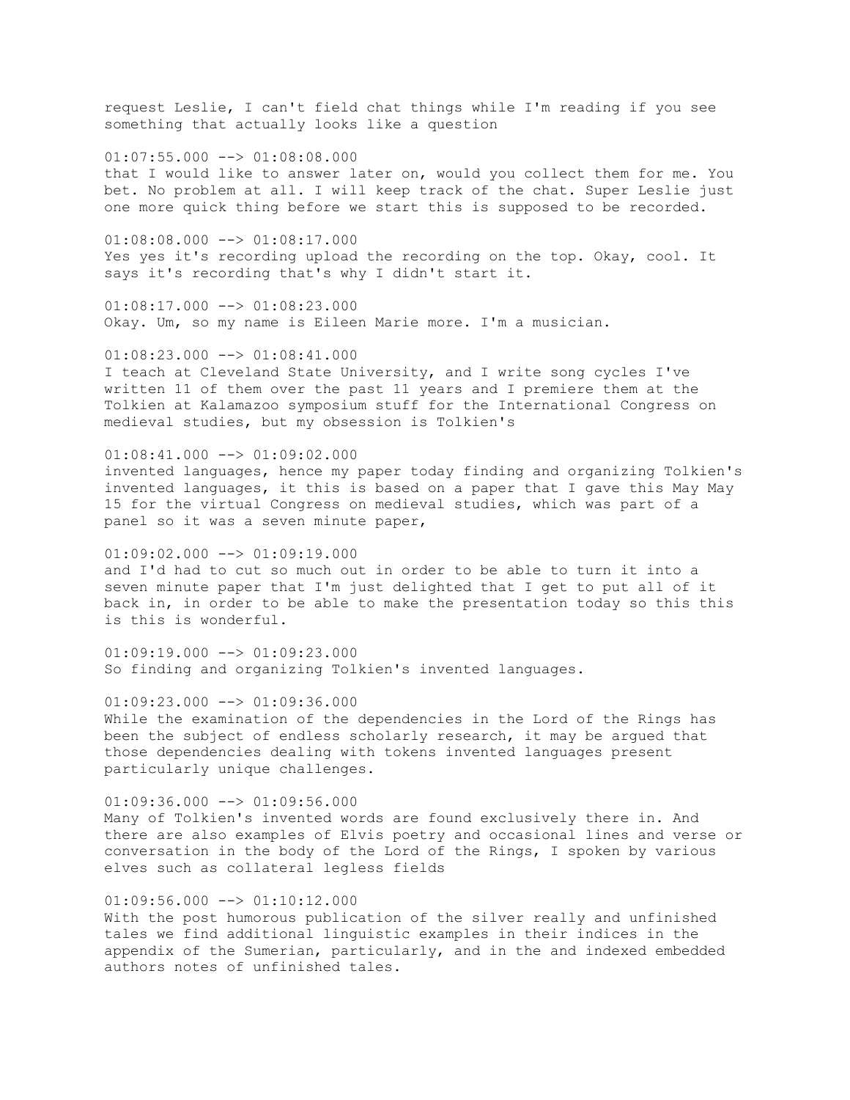request Leslie, I can't field chat things while I'm reading if you see something that actually looks like a question

 $01:07:55.000$  -->  $01:08:08.000$ that I would like to answer later on, would you collect them for me. You bet. No problem at all. I will keep track of the chat. Super Leslie just one more quick thing before we start this is supposed to be recorded.

 $01:08:08.000$  -->  $01:08:17.000$ Yes yes it's recording upload the recording on the top. Okay, cool. It says it's recording that's why I didn't start it.

 $01:08:17.000$  -->  $01:08:23.000$ Okay. Um, so my name is Eileen Marie more. I'm a musician.

 $01:08:23.000$  -->  $01:08:41.000$ I teach at Cleveland State University, and I write song cycles I've written 11 of them over the past 11 years and I premiere them at the Tolkien at Kalamazoo symposium stuff for the International Congress on medieval studies, but my obsession is Tolkien's

#### $01:08:41.000$   $\longrightarrow$   $01:09:02.000$

invented languages, hence my paper today finding and organizing Tolkien's invented languages, it this is based on a paper that I gave this May May 15 for the virtual Congress on medieval studies, which was part of a panel so it was a seven minute paper,

 $01:09:02.000$  -->  $01:09:19.000$ and I'd had to cut so much out in order to be able to turn it into a seven minute paper that I'm just delighted that I get to put all of it back in, in order to be able to make the presentation today so this this is this is wonderful.

 $01:09:19.000$  -->  $01:09:23.000$ So finding and organizing Tolkien's invented languages.

01:09:23.000 --> 01:09:36.000 While the examination of the dependencies in the Lord of the Rings has been the subject of endless scholarly research, it may be argued that those dependencies dealing with tokens invented languages present particularly unique challenges.

 $01:09:36.000$  -->  $01:09:56.000$ Many of Tolkien's invented words are found exclusively there in. And there are also examples of Elvis poetry and occasional lines and verse or conversation in the body of the Lord of the Rings, I spoken by various elves such as collateral legless fields

### $01:09:56.000$  -->  $01:10:12.000$

With the post humorous publication of the silver really and unfinished tales we find additional linguistic examples in their indices in the appendix of the Sumerian, particularly, and in the and indexed embedded authors notes of unfinished tales.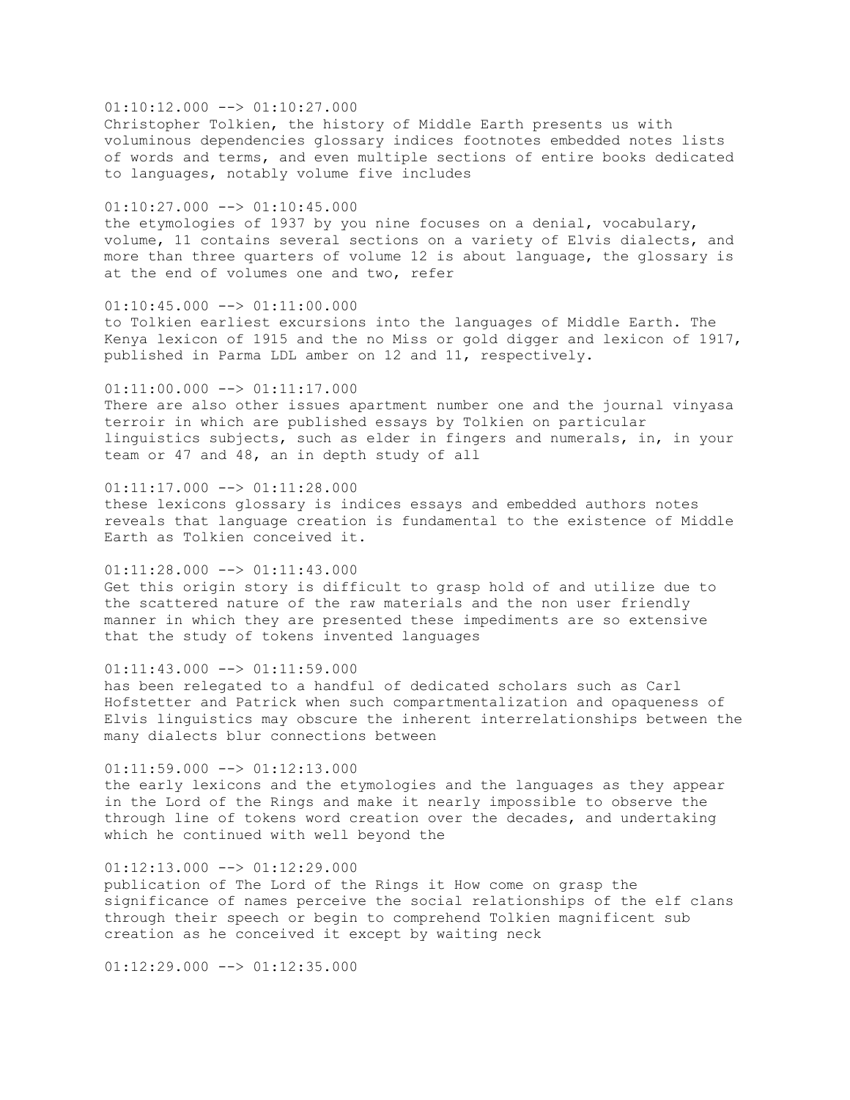### $01:10:12.000$  -->  $01:10:27.000$

Christopher Tolkien, the history of Middle Earth presents us with voluminous dependencies glossary indices footnotes embedded notes lists of words and terms, and even multiple sections of entire books dedicated to languages, notably volume five includes

#### $01:10:27.000$  -->  $01:10:45.000$

the etymologies of 1937 by you nine focuses on a denial, vocabulary, volume, 11 contains several sections on a variety of Elvis dialects, and more than three quarters of volume 12 is about language, the glossary is at the end of volumes one and two, refer

## $01:10:45.000$  -->  $01:11:00.000$

to Tolkien earliest excursions into the languages of Middle Earth. The Kenya lexicon of 1915 and the no Miss or gold digger and lexicon of 1917, published in Parma LDL amber on 12 and 11, respectively.

#### $01:11:00.000$  -->  $01:11:17.000$

There are also other issues apartment number one and the journal vinyasa terroir in which are published essays by Tolkien on particular linguistics subjects, such as elder in fingers and numerals, in, in your team or 47 and 48, an in depth study of all

#### $01:11:17.000$  -->  $01:11:28.000$

these lexicons glossary is indices essays and embedded authors notes reveals that language creation is fundamental to the existence of Middle Earth as Tolkien conceived it.

### $01:11:28.000$  -->  $01:11:43.000$

Get this origin story is difficult to grasp hold of and utilize due to the scattered nature of the raw materials and the non user friendly manner in which they are presented these impediments are so extensive that the study of tokens invented languages

### $01:11:43.000$  -->  $01:11:59.000$

has been relegated to a handful of dedicated scholars such as Carl Hofstetter and Patrick when such compartmentalization and opaqueness of Elvis linguistics may obscure the inherent interrelationships between the many dialects blur connections between

#### $01:11:59.000$  -->  $01:12:13.000$

the early lexicons and the etymologies and the languages as they appear in the Lord of the Rings and make it nearly impossible to observe the through line of tokens word creation over the decades, and undertaking which he continued with well beyond the

### $01:12:13.000$  -->  $01:12:29.000$

publication of The Lord of the Rings it How come on grasp the significance of names perceive the social relationships of the elf clans through their speech or begin to comprehend Tolkien magnificent sub creation as he conceived it except by waiting neck

 $01:12:29.000$  -->  $01:12:35.000$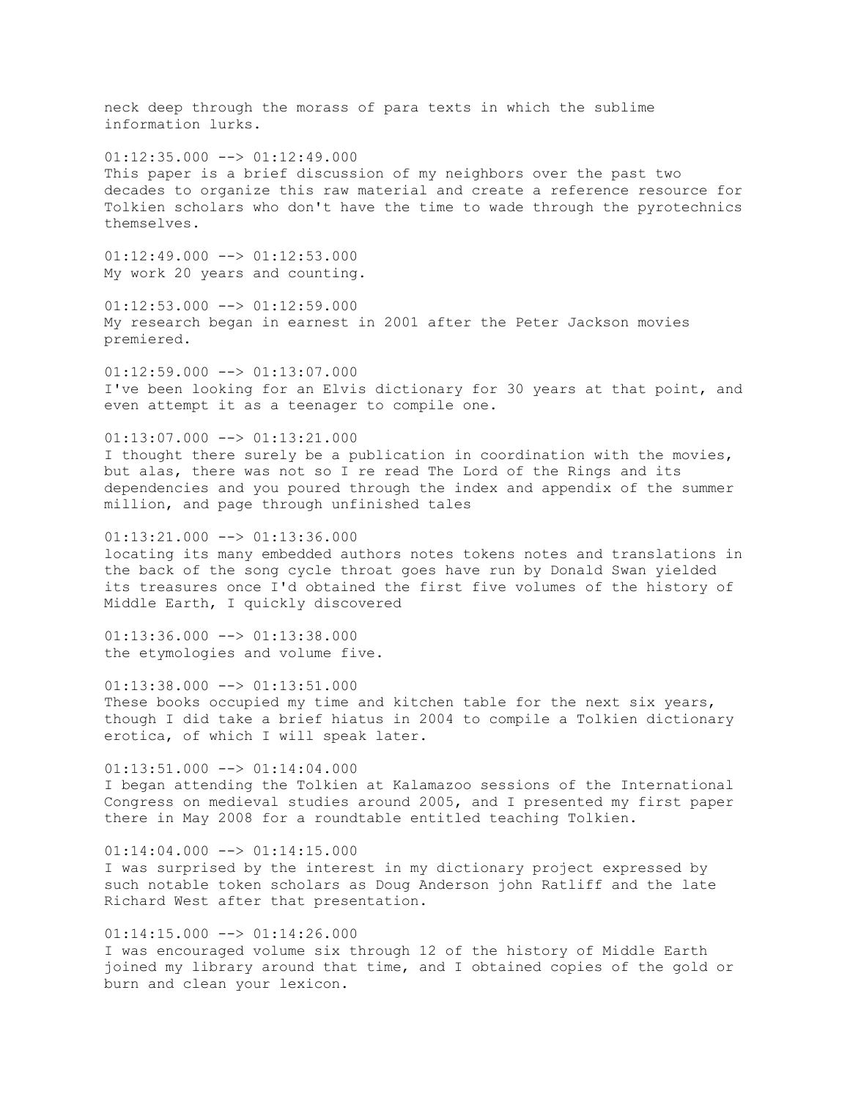neck deep through the morass of para texts in which the sublime information lurks.  $01:12:35.000$  -->  $01:12:49.000$ This paper is a brief discussion of my neighbors over the past two decades to organize this raw material and create a reference resource for Tolkien scholars who don't have the time to wade through the pyrotechnics themselves.  $01:12:49.000$  -->  $01:12:53.000$ My work 20 years and counting.  $01:12:53.000$  -->  $01:12:59.000$ My research began in earnest in 2001 after the Peter Jackson movies premiered. 01:12:59.000 --> 01:13:07.000 I've been looking for an Elvis dictionary for 30 years at that point, and even attempt it as a teenager to compile one.  $01:13:07.000$  -->  $01:13:21.000$ I thought there surely be a publication in coordination with the movies, but alas, there was not so I re read The Lord of the Rings and its dependencies and you poured through the index and appendix of the summer million, and page through unfinished tales  $01:13:21.000$  -->  $01:13:36.000$ locating its many embedded authors notes tokens notes and translations in the back of the song cycle throat goes have run by Donald Swan yielded its treasures once I'd obtained the first five volumes of the history of Middle Earth, I quickly discovered  $01:13:36.000$  -->  $01:13:38.000$ the etymologies and volume five.  $01:13:38.000$  -->  $01:13:51.000$ These books occupied my time and kitchen table for the next six years, though I did take a brief hiatus in 2004 to compile a Tolkien dictionary erotica, of which I will speak later.  $01:13:51.000$  -->  $01:14:04.000$ I began attending the Tolkien at Kalamazoo sessions of the International Congress on medieval studies around 2005, and I presented my first paper there in May 2008 for a roundtable entitled teaching Tolkien.  $01:14:04.000$  -->  $01:14:15.000$ I was surprised by the interest in my dictionary project expressed by such notable token scholars as Doug Anderson john Ratliff and the late Richard West after that presentation.  $01:14:15.000$  -->  $01:14:26.000$ I was encouraged volume six through 12 of the history of Middle Earth joined my library around that time, and I obtained copies of the gold or

burn and clean your lexicon.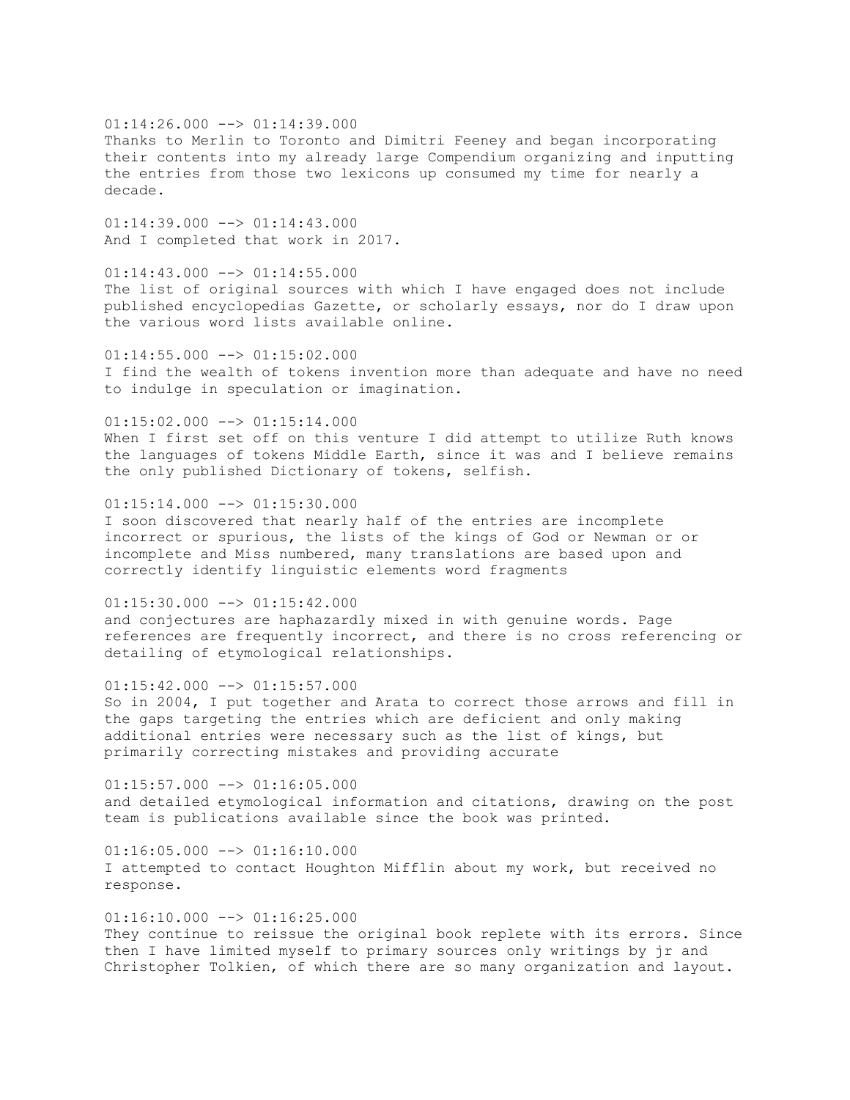$01:14:26.000$  -->  $01:14:39.000$ Thanks to Merlin to Toronto and Dimitri Feeney and began incorporating their contents into my already large Compendium organizing and inputting the entries from those two lexicons up consumed my time for nearly a decade.

 $01:14:39.000$  -->  $01:14:43.000$ And I completed that work in 2017.

 $01:14:43.000$  -->  $01:14:55.000$ The list of original sources with which I have engaged does not include published encyclopedias Gazette, or scholarly essays, nor do I draw upon the various word lists available online.

 $01:14:55.000$   $\rightarrow$   $01:15:02.000$ I find the wealth of tokens invention more than adequate and have no need to indulge in speculation or imagination.

 $01:15:02.000$  -->  $01:15:14.000$ When I first set off on this venture I did attempt to utilize Ruth knows the languages of tokens Middle Earth, since it was and I believe remains the only published Dictionary of tokens, selfish.

 $01:15:14.000$  -->  $01:15:30.000$ I soon discovered that nearly half of the entries are incomplete incorrect or spurious, the lists of the kings of God or Newman or or incomplete and Miss numbered, many translations are based upon and correctly identify linguistic elements word fragments

 $01:15:30.000$  -->  $01:15:42.000$ and conjectures are haphazardly mixed in with genuine words. Page references are frequently incorrect, and there is no cross referencing or detailing of etymological relationships.

 $01:15:42.000$  -->  $01:15:57.000$ So in 2004, I put together and Arata to correct those arrows and fill in the gaps targeting the entries which are deficient and only making additional entries were necessary such as the list of kings, but primarily correcting mistakes and providing accurate

 $01:15:57.000$  -->  $01:16:05.000$ and detailed etymological information and citations, drawing on the post team is publications available since the book was printed.

 $01:16:05.000$   $\rightarrow$   $01:16:10.000$ I attempted to contact Houghton Mifflin about my work, but received no response.

 $01:16:10.000$  -->  $01:16:25.000$ They continue to reissue the original book replete with its errors. Since then I have limited myself to primary sources only writings by jr and Christopher Tolkien, of which there are so many organization and layout.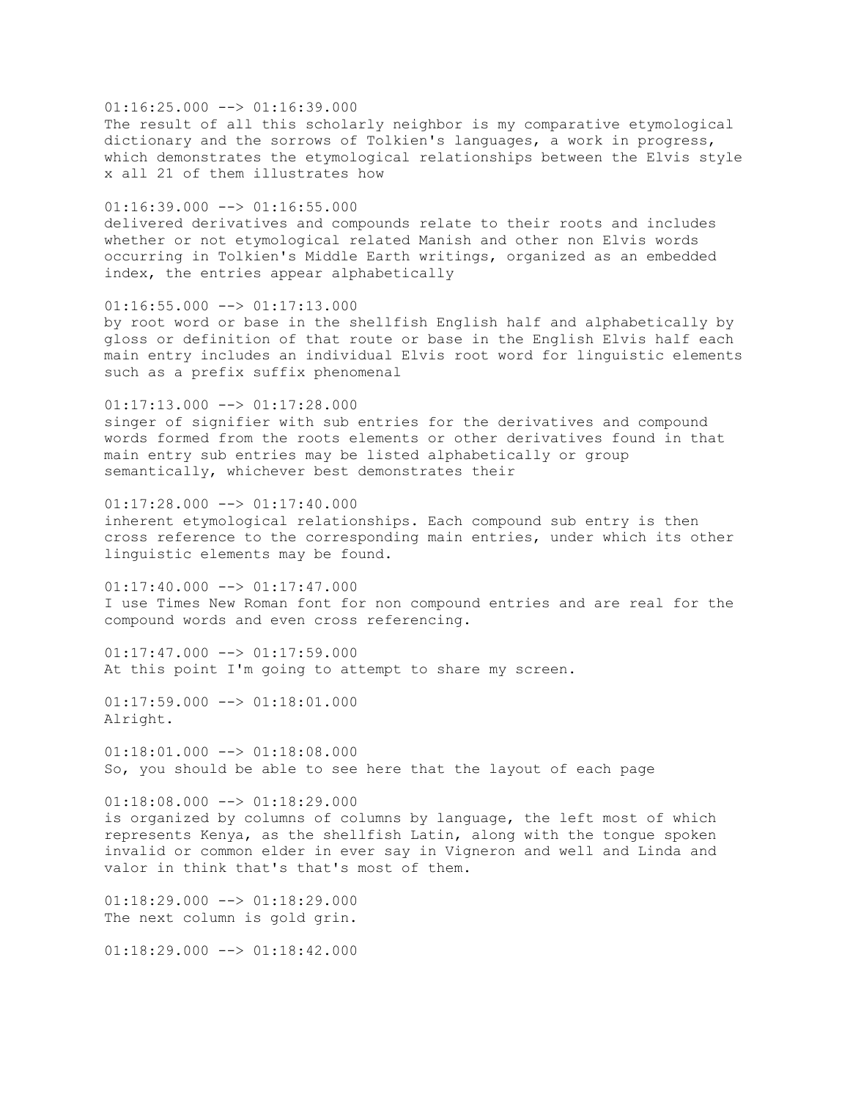$01:16:25.000$  -->  $01:16:39.000$ The result of all this scholarly neighbor is my comparative etymological dictionary and the sorrows of Tolkien's languages, a work in progress, which demonstrates the etymological relationships between the Elvis style x all 21 of them illustrates how

 $01:16:39.000$  -->  $01:16:55.000$ delivered derivatives and compounds relate to their roots and includes whether or not etymological related Manish and other non Elvis words occurring in Tolkien's Middle Earth writings, organized as an embedded index, the entries appear alphabetically

 $01:16:55.000$  -->  $01:17:13.000$ by root word or base in the shellfish English half and alphabetically by gloss or definition of that route or base in the English Elvis half each main entry includes an individual Elvis root word for linguistic elements such as a prefix suffix phenomenal

01:17:13.000 --> 01:17:28.000 singer of signifier with sub entries for the derivatives and compound words formed from the roots elements or other derivatives found in that main entry sub entries may be listed alphabetically or group semantically, whichever best demonstrates their

 $01:17:28.000$  -->  $01:17:40.000$ inherent etymological relationships. Each compound sub entry is then cross reference to the corresponding main entries, under which its other linguistic elements may be found.

 $01:17:40.000$  -->  $01:17:47.000$ I use Times New Roman font for non compound entries and are real for the compound words and even cross referencing.

 $01:17:47.000$   $\longrightarrow$   $01:17:59.000$ At this point I'm going to attempt to share my screen.

 $01:17:59.000$  -->  $01:18:01.000$ Alright.

 $01:18:01.000$  -->  $01:18:08.000$ So, you should be able to see here that the layout of each page

 $01:18:08.000$  -->  $01:18:29.000$ is organized by columns of columns by language, the left most of which represents Kenya, as the shellfish Latin, along with the tongue spoken invalid or common elder in ever say in Vigneron and well and Linda and valor in think that's that's most of them.

 $01:18:29.000$  -->  $01:18:29.000$ The next column is gold grin.

 $01:18:29.000$  -->  $01:18:42.000$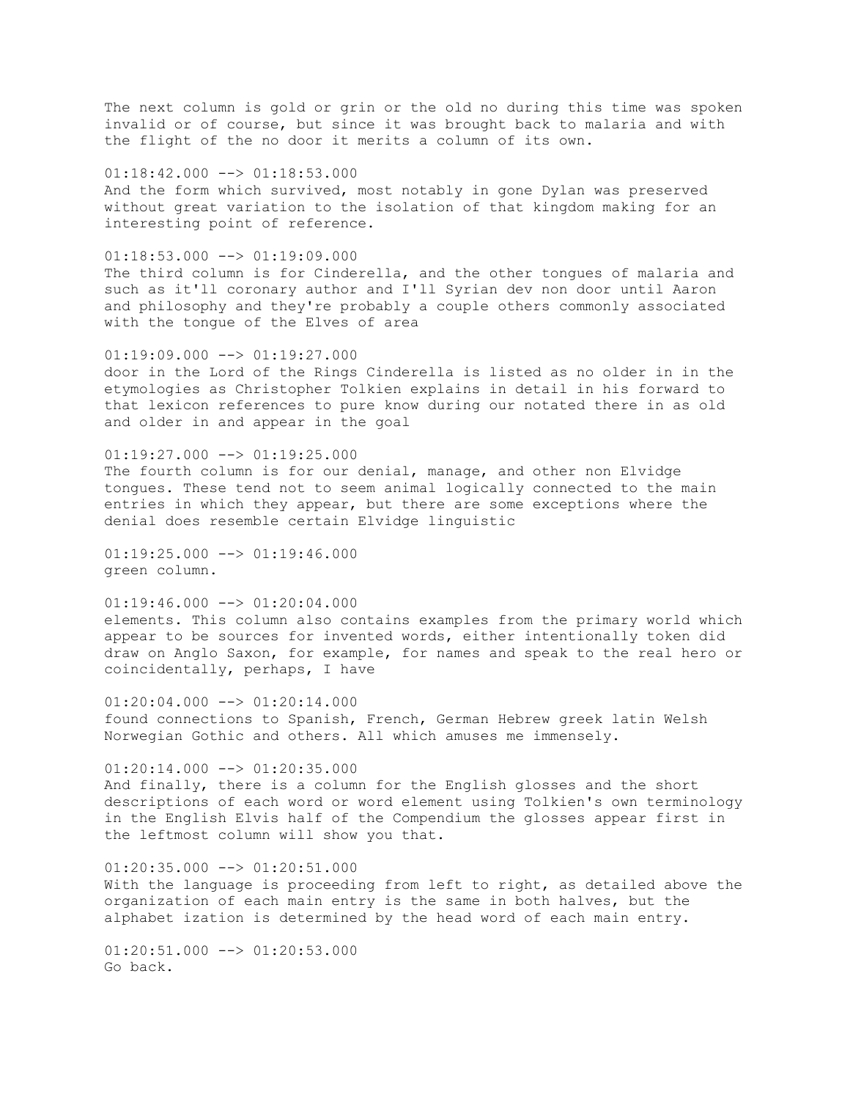The next column is gold or grin or the old no during this time was spoken invalid or of course, but since it was brought back to malaria and with the flight of the no door it merits a column of its own.

 $01:18:42.000$  -->  $01:18:53.000$ And the form which survived, most notably in gone Dylan was preserved without great variation to the isolation of that kingdom making for an interesting point of reference.

 $01:18:53.000$  -->  $01:19:09.000$ The third column is for Cinderella, and the other tongues of malaria and such as it'll coronary author and I'll Syrian dev non door until Aaron and philosophy and they're probably a couple others commonly associated with the tongue of the Elves of area

 $01:19:09.000$   $\longrightarrow$   $01:19:27.000$ door in the Lord of the Rings Cinderella is listed as no older in in the etymologies as Christopher Tolkien explains in detail in his forward to that lexicon references to pure know during our notated there in as old and older in and appear in the goal

 $01:19:27.000$  -->  $01:19:25.000$ The fourth column is for our denial, manage, and other non Elvidge tongues. These tend not to seem animal logically connected to the main entries in which they appear, but there are some exceptions where the denial does resemble certain Elvidge linguistic

 $01:19:25.000$   $\longrightarrow$   $01:19:46.000$ green column.

 $01:19:46.000$  -->  $01:20:04.000$ elements. This column also contains examples from the primary world which appear to be sources for invented words, either intentionally token did draw on Anglo Saxon, for example, for names and speak to the real hero or coincidentally, perhaps, I have

 $01:20:04.000$  -->  $01:20:14.000$ found connections to Spanish, French, German Hebrew greek latin Welsh Norwegian Gothic and others. All which amuses me immensely.

 $01:20:14.000$  -->  $01:20:35.000$ And finally, there is a column for the English glosses and the short descriptions of each word or word element using Tolkien's own terminology in the English Elvis half of the Compendium the glosses appear first in the leftmost column will show you that.

 $01:20:35.000$  -->  $01:20:51.000$ With the language is proceeding from left to right, as detailed above the organization of each main entry is the same in both halves, but the alphabet ization is determined by the head word of each main entry.

 $01:20:51.000$  -->  $01:20:53.000$ Go back.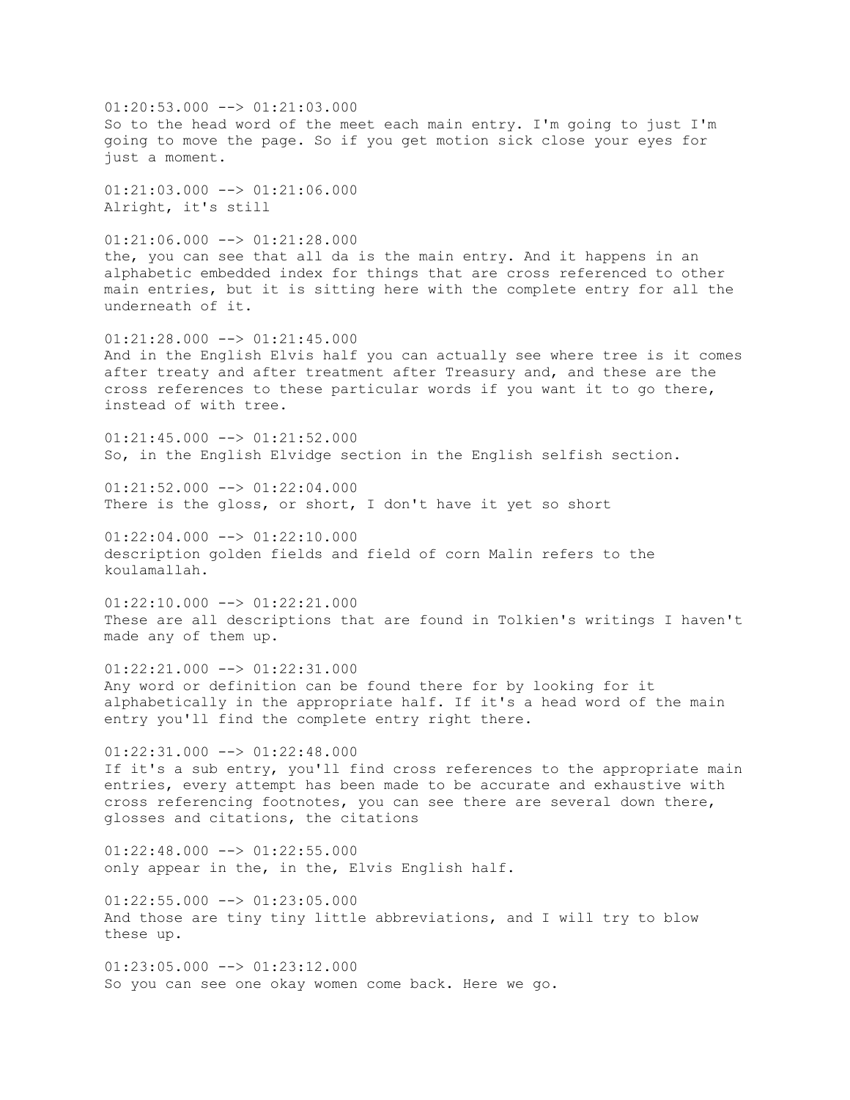$01:20:53.000$  -->  $01:21:03.000$ So to the head word of the meet each main entry. I'm going to just I'm going to move the page. So if you get motion sick close your eyes for just a moment. 01:21:03.000 --> 01:21:06.000 Alright, it's still  $01:21:06.000$  -->  $01:21:28.000$ the, you can see that all da is the main entry. And it happens in an alphabetic embedded index for things that are cross referenced to other main entries, but it is sitting here with the complete entry for all the underneath of it.  $01:21:28.000$  -->  $01:21:45.000$ And in the English Elvis half you can actually see where tree is it comes after treaty and after treatment after Treasury and, and these are the cross references to these particular words if you want it to go there, instead of with tree.  $01:21:45.000$  -->  $01:21:52.000$ So, in the English Elvidge section in the English selfish section.  $01:21:52.000$  -->  $01:22:04.000$ There is the gloss, or short, I don't have it yet so short  $01:22:04.000$  -->  $01:22:10.000$ description golden fields and field of corn Malin refers to the koulamallah.  $01:22:10.000$  -->  $01:22:21.000$ These are all descriptions that are found in Tolkien's writings I haven't made any of them up.  $01:22:21.000$  -->  $01:22:31.000$ Any word or definition can be found there for by looking for it alphabetically in the appropriate half. If it's a head word of the main entry you'll find the complete entry right there.  $01:22:31.000$  -->  $01:22:48.000$ If it's a sub entry, you'll find cross references to the appropriate main entries, every attempt has been made to be accurate and exhaustive with cross referencing footnotes, you can see there are several down there, glosses and citations, the citations  $01:22:48.000$  -->  $01:22:55.000$ only appear in the, in the, Elvis English half.  $01:22:55.000$  -->  $01:23:05.000$ And those are tiny tiny little abbreviations, and I will try to blow these up.  $01:23:05.000$  -->  $01:23:12.000$ So you can see one okay women come back. Here we go.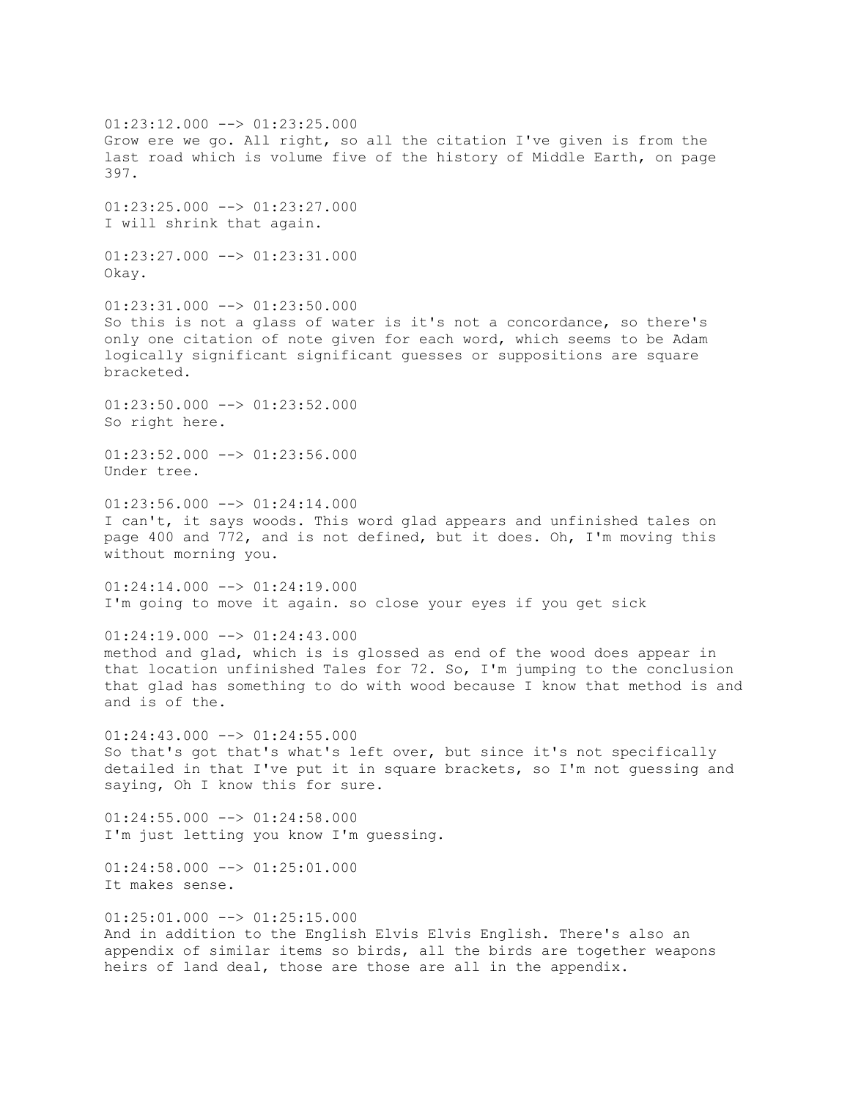01:23:12.000 --> 01:23:25.000 Grow ere we go. All right, so all the citation I've given is from the last road which is volume five of the history of Middle Earth, on page 397.  $01:23:25.000$  -->  $01:23:27.000$ I will shrink that again. 01:23:27.000 --> 01:23:31.000 Okay.  $01:23:31.000$  -->  $01:23:50.000$ So this is not a glass of water is it's not a concordance, so there's only one citation of note given for each word, which seems to be Adam logically significant significant guesses or suppositions are square bracketed. 01:23:50.000 --> 01:23:52.000 So right here.  $01:23:52.000$  -->  $01:23:56.000$ Under tree.  $01:23:56.000$  -->  $01:24:14.000$ I can't, it says woods. This word glad appears and unfinished tales on page 400 and 772, and is not defined, but it does. Oh, I'm moving this without morning you.  $01:24:14.000$  -->  $01:24:19.000$ I'm going to move it again. so close your eyes if you get sick  $01:24:19.000$  -->  $01:24:43.000$ method and glad, which is is glossed as end of the wood does appear in that location unfinished Tales for 72. So, I'm jumping to the conclusion that glad has something to do with wood because I know that method is and and is of the.  $01:24:43.000$  -->  $01:24:55.000$ So that's got that's what's left over, but since it's not specifically detailed in that I've put it in square brackets, so I'm not guessing and saying, Oh I know this for sure.  $01:24:55.000$  -->  $01:24:58.000$ I'm just letting you know I'm guessing.  $01:24:58.000$  -->  $01:25:01.000$ It makes sense.  $01:25:01.000$  -->  $01:25:15.000$ And in addition to the English Elvis Elvis English. There's also an appendix of similar items so birds, all the birds are together weapons heirs of land deal, those are those are all in the appendix.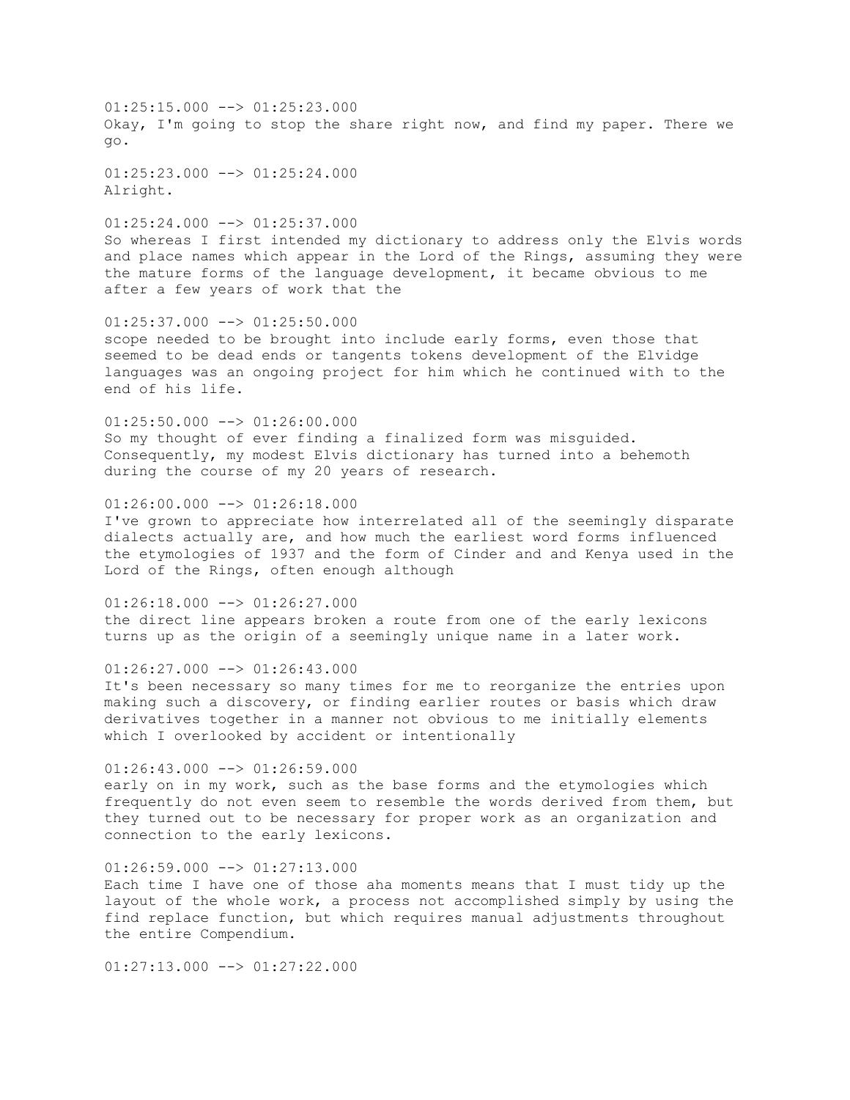$01:25:15.000$  -->  $01:25:23.000$ Okay, I'm going to stop the share right now, and find my paper. There we go.

 $01:25:23.000$  -->  $01:25:24.000$ Alright.

01:25:24.000 --> 01:25:37.000 So whereas I first intended my dictionary to address only the Elvis words and place names which appear in the Lord of the Rings, assuming they were the mature forms of the language development, it became obvious to me after a few years of work that the

 $01:25:37.000$  -->  $01:25:50.000$ scope needed to be brought into include early forms, even those that seemed to be dead ends or tangents tokens development of the Elvidge languages was an ongoing project for him which he continued with to the end of his life.

 $01:25:50.000$  -->  $01:26:00.000$ So my thought of ever finding a finalized form was misguided. Consequently, my modest Elvis dictionary has turned into a behemoth during the course of my 20 years of research.

 $01:26:00.000$  -->  $01:26:18.000$ I've grown to appreciate how interrelated all of the seemingly disparate dialects actually are, and how much the earliest word forms influenced the etymologies of 1937 and the form of Cinder and and Kenya used in the

 $01:26:18.000$  -->  $01:26:27.000$ the direct line appears broken a route from one of the early lexicons turns up as the origin of a seemingly unique name in a later work.

 $01:26:27.000$  -->  $01:26:43.000$ It's been necessary so many times for me to reorganize the entries upon

Lord of the Rings, often enough although

making such a discovery, or finding earlier routes or basis which draw derivatives together in a manner not obvious to me initially elements which I overlooked by accident or intentionally

 $01:26:43.000$  -->  $01:26:59.000$ early on in my work, such as the base forms and the etymologies which frequently do not even seem to resemble the words derived from them, but they turned out to be necessary for proper work as an organization and connection to the early lexicons.

 $01:26:59.000$  -->  $01:27:13.000$ Each time I have one of those aha moments means that I must tidy up the layout of the whole work, a process not accomplished simply by using the find replace function, but which requires manual adjustments throughout the entire Compendium.

 $01:27:13.000$  -->  $01:27:22.000$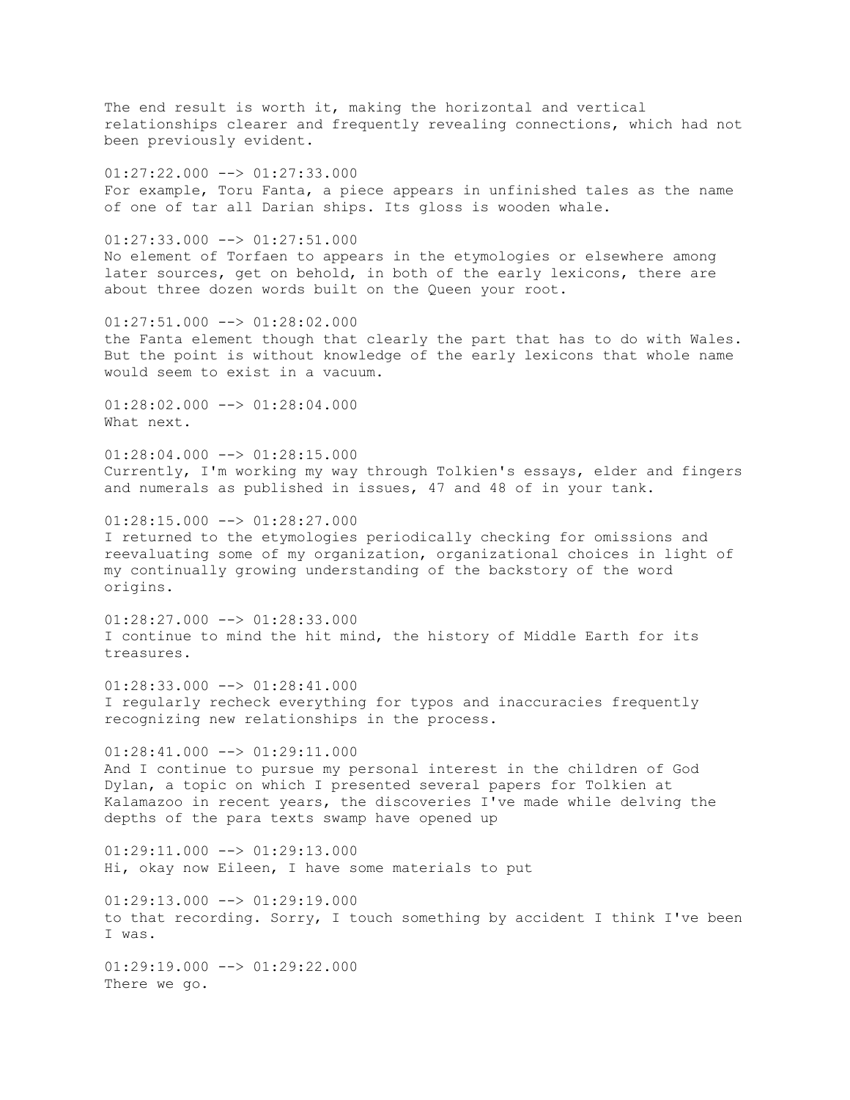The end result is worth it, making the horizontal and vertical relationships clearer and frequently revealing connections, which had not been previously evident. 01:27:22.000 --> 01:27:33.000 For example, Toru Fanta, a piece appears in unfinished tales as the name of one of tar all Darian ships. Its gloss is wooden whale. 01:27:33.000 --> 01:27:51.000 No element of Torfaen to appears in the etymologies or elsewhere among later sources, get on behold, in both of the early lexicons, there are about three dozen words built on the Queen your root.  $01:27:51.000$  -->  $01:28:02.000$ the Fanta element though that clearly the part that has to do with Wales. But the point is without knowledge of the early lexicons that whole name would seem to exist in a vacuum. 01:28:02.000 --> 01:28:04.000 What next.  $01:28:04.000$  -->  $01:28:15.000$ Currently, I'm working my way through Tolkien's essays, elder and fingers and numerals as published in issues, 47 and 48 of in your tank.  $01:28:15.000$  -->  $01:28:27.000$ I returned to the etymologies periodically checking for omissions and reevaluating some of my organization, organizational choices in light of my continually growing understanding of the backstory of the word origins.  $01:28:27.000$  -->  $01:28:33.000$ I continue to mind the hit mind, the history of Middle Earth for its treasures.  $01:28:33.000$  -->  $01:28:41.000$ I regularly recheck everything for typos and inaccuracies frequently recognizing new relationships in the process.  $01:28:41.000$   $\longrightarrow$   $01:29:11.000$ And I continue to pursue my personal interest in the children of God Dylan, a topic on which I presented several papers for Tolkien at Kalamazoo in recent years, the discoveries I've made while delving the depths of the para texts swamp have opened up

 $01:29:11.000$   $\rightarrow$   $01:29:13.000$ Hi, okay now Eileen, I have some materials to put

 $01:29:13.000$  -->  $01:29:19.000$ to that recording. Sorry, I touch something by accident I think I've been I was.

 $01:29:19.000$  -->  $01:29:22.000$ There we go.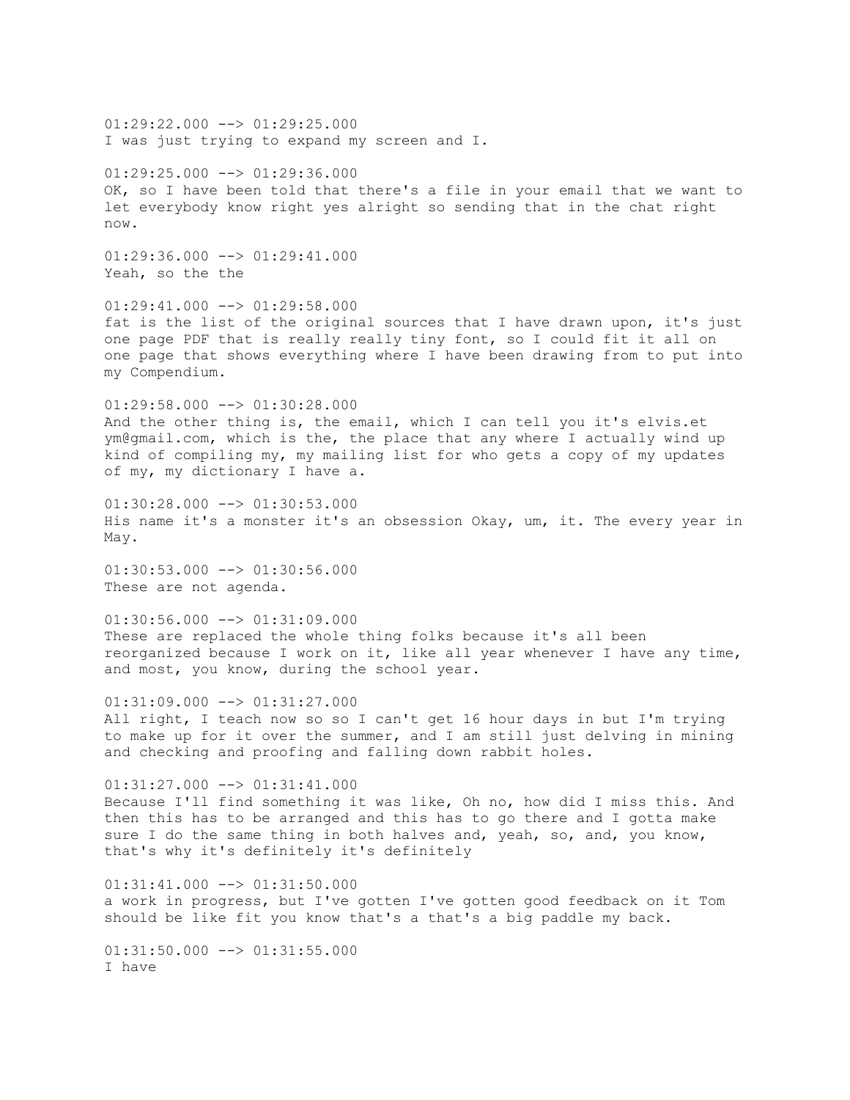$01:29:22.000$  -->  $01:29:25.000$ I was just trying to expand my screen and I.  $01:29:25.000$  -->  $01:29:36.000$ OK, so I have been told that there's a file in your email that we want to let everybody know right yes alright so sending that in the chat right now.  $01:29:36.000$  -->  $01:29:41.000$ Yeah, so the the  $01:29:41.000$  -->  $01:29:58.000$ fat is the list of the original sources that I have drawn upon, it's just one page PDF that is really really tiny font, so I could fit it all on one page that shows everything where I have been drawing from to put into my Compendium. 01:29:58.000 --> 01:30:28.000 And the other thing is, the email, which I can tell you it's elvis.et ym@gmail.com, which is the, the place that any where I actually wind up kind of compiling my, my mailing list for who gets a copy of my updates of my, my dictionary I have a.  $01:30:28.000$  -->  $01:30:53.000$ His name it's a monster it's an obsession Okay, um, it. The every year in May. 01:30:53.000 --> 01:30:56.000 These are not agenda.  $01:30:56.000$  -->  $01:31:09.000$ These are replaced the whole thing folks because it's all been reorganized because I work on it, like all year whenever I have any time, and most, you know, during the school year. 01:31:09.000 --> 01:31:27.000 All right, I teach now so so I can't get 16 hour days in but I'm trying to make up for it over the summer, and I am still just delving in mining and checking and proofing and falling down rabbit holes. 01:31:27.000 --> 01:31:41.000 Because I'll find something it was like, Oh no, how did I miss this. And then this has to be arranged and this has to go there and I gotta make sure I do the same thing in both halves and, yeah, so, and, you know, that's why it's definitely it's definitely  $01:31:41.000$   $\rightarrow$   $01:31:50.000$ a work in progress, but I've gotten I've gotten good feedback on it Tom should be like fit you know that's a that's a big paddle my back.  $01:31:50.000$  -->  $01:31:55.000$ I have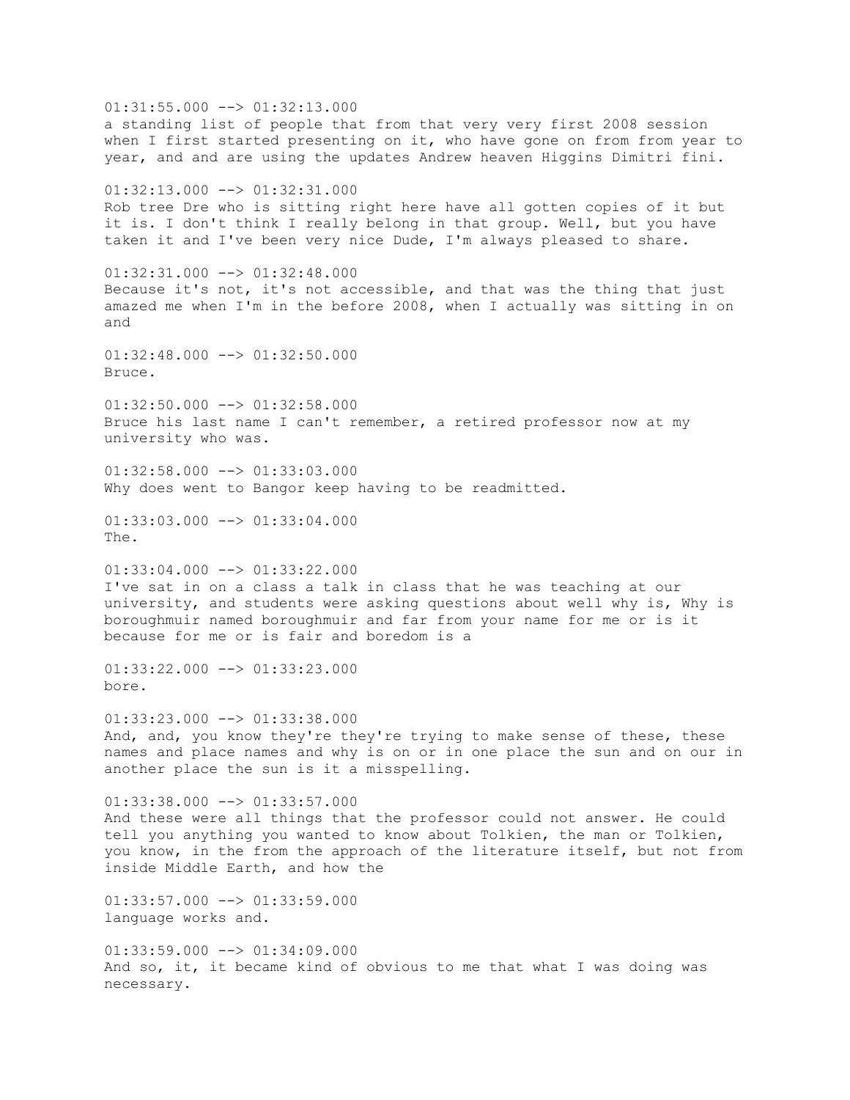$01:31:55.000$  -->  $01:32:13.000$ a standing list of people that from that very very first 2008 session when I first started presenting on it, who have gone on from from year to year, and and are using the updates Andrew heaven Higgins Dimitri fini. 01:32:13.000 --> 01:32:31.000 Rob tree Dre who is sitting right here have all gotten copies of it but it is. I don't think I really belong in that group. Well, but you have taken it and I've been very nice Dude, I'm always pleased to share.  $01:32:31.000$  -->  $01:32:48.000$ Because it's not, it's not accessible, and that was the thing that just amazed me when I'm in the before 2008, when I actually was sitting in on and  $01:32:48.000$  -->  $01:32:50.000$ Bruce.  $01:32:50.000$  -->  $01:32:58.000$ Bruce his last name I can't remember, a retired professor now at my university who was. 01:32:58.000 --> 01:33:03.000 Why does went to Bangor keep having to be readmitted.  $01:33:03.000$  -->  $01:33:04.000$ The. 01:33:04.000 --> 01:33:22.000 I've sat in on a class a talk in class that he was teaching at our university, and students were asking questions about well why is, Why is boroughmuir named boroughmuir and far from your name for me or is it because for me or is fair and boredom is a 01:33:22.000 --> 01:33:23.000 bore.  $01:33:23.000$  -->  $01:33:38.000$ And, and, you know they're they're trying to make sense of these, these names and place names and why is on or in one place the sun and on our in another place the sun is it a misspelling.  $01:33:38.000$  -->  $01:33:57.000$ And these were all things that the professor could not answer. He could tell you anything you wanted to know about Tolkien, the man or Tolkien, you know, in the from the approach of the literature itself, but not from inside Middle Earth, and how the  $01:33:57.000$  -->  $01:33:59.000$ language works and.  $01:33:59.000$  -->  $01:34:09.000$ And so, it, it became kind of obvious to me that what I was doing was necessary.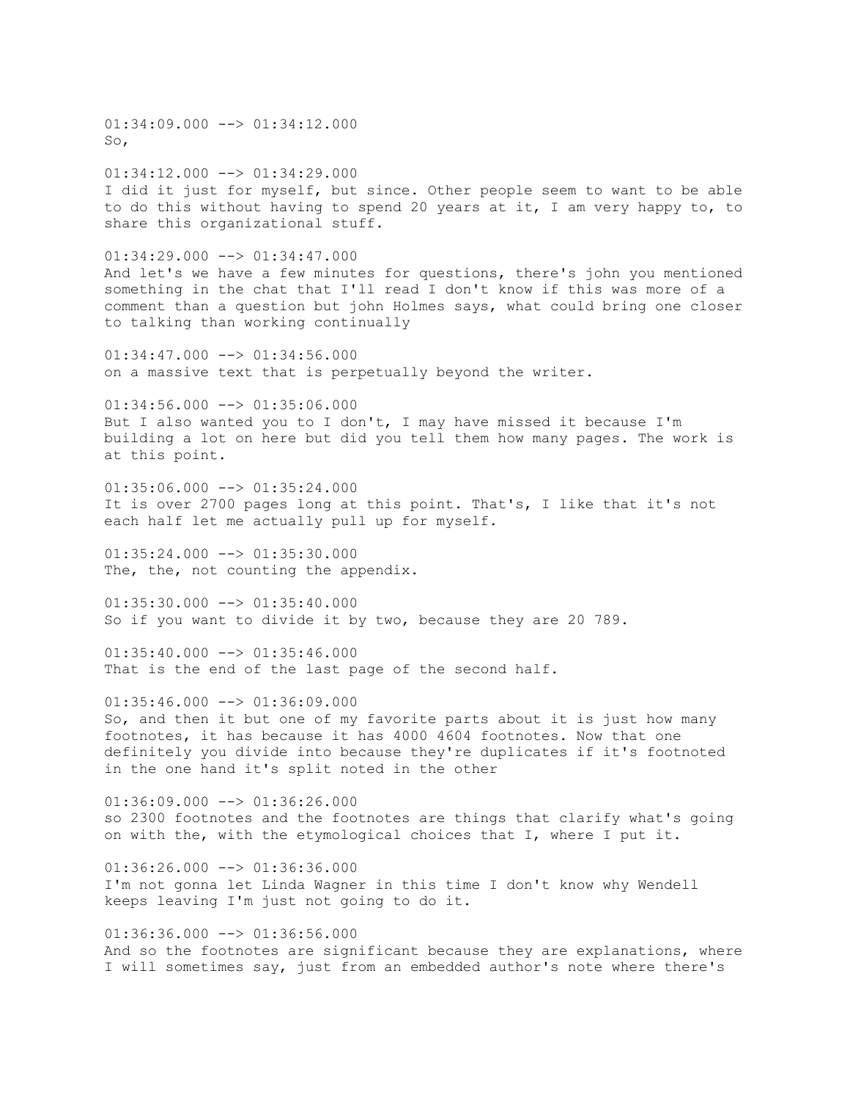$01:34:09.000$  -->  $01:34:12.000$ So, 01:34:12.000 --> 01:34:29.000 I did it just for myself, but since. Other people seem to want to be able to do this without having to spend 20 years at it, I am very happy to, to share this organizational stuff.  $01:34:29.000$  -->  $01:34:47.000$ And let's we have a few minutes for questions, there's john you mentioned something in the chat that I'll read I don't know if this was more of a comment than a question but john Holmes says, what could bring one closer to talking than working continually 01:34:47.000 --> 01:34:56.000 on a massive text that is perpetually beyond the writer.  $01:34:56.000$  -->  $01:35:06.000$ But I also wanted you to I don't, I may have missed it because I'm building a lot on here but did you tell them how many pages. The work is at this point.  $01:35:06.000$  -->  $01:35:24.000$ It is over 2700 pages long at this point. That's, I like that it's not each half let me actually pull up for myself.  $01:35:24.000$   $\longrightarrow$   $01:35:30.000$ The, the, not counting the appendix.  $01:35:30.000$  -->  $01:35:40.000$ So if you want to divide it by two, because they are 20 789.  $01:35:40.000$   $\rightarrow$   $01:35:46.000$ That is the end of the last page of the second half.  $01:35:46.000$  -->  $01:36:09.000$ So, and then it but one of my favorite parts about it is just how many footnotes, it has because it has 4000 4604 footnotes. Now that one definitely you divide into because they're duplicates if it's footnoted in the one hand it's split noted in the other  $01:36:09.000$  -->  $01:36:26.000$ so 2300 footnotes and the footnotes are things that clarify what's going on with the, with the etymological choices that I, where I put it.  $01:36:26.000$  -->  $01:36:36.000$ I'm not gonna let Linda Wagner in this time I don't know why Wendell keeps leaving I'm just not going to do it.  $01:36:36.000$  -->  $01:36:56.000$ 

And so the footnotes are significant because they are explanations, where I will sometimes say, just from an embedded author's note where there's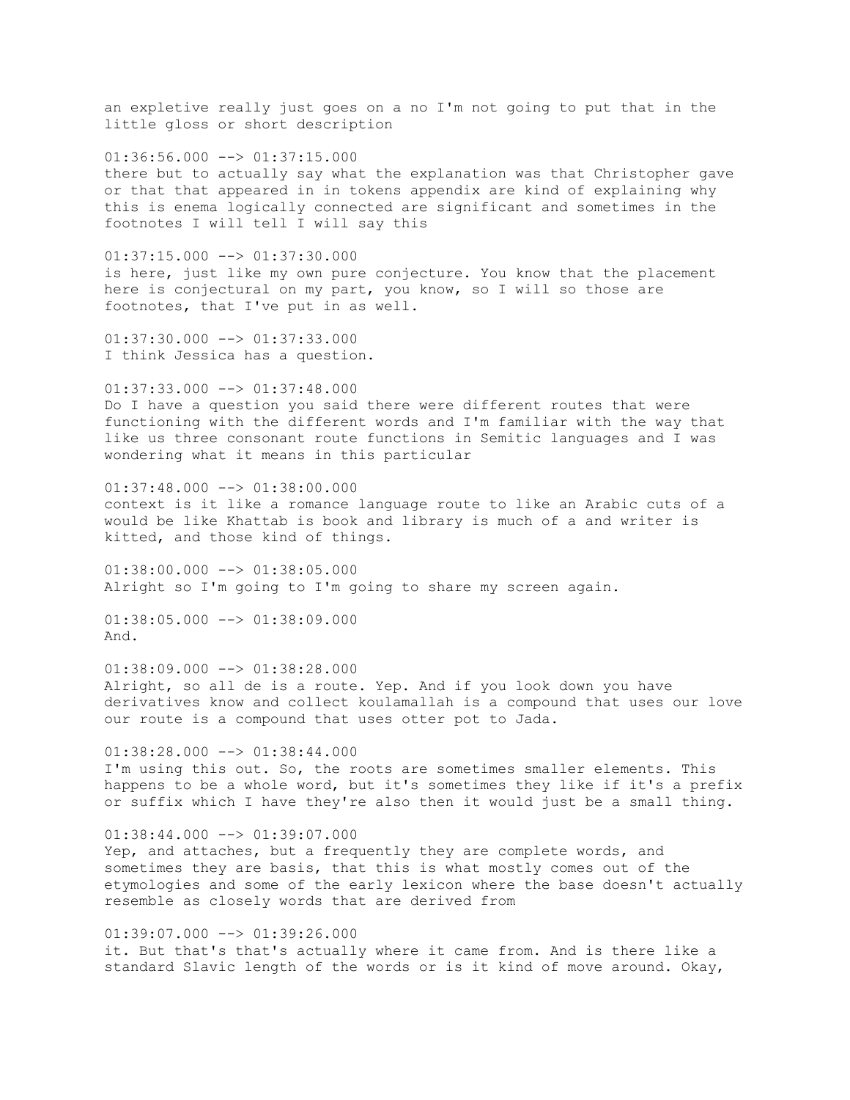an expletive really just goes on a no I'm not going to put that in the little gloss or short description  $01:36:56.000$  -->  $01:37:15.000$ there but to actually say what the explanation was that Christopher gave or that that appeared in in tokens appendix are kind of explaining why this is enema logically connected are significant and sometimes in the footnotes I will tell I will say this  $01:37:15.000$  -->  $01:37:30.000$ is here, just like my own pure conjecture. You know that the placement here is conjectural on my part, you know, so I will so those are footnotes, that I've put in as well. 01:37:30.000 --> 01:37:33.000 I think Jessica has a question.  $01:37:33.000$  -->  $01:37:48.000$ Do I have a question you said there were different routes that were functioning with the different words and I'm familiar with the way that like us three consonant route functions in Semitic languages and I was wondering what it means in this particular 01:37:48.000 --> 01:38:00.000 context is it like a romance language route to like an Arabic cuts of a would be like Khattab is book and library is much of a and writer is kitted, and those kind of things. 01:38:00.000 --> 01:38:05.000 Alright so I'm going to I'm going to share my screen again.  $01:38:05.000$  -->  $01:38:09.000$ And.  $01:38:09.000$  -->  $01:38:28.000$ Alright, so all de is a route. Yep. And if you look down you have derivatives know and collect koulamallah is a compound that uses our love our route is a compound that uses otter pot to Jada.  $01:38:28.000$  -->  $01:38:44.000$ I'm using this out. So, the roots are sometimes smaller elements. This happens to be a whole word, but it's sometimes they like if it's a prefix or suffix which I have they're also then it would just be a small thing.  $01:38:44.000$  -->  $01:39:07.000$ Yep, and attaches, but a frequently they are complete words, and sometimes they are basis, that this is what mostly comes out of the etymologies and some of the early lexicon where the base doesn't actually resemble as closely words that are derived from

 $01:39:07.000$  -->  $01:39:26.000$ it. But that's that's actually where it came from. And is there like a standard Slavic length of the words or is it kind of move around. Okay,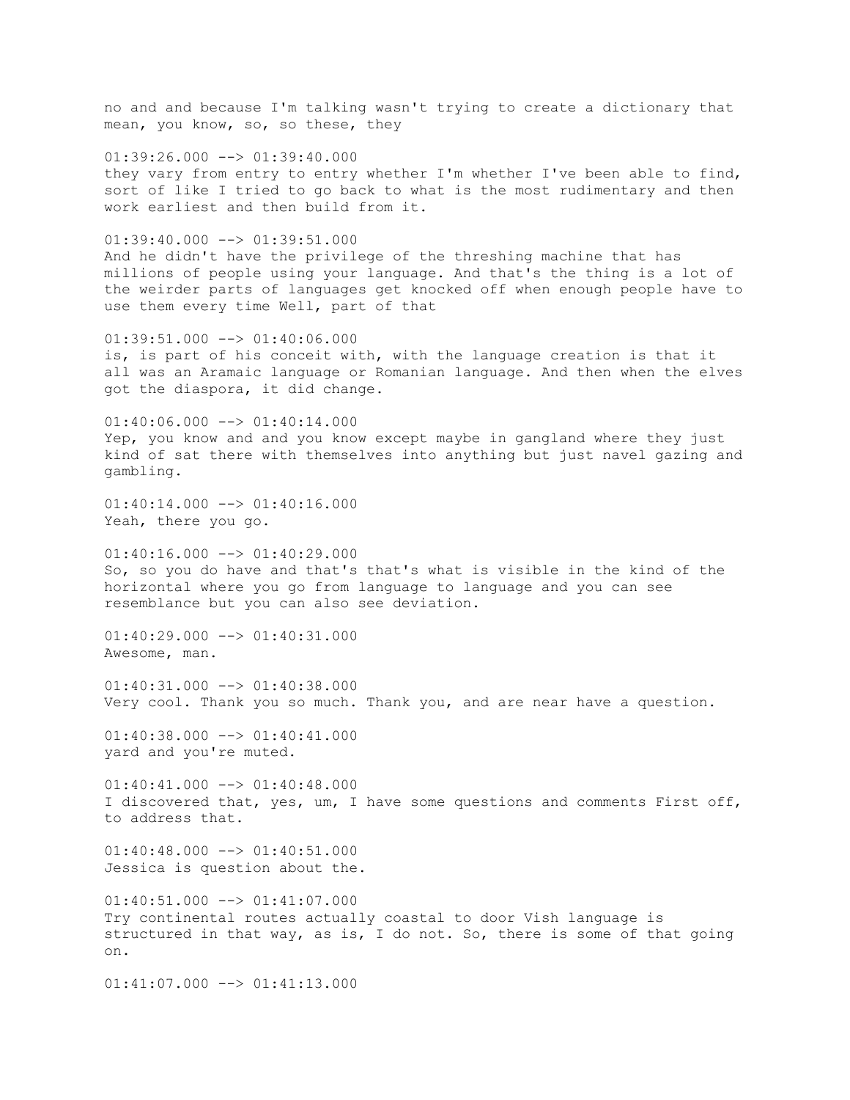no and and because I'm talking wasn't trying to create a dictionary that mean, you know, so, so these, they

 $01:39:26.000$  -->  $01:39:40.000$ they vary from entry to entry whether I'm whether I've been able to find, sort of like I tried to go back to what is the most rudimentary and then work earliest and then build from it.

 $01:39:40.000$  -->  $01:39:51.000$ And he didn't have the privilege of the threshing machine that has millions of people using your language. And that's the thing is a lot of the weirder parts of languages get knocked off when enough people have to use them every time Well, part of that

01:39:51.000 --> 01:40:06.000 is, is part of his conceit with, with the language creation is that it all was an Aramaic language or Romanian language. And then when the elves got the diaspora, it did change.

 $01:40:06.000$  -->  $01:40:14.000$ Yep, you know and and you know except maybe in gangland where they just kind of sat there with themselves into anything but just navel gazing and gambling.

 $01:40:14.000$  -->  $01:40:16.000$ Yeah, there you go.

 $01:40:16.000$   $\longrightarrow$   $01:40:29.000$ So, so you do have and that's that's what is visible in the kind of the horizontal where you go from language to language and you can see resemblance but you can also see deviation.

 $01:40:29.000$  -->  $01:40:31.000$ Awesome, man.

 $01:40:31.000$  -->  $01:40:38.000$ Very cool. Thank you so much. Thank you, and are near have a question.

 $01:40:38.000$  -->  $01:40:41.000$ yard and you're muted.

 $01:40:41.000$  -->  $01:40:48.000$ I discovered that, yes, um, I have some questions and comments First off, to address that.

 $01:40:48.000$   $\longrightarrow$   $01:40:51.000$ Jessica is question about the.

01:40:51.000 --> 01:41:07.000 Try continental routes actually coastal to door Vish language is structured in that way, as is, I do not. So, there is some of that going on.

 $01:41:07.000$   $\longrightarrow$   $01:41:13.000$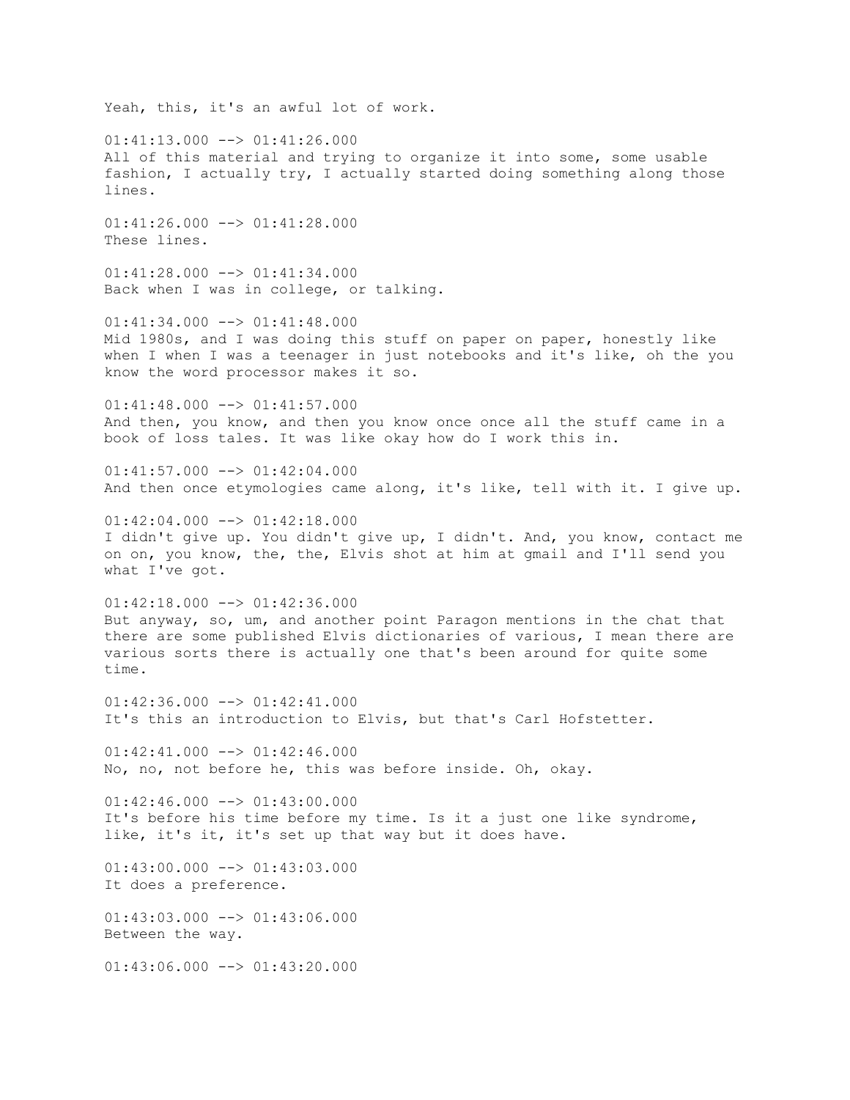Yeah, this, it's an awful lot of work.  $01:41:13.000$  -->  $01:41:26.000$ All of this material and trying to organize it into some, some usable fashion, I actually try, I actually started doing something along those lines. 01:41:26.000 --> 01:41:28.000 These lines.  $01:41:28.000$  -->  $01:41:34.000$ Back when I was in college, or talking. 01:41:34.000 --> 01:41:48.000 Mid 1980s, and I was doing this stuff on paper on paper, honestly like when I when I was a teenager in just notebooks and it's like, oh the you know the word processor makes it so.  $01:41:48.000$  -->  $01:41:57.000$ And then, you know, and then you know once once all the stuff came in a book of loss tales. It was like okay how do I work this in.  $01:41:57.000$  -->  $01:42:04.000$ And then once etymologies came along, it's like, tell with it. I give up.  $01:42:04.000$  -->  $01:42:18.000$ I didn't give up. You didn't give up, I didn't. And, you know, contact me on on, you know, the, the, Elvis shot at him at gmail and I'll send you what I've got.  $01:42:18.000$  -->  $01:42:36.000$ But anyway, so, um, and another point Paragon mentions in the chat that there are some published Elvis dictionaries of various, I mean there are various sorts there is actually one that's been around for quite some time. 01:42:36.000 --> 01:42:41.000 It's this an introduction to Elvis, but that's Carl Hofstetter.  $01:42:41.000$   $\longrightarrow$   $01:42:46.000$ No, no, not before he, this was before inside. Oh, okay.  $01:42:46.000$  -->  $01:43:00.000$ It's before his time before my time. Is it a just one like syndrome, like, it's it, it's set up that way but it does have.  $01:43:00.000$  -->  $01:43:03.000$ It does a preference.  $01:43:03.000$  -->  $01:43:06.000$ Between the way.  $01:43:06.000$  -->  $01:43:20.000$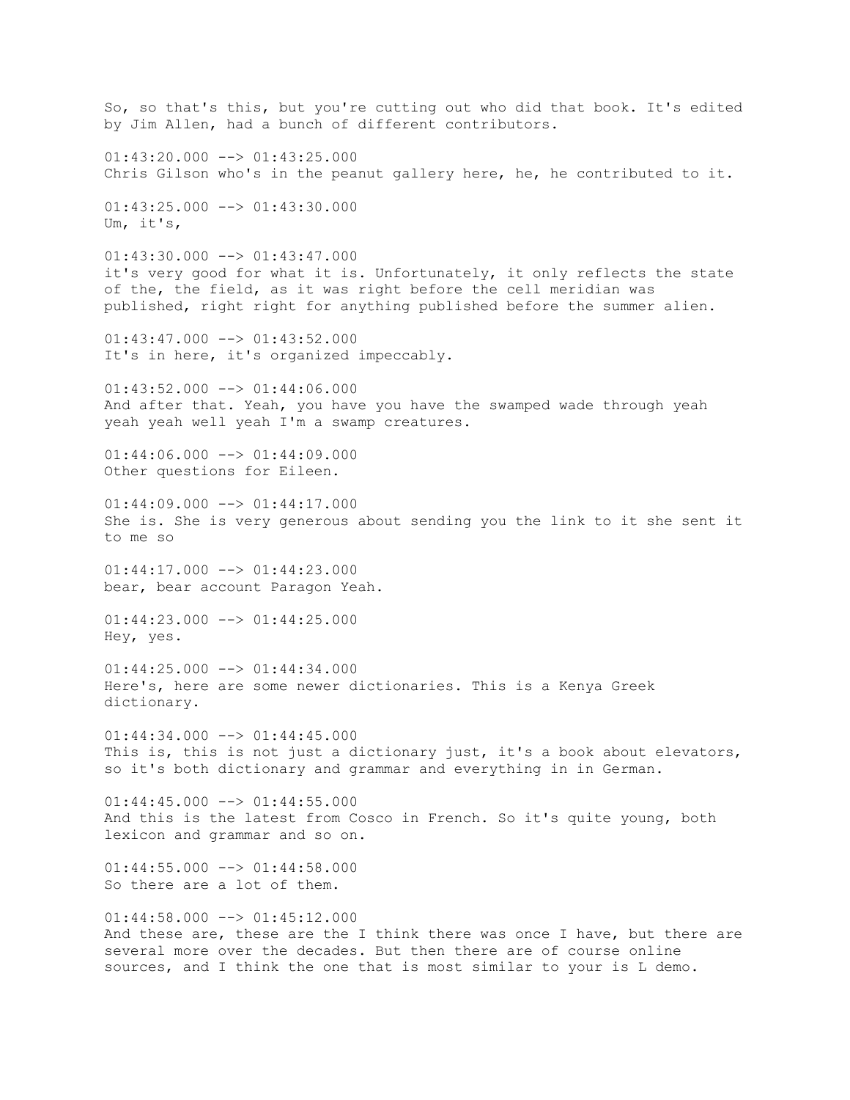So, so that's this, but you're cutting out who did that book. It's edited by Jim Allen, had a bunch of different contributors.  $01:43:20.000$  -->  $01:43:25.000$ Chris Gilson who's in the peanut gallery here, he, he contributed to it.  $01:43:25.000$  -->  $01:43:30.000$ Um, it's,  $01:43:30.000$  -->  $01:43:47.000$ it's very good for what it is. Unfortunately, it only reflects the state of the, the field, as it was right before the cell meridian was published, right right for anything published before the summer alien.  $01:43:47.000$  -->  $01:43:52.000$ It's in here, it's organized impeccably.  $01:43:52.000$  -->  $01:44:06.000$ And after that. Yeah, you have you have the swamped wade through yeah yeah yeah well yeah I'm a swamp creatures.  $01:44:06.000$  -->  $01:44:09.000$ Other questions for Eileen.  $01:44:09.000$  -->  $01:44:17.000$ She is. She is very generous about sending you the link to it she sent it to me so  $01:44:17.000$  -->  $01:44:23.000$ bear, bear account Paragon Yeah.  $01:44:23.000$  -->  $01:44:25.000$ Hey, yes.  $01:44:25.000$  -->  $01:44:34.000$ Here's, here are some newer dictionaries. This is a Kenya Greek dictionary.  $01:44:34.000$  -->  $01:44:45.000$ This is, this is not just a dictionary just, it's a book about elevators, so it's both dictionary and grammar and everything in in German.  $01:44:45.000$  -->  $01:44:55.000$ And this is the latest from Cosco in French. So it's quite young, both lexicon and grammar and so on.  $01:44:55.000$  -->  $01:44:58.000$ So there are a lot of them.  $01:44:58.000$  -->  $01:45:12.000$ And these are, these are the I think there was once I have, but there are several more over the decades. But then there are of course online sources, and I think the one that is most similar to your is L demo.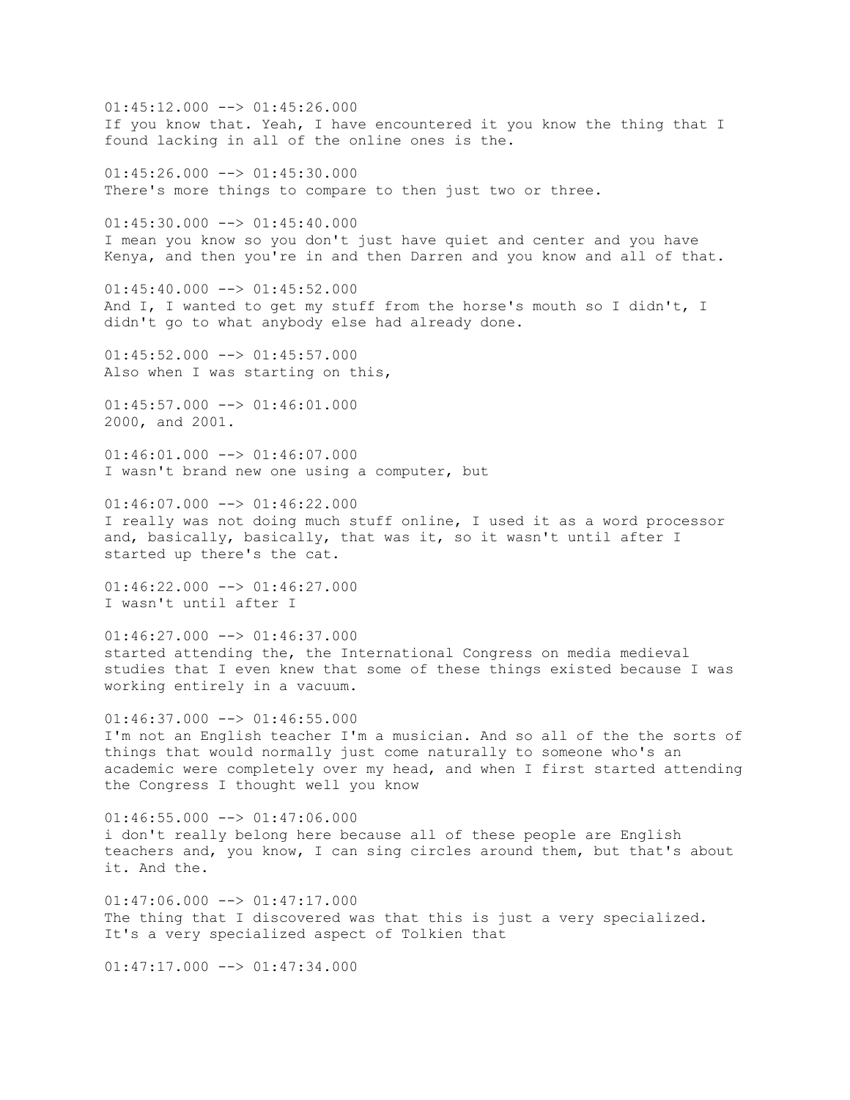$01:45:12.000$  -->  $01:45:26.000$ If you know that. Yeah, I have encountered it you know the thing that I found lacking in all of the online ones is the.  $01:45:26.000$  -->  $01:45:30.000$ There's more things to compare to then just two or three.  $01:45:30.000$  -->  $01:45:40.000$ I mean you know so you don't just have quiet and center and you have Kenya, and then you're in and then Darren and you know and all of that.  $01:45:40.000$  -->  $01:45:52.000$ And I, I wanted to get my stuff from the horse's mouth so I didn't, I didn't go to what anybody else had already done.  $01:45:52.000$   $\leftarrow$   $>$  01:45:57.000 Also when I was starting on this,  $01:45:57.000$  -->  $01:46:01.000$ 2000, and 2001.  $01:46:01.000$  -->  $01:46:07.000$ I wasn't brand new one using a computer, but  $01:46:07.000$  -->  $01:46:22.000$ I really was not doing much stuff online, I used it as a word processor and, basically, basically, that was it, so it wasn't until after I started up there's the cat.  $01:46:22.000$  -->  $01:46:27.000$ I wasn't until after I  $01:46:27.000$  -->  $01:46:37.000$ started attending the, the International Congress on media medieval studies that I even knew that some of these things existed because I was working entirely in a vacuum.  $01:46:37.000$  -->  $01:46:55.000$ I'm not an English teacher I'm a musician. And so all of the the sorts of things that would normally just come naturally to someone who's an academic were completely over my head, and when I first started attending the Congress I thought well you know  $01:46:55.000$  -->  $01:47:06.000$ i don't really belong here because all of these people are English teachers and, you know, I can sing circles around them, but that's about it. And the.  $01:47:06.000$  -->  $01:47:17.000$ The thing that I discovered was that this is just a very specialized. It's a very specialized aspect of Tolkien that

 $01:47:17.000$  -->  $01:47:34.000$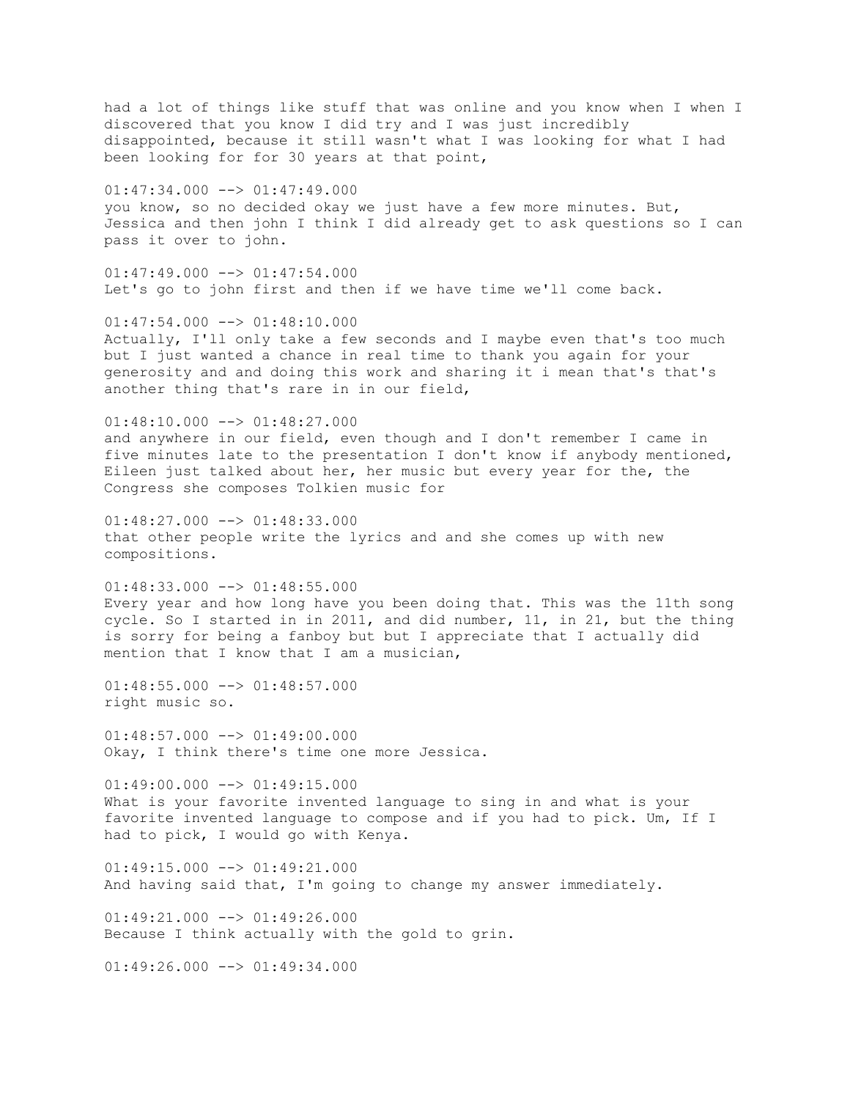had a lot of things like stuff that was online and you know when I when I discovered that you know I did try and I was just incredibly disappointed, because it still wasn't what I was looking for what I had been looking for for 30 years at that point,  $01:47:34.000$  -->  $01:47:49.000$ you know, so no decided okay we just have a few more minutes. But, Jessica and then john I think I did already get to ask questions so I can pass it over to john.  $01:47:49.000$  -->  $01:47:54.000$ Let's go to john first and then if we have time we'll come back.  $01:47:54.000$  -->  $01:48:10.000$ Actually, I'll only take a few seconds and I maybe even that's too much but I just wanted a chance in real time to thank you again for your generosity and and doing this work and sharing it i mean that's that's another thing that's rare in in our field,  $01:48:10.000$  -->  $01:48:27.000$ and anywhere in our field, even though and I don't remember I came in five minutes late to the presentation I don't know if anybody mentioned, Eileen just talked about her, her music but every year for the, the Congress she composes Tolkien music for  $01:48:27.000$  -->  $01:48:33.000$ that other people write the lyrics and and she comes up with new compositions.  $01:48:33.000$  -->  $01:48:55.000$ Every year and how long have you been doing that. This was the 11th song cycle. So I started in in 2011, and did number, 11, in 21, but the thing is sorry for being a fanboy but but I appreciate that I actually did mention that I know that I am a musician,  $01:48:55.000$  -->  $01:48:57.000$ right music so.  $01:48:57.000$  -->  $01:49:00.000$ Okay, I think there's time one more Jessica.  $01:49:00.000$  -->  $01:49:15.000$ What is your favorite invented language to sing in and what is your favorite invented language to compose and if you had to pick. Um, If I had to pick, I would go with Kenya.  $01:49:15.000$  -->  $01:49:21.000$ And having said that, I'm going to change my answer immediately.  $01:49:21.000$  -->  $01:49:26.000$ Because I think actually with the gold to grin.  $01:49:26.000$  -->  $01:49:34.000$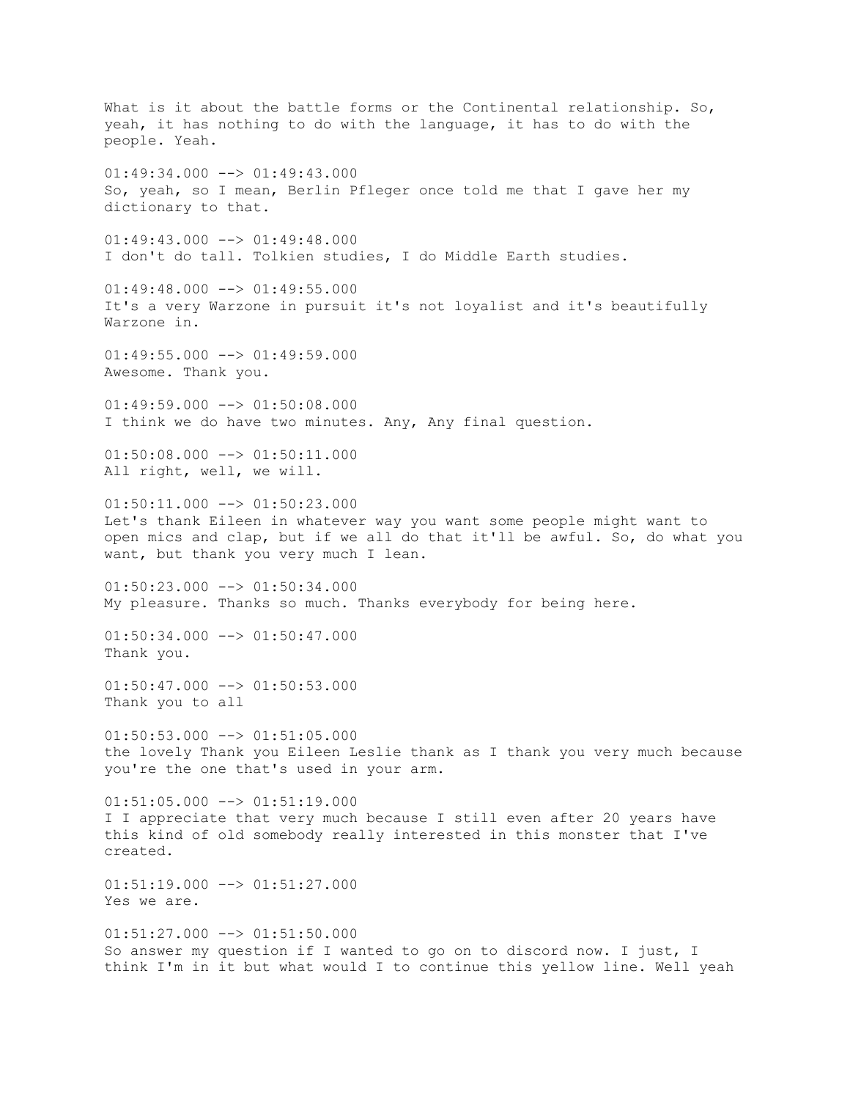What is it about the battle forms or the Continental relationship. So, yeah, it has nothing to do with the language, it has to do with the people. Yeah.  $01:49:34.000$  -->  $01:49:43.000$ So, yeah, so I mean, Berlin Pfleger once told me that I gave her my dictionary to that.  $01:49:43.000$  -->  $01:49:48.000$ I don't do tall. Tolkien studies, I do Middle Earth studies.  $01:49:48.000$  -->  $01:49:55.000$ It's a very Warzone in pursuit it's not loyalist and it's beautifully Warzone in.  $01:49:55.000$   $\rightarrow$   $01:49:59.000$ Awesome. Thank you.  $01:49:59.000$  -->  $01:50:08.000$ I think we do have two minutes. Any, Any final question. 01:50:08.000 --> 01:50:11.000 All right, well, we will.  $01:50:11.000$   $\rightarrow$   $01:50:23.000$ Let's thank Eileen in whatever way you want some people might want to open mics and clap, but if we all do that it'll be awful. So, do what you want, but thank you very much I lean.  $01:50:23.000$  -->  $01:50:34.000$ My pleasure. Thanks so much. Thanks everybody for being here.  $01:50:34.000$  -->  $01:50:47.000$ Thank you.  $01:50:47.000$  -->  $01:50:53.000$ Thank you to all  $01:50:53.000$  -->  $01:51:05.000$ the lovely Thank you Eileen Leslie thank as I thank you very much because you're the one that's used in your arm.  $01:51:05.000$  -->  $01:51:19.000$ I I appreciate that very much because I still even after 20 years have this kind of old somebody really interested in this monster that I've created.  $01:51:19.000$   $\rightarrow$   $01:51:27.000$ Yes we are.  $01:51:27.000$  -->  $01:51:50.000$ So answer my question if I wanted to go on to discord now. I just, I think I'm in it but what would I to continue this yellow line. Well yeah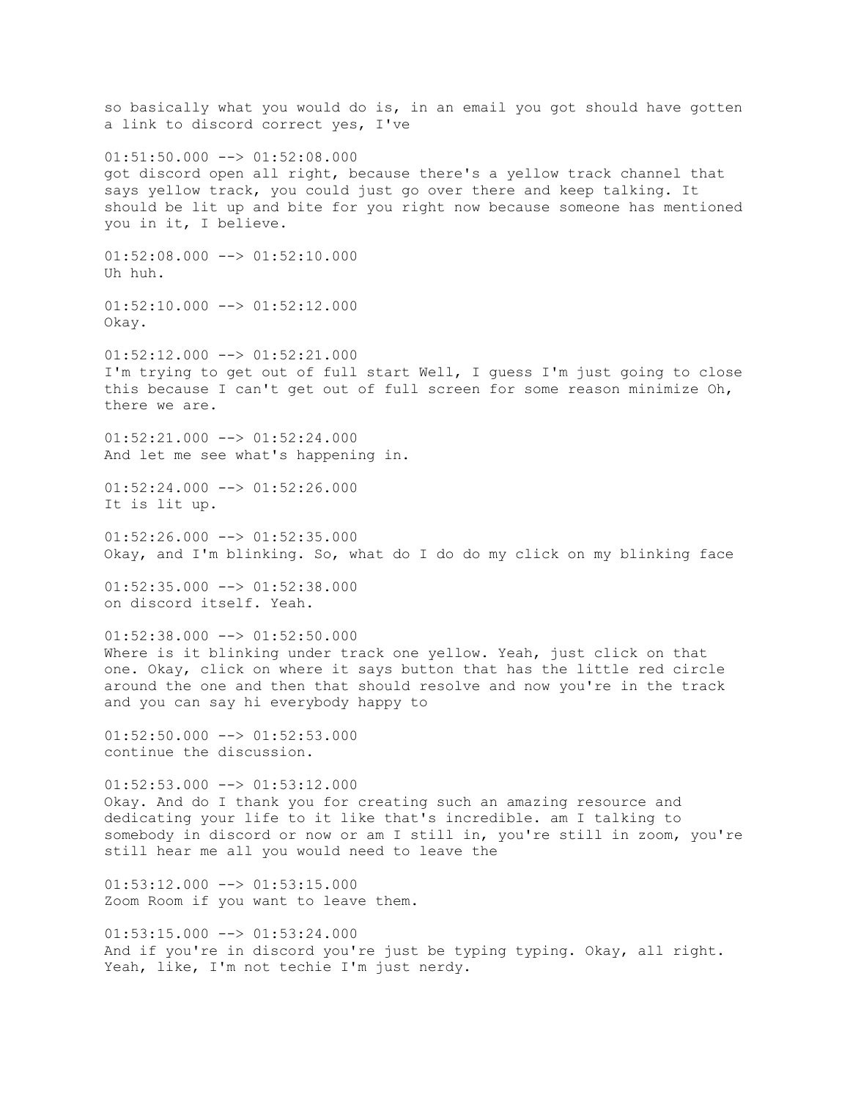so basically what you would do is, in an email you got should have gotten a link to discord correct yes, I've  $01:51:50.000$   $\rightarrow$   $01:52:08.000$ got discord open all right, because there's a yellow track channel that says yellow track, you could just go over there and keep talking. It should be lit up and bite for you right now because someone has mentioned you in it, I believe.  $01:52:08.000$  -->  $01:52:10.000$ Uh huh.  $01:52:10.000$  -->  $01:52:12.000$ Okay.  $01:52:12.000$  -->  $01:52:21.000$ I'm trying to get out of full start Well, I guess I'm just going to close this because I can't get out of full screen for some reason minimize Oh, there we are. 01:52:21.000 --> 01:52:24.000 And let me see what's happening in. 01:52:24.000 --> 01:52:26.000 It is lit up.  $01:52:26.000$  -->  $01:52:35.000$ Okay, and I'm blinking. So, what do I do do my click on my blinking face  $01:52:35.000$  -->  $01:52:38.000$ on discord itself. Yeah.  $01:52:38.000$  -->  $01:52:50.000$ Where is it blinking under track one yellow. Yeah, just click on that one. Okay, click on where it says button that has the little red circle around the one and then that should resolve and now you're in the track and you can say hi everybody happy to  $01:52:50.000$  -->  $01:52:53.000$ continue the discussion.  $01:52:53.000$  -->  $01:53:12.000$ Okay. And do I thank you for creating such an amazing resource and dedicating your life to it like that's incredible. am I talking to somebody in discord or now or am I still in, you're still in zoom, you're still hear me all you would need to leave the  $01:53:12.000$   $\rightarrow$   $01:53:15.000$ Zoom Room if you want to leave them.  $01:53:15.000$  -->  $01:53:24.000$ And if you're in discord you're just be typing typing. Okay, all right. Yeah, like, I'm not techie I'm just nerdy.